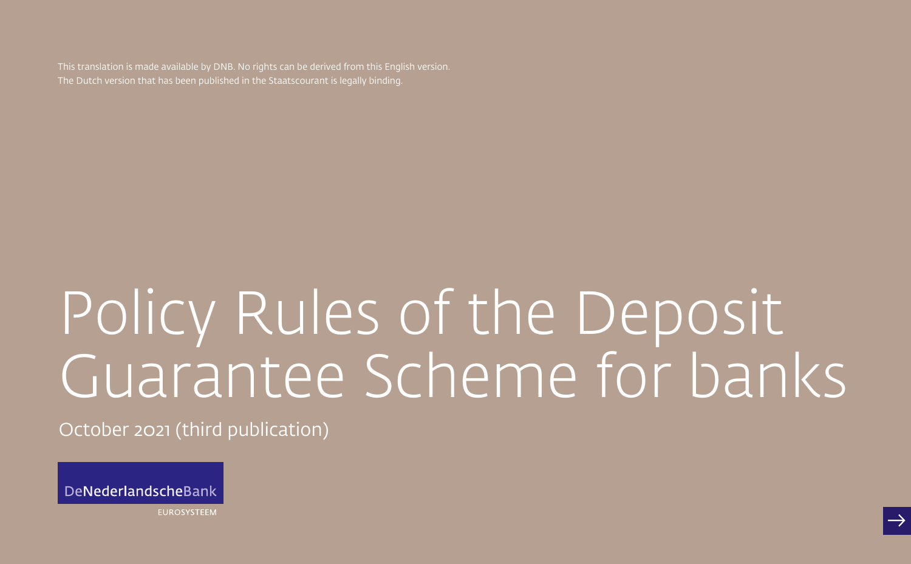This translation is made available by DNB. No rights can be derived from this English version. The Dutch version that has been published in the Staatscourant is legally binding.

# Policy Rules of the Deposit Guarantee Scheme for banks

October 2021 (third publication)

DeNederlandscheBank

**EUROSYSTEEM**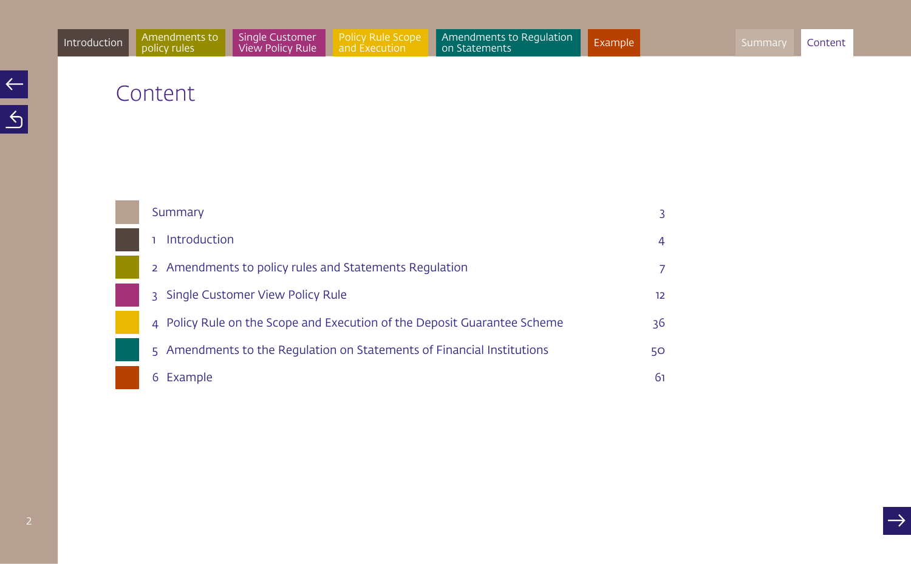<span id="page-1-0"></span>

| Summary                                                                    |    |
|----------------------------------------------------------------------------|----|
| Introduction                                                               | 4  |
| 2 Amendments to policy rules and Statements Regulation                     |    |
| Single Customer View Policy Rule<br>3                                      | 12 |
| 4 Policy Rule on the Scope and Execution of the Deposit Guarantee Scheme   | 36 |
| Amendments to the Regulation on Statements of Financial Institutions<br>5. | 50 |
| Example                                                                    | 61 |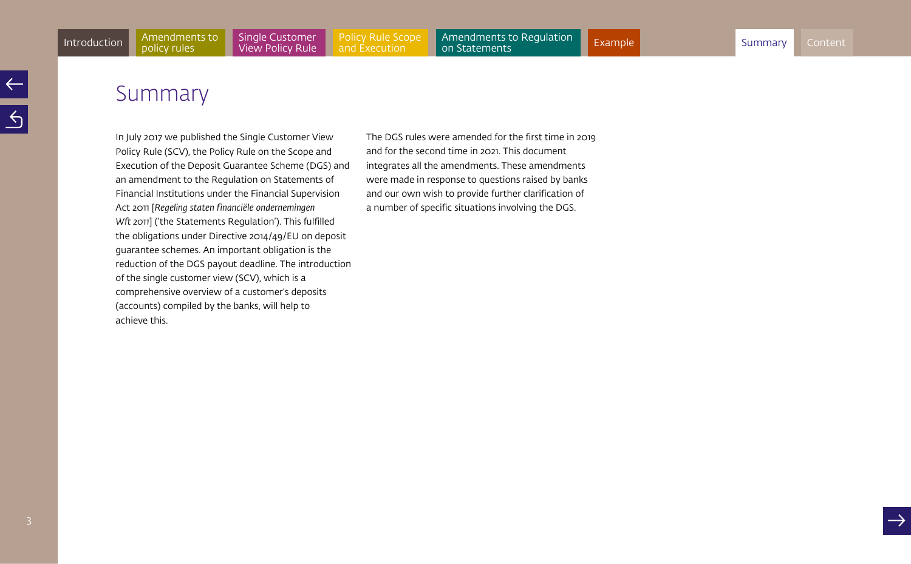# <span id="page-2-1"></span><span id="page-2-0"></span>Summary

In July 2017 we published the Single Customer View Policy Rule (SCV), the Policy Rule on the Scope and Execution of the Deposit Guarantee Scheme (DGS) and an amendment to the Regulation on Statements of Financial Institutions under the Financial Supervision Act 2011 [*Regeling staten financiële ondernemingen Wft 2011*] ('the Statements Regulation'). This fulfilled the obligations under Directive 2014/49/EU on deposit guarantee schemes. An important obligation is the reduction of the DGS payout deadline. The introduction of the single customer view (SCV), which is a comprehensive overview of a customer's deposits (accounts) compiled by the banks, will help to achieve this.

The DGS rules were amended for the first time in 2019 and for the second time in 2021. This document integrates all the amendments. These amendments were made in response to questions raised by banks and our own wish to provide further clarification of a number of specific situations involving the DGS.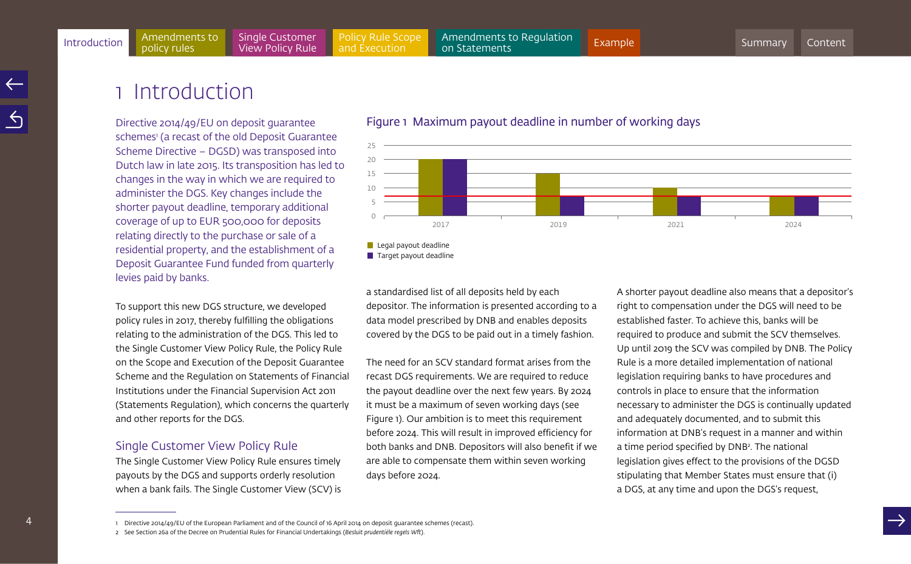# <span id="page-3-1"></span><span id="page-3-0"></span>1 Introduction

Directive 2014/49/EU on deposit guarantee schemes<sup>1</sup> (a recast of the old Deposit Guarantee Scheme Directive – DGSD) was transposed into Dutch law in late 2015. Its transposition has led to changes in the way in which we are required to administer the DGS. Key changes include the shorter payout deadline, temporary additional coverage of up to EUR 500,000 for deposits relating directly to the purchase or sale of a residential property, and the establishment of a Deposit Guarantee Fund funded from quarterly levies paid by banks.

To support this new DGS structure, we developed policy rules in 2017, thereby fulfilling the obligations relating to the administration of the DGS. This led to the Single Customer View Policy Rule, the Policy Rule on the Scope and Execution of the Deposit Guarantee Scheme and the Regulation on Statements of Financial Institutions under the Financial Supervision Act 2011 (Statements Regulation), which concerns the quarterly and other reports for the DGS.

# Single Customer View Policy Rule

The Single Customer View Policy Rule ensures timely payouts by the DGS and supports orderly resolution when a bank fails. The Single Customer View (SCV) is

# Figure 1 Maximum payout deadline in number of working days



 $\blacksquare$  Legal payout deadline

a standardised list of all deposits held by each depositor. The information is presented according to a data model prescribed by DNB and enables deposits covered by the DGS to be paid out in a timely fashion.

The need for an SCV standard format arises from the recast DGS requirements. We are required to reduce the payout deadline over the next few years. By 2024 it must be a maximum of seven working days (see Figure 1). Our ambition is to meet this requirement before 2024. This will result in improved efficiency for both banks and DNB. Depositors will also benefit if we are able to compensate them within seven working days before 2024.

A shorter payout deadline also means that a depositor's right to compensation under the DGS will need to be established faster. To achieve this, banks will be required to produce and submit the SCV themselves. Up until 2019 the SCV was compiled by DNB. The Policy Rule is a more detailed implementation of national legislation requiring banks to have procedures and controls in place to ensure that the information necessary to administer the DGS is continually updated and adequately documented, and to submit this information at DNB's request in a manner and within a time period specified by DNB<sup>2</sup>. The national legislation gives effect to the provisions of the DGSD stipulating that Member States must ensure that (i) a DGS, at any time and upon the DGS's request,

Target payout deadline

<sup>1</sup> Directive 2014/49/EU of the European Parliament and of the Council of 16 April 2014 on deposit guarantee schemes (recast).

<sup>2</sup> See Section 26a of the Decree on Prudential Rules for Financial Undertakings (*Besluit prudentiële regels Wft*).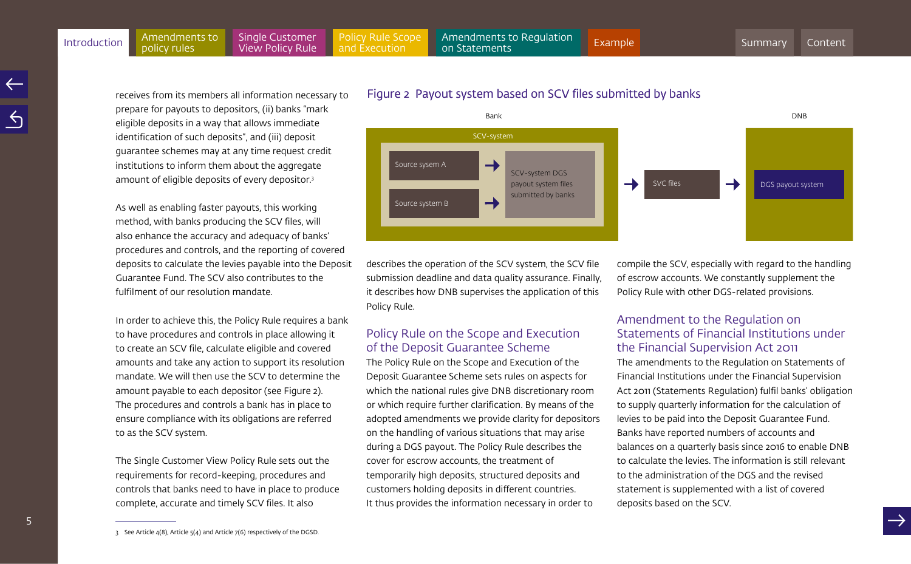receives from its members all information necessary to prepare for payouts to depositors, (ii) banks "mark eligible deposits in a way that allows immediate identification of such deposits", and (iii) deposit guarantee schemes may at any time request credit institutions to inform them about the aggregate amount of eligible deposits of every depositor.3

As well as enabling faster payouts, this working method, with banks producing the SCV files, will also enhance the accuracy and adequacy of banks' procedures and controls, and the reporting of covered deposits to calculate the levies payable into the Deposit Guarantee Fund. The SCV also contributes to the fulfilment of our resolution mandate.

In order to achieve this, the Policy Rule requires a bank to have procedures and controls in place allowing it to create an SCV file, calculate eligible and covered amounts and take any action to support its resolution mandate. We will then use the SCV to determine the amount payable to each depositor (see Figure 2). The procedures and controls a bank has in place to ensure compliance with its obligations are referred to as the SCV system.

The Single Customer View Policy Rule sets out the requirements for record-keeping, procedures and controls that banks need to have in place to produce complete, accurate and timely SCV files. It also

# Figure 2 Payout system based on SCV files submitted by banks



describes the operation of the SCV system, the SCV file submission deadline and data quality assurance. Finally, it describes how DNB supervises the application of this Policy Rule.

# Policy Rule on the Scope and Execution of the Deposit Guarantee Scheme

The Policy Rule on the Scope and Execution of the Deposit Guarantee Scheme sets rules on aspects for which the national rules give DNB discretionary room or which require further clarification. By means of the adopted amendments we provide clarity for depositors on the handling of various situations that may arise during a DGS payout. The Policy Rule describes the cover for escrow accounts, the treatment of temporarily high deposits, structured deposits and customers holding deposits in different countries. It thus provides the information necessary in order to

compile the SCV, especially with regard to the handling of escrow accounts. We constantly supplement the Policy Rule with other DGS-related provisions.

# Amendment to the Regulation on Statements of Financial Institutions under the Financial Supervision Act 2011

The amendments to the Regulation on Statements of Financial Institutions under the Financial Supervision Act 2011 (Statements Regulation) fulfil banks' obligation to supply quarterly information for the calculation of levies to be paid into the Deposit Guarantee Fund. Banks have reported numbers of accounts and balances on a quarterly basis since 2016 to enable DNB to calculate the levies. The information is still relevant to the administration of the DGS and the revised statement is supplemented with a list of covered deposits based on the SCV.

3 See Article 4(8), Article 5(4) and Article 7(6) respectively of the DGSD.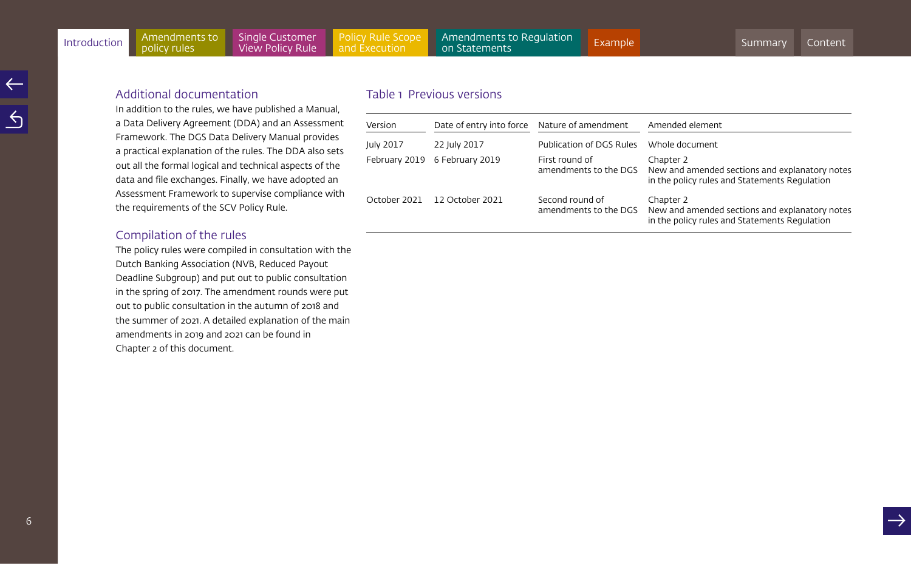# Additional documentation

In addition to the rules, we have published a Manual, a Data Delivery Agreement (DDA) and an Assessment Framework. The DGS Data Delivery Manual provides a practical explanation of the rules. The DDA also sets out all the formal logical and technical aspects of the data and file exchanges. Finally, we have adopted an Assessment Framework to supervise compliance with the requirements of the SCV Policy Rule.

# Compilation of the rules

The policy rules were compiled in consultation with the Dutch Banking Association (NVB, Reduced Payout Deadline Subgroup) and put out to public consultation in the spring of 2017. The amendment rounds were put out to public consultation in the autumn of 2018 and the summer of 2021. A detailed explanation of the main amendments in 2019 and 2021 can be found in Chapter 2 of this document.

# Table 1 Previous versions

| Version       | Date of entry into force Nature of amendment |                                          | Amended element                                                                                              |
|---------------|----------------------------------------------|------------------------------------------|--------------------------------------------------------------------------------------------------------------|
| July 2017     | 22 July 2017                                 | Publication of DGS Rules                 | Whole document                                                                                               |
| February 2019 | 6 February 2019                              | First round of<br>amendments to the DGS  | Chapter 2<br>New and amended sections and explanatory notes<br>in the policy rules and Statements Regulation |
| October 2021  | 12 October 2021                              | Second round of<br>amendments to the DGS | Chapter 2<br>New and amended sections and explanatory notes<br>in the policy rules and Statements Regulation |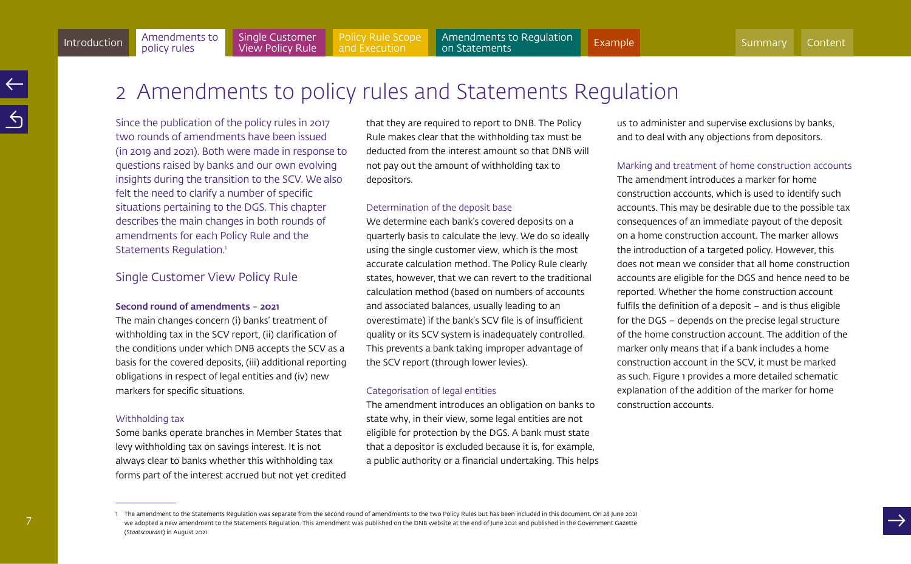# <span id="page-6-1"></span><span id="page-6-0"></span>2 Amendments to policy rules and Statements Regulation

Since the publication of the policy rules in 2017 two rounds of amendments have been issued (in 2019 and 2021). Both were made in response to questions raised by banks and our own evolving insights during the transition to the SCV. We also felt the need to clarify a number of specific situations pertaining to the DGS. This chapter describes the main changes in both rounds of amendments for each Policy Rule and the Statements Regulation.<sup>1</sup>

# Single Customer View Policy Rule

#### Second round of amendments – 2021

The main changes concern (i) banks' treatment of withholding tax in the SCV report, (ii) clarification of the conditions under which DNB accepts the SCV as a basis for the covered deposits, (iii) additional reporting obligations in respect of legal entities and (iv) new markers for specific situations.

#### Withholding tax

Some banks operate branches in Member States that levy withholding tax on savings interest. It is not always clear to banks whether this withholding tax forms part of the interest accrued but not yet credited that they are required to report to DNB. The Policy Rule makes clear that the withholding tax must be deducted from the interest amount so that DNB will not pay out the amount of withholding tax to depositors.

#### Determination of the deposit base

We determine each bank's covered deposits on a quarterly basis to calculate the levy. We do so ideally using the single customer view, which is the most accurate calculation method. The Policy Rule clearly states, however, that we can revert to the traditional calculation method (based on numbers of accounts and associated balances, usually leading to an overestimate) if the bank's SCV file is of insufficient quality or its SCV system is inadequately controlled. This prevents a bank taking improper advantage of the SCV report (through lower levies).

#### Categorisation of legal entities

The amendment introduces an obligation on banks to state why, in their view, some legal entities are not eligible for protection by the DGS. A bank must state that a depositor is excluded because it is, for example, a public authority or a financial undertaking. This helps us to administer and supervise exclusions by banks, and to deal with any objections from depositors.

#### Marking and treatment of home construction accounts

The amendment introduces a marker for home construction accounts, which is used to identify such accounts. This may be desirable due to the possible tax consequences of an immediate payout of the deposit on a home construction account. The marker allows the introduction of a targeted policy. However, this does not mean we consider that all home construction accounts are eligible for the DGS and hence need to be reported. Whether the home construction account fulfils the definition of a deposit – and is thus eligible for the DGS – depends on the precise legal structure of the home construction account. The addition of the marker only means that if a bank includes a home construction account in the SCV, it must be marked as such. Figure 1 provides a more detailed schematic explanation of the addition of the marker for home construction accounts.

<sup>1</sup> The amendment to the Statements Requlation was separate from the second round of amendments to the two Policy Rules but has been included in this document. On 28 June 2021 we adopted a new amendment to the Statements Requlation. This amendment was published on the DNB website at the end of June 2021 and published in the Government Gazette (*Staatscourant*) in August 2021.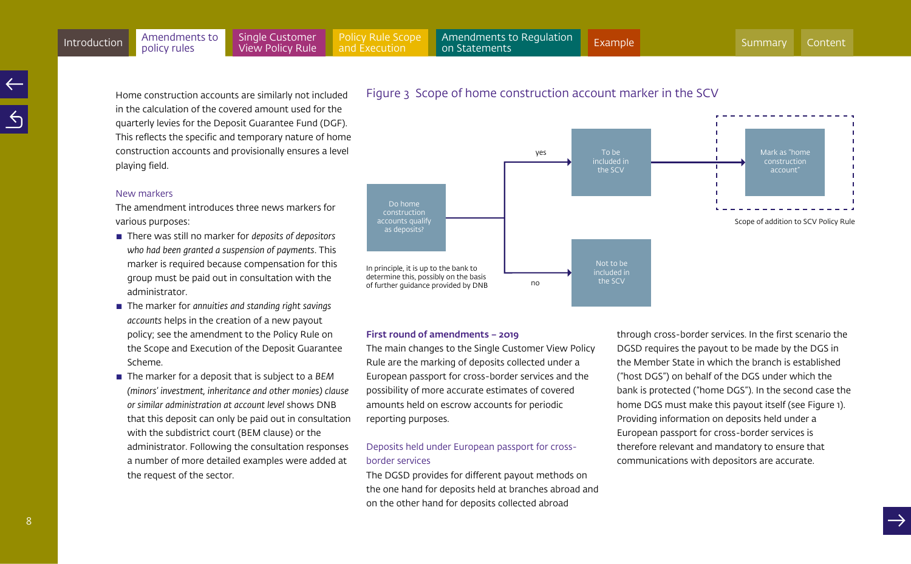Home construction accounts are similarly not included in the calculation of the covered amount used for the quarterly levies for the Deposit Guarantee Fund (DGF). This reflects the specific and temporary nature of home construction accounts and provisionally ensures a level playing field.

#### New markers

The amendment introduces three news markers for various purposes:

- There was still no marker for *deposits of depositors who had been granted a suspension of payments*. This marker is required because compensation for this group must be paid out in consultation with the administrator.
- The marker for *annuities and standing right savings accounts* helps in the creation of a new payout policy; see the amendment to the Policy Rule on the Scope and Execution of the Deposit Guarantee Scheme.
- The marker for a deposit that is subject to a *BEM (minors' investment, inheritance and other monies) clause or similar administration at account level* shows DNB that this deposit can only be paid out in consultation with the subdistrict court (BEM clause) or the administrator. Following the consultation responses a number of more detailed examples were added at the request of the sector.



# Figure 3 Scope of home construction account marker in the SCV

#### First round of amendments – 2019

The main changes to the Single Customer View Policy Rule are the marking of deposits collected under a European passport for cross-border services and the possibility of more accurate estimates of covered amounts held on escrow accounts for periodic reporting purposes.

# Deposits held under European passport for crossborder services

The DGSD provides for different payout methods on the one hand for deposits held at branches abroad and on the other hand for deposits collected abroad

through cross-border services. In the first scenario the DGSD requires the payout to be made by the DGS in the Member State in which the branch is established ("host DGS") on behalf of the DGS under which the bank is protected ("home DGS"). In the second case the home DGS must make this payout itself (see Figure 1). Providing information on deposits held under a European passport for cross-border services is therefore relevant and mandatory to ensure that communications with depositors are accurate.

#### 8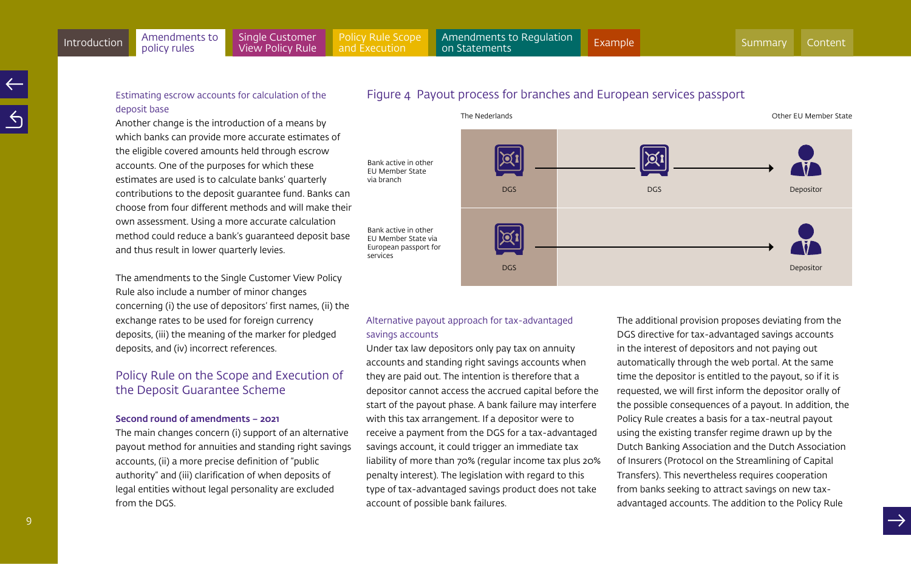Bank active in other EU Member State via branch

Bank active in other EU Member State via European passport for

services

# Estimating escrow accounts for calculation of the deposit base

policy rules

Another change is the introduction of a means by which banks can provide more accurate estimates of the eligible covered amounts held through escrow accounts. One of the purposes for which these estimates are used is to calculate banks' quarterly contributions to the deposit guarantee fund. Banks can choose from four different methods and will make their own assessment. Using a more accurate calculation method could reduce a bank's guaranteed deposit base and thus result in lower quarterly levies.

The amendments to the Single Customer View Policy Rule also include a number of minor changes concerning (i) the use of depositors' first names, (ii) the exchange rates to be used for foreign currency deposits, (iii) the meaning of the marker for pledged deposits, and (iv) incorrect references.

# Policy Rule on the Scope and Execution of the Deposit Guarantee Scheme

#### Second round of amendments – 2021

The main changes concern (i) support of an alternative payout method for annuities and standing right savings accounts, (ii) a more precise definition of "public authority" and (iii) clarification of when deposits of legal entities without legal personality are excluded from the DGS.





# Alternative payout approach for tax-advantaged savings accounts

Under tax law depositors only pay tax on annuity accounts and standing right savings accounts when they are paid out. The intention is therefore that a depositor cannot access the accrued capital before the start of the payout phase. A bank failure may interfere with this tax arrangement. If a depositor were to receive a payment from the DGS for a tax-advantaged savings account, it could trigger an immediate tax liability of more than 70% (regular income tax plus 20% penalty interest). The legislation with regard to this type of tax-advantaged savings product does not take account of possible bank failures.

The additional provision proposes deviating from the DGS directive for tax-advantaged savings accounts in the interest of depositors and not paying out automatically through the web portal. At the same time the depositor is entitled to the payout, so if it is requested, we will first inform the depositor orally of the possible consequences of a payout. In addition, the Policy Rule creates a basis for a tax-neutral payout using the existing transfer regime drawn up by the Dutch Banking Association and the Dutch Association of Insurers (Protocol on the Streamlining of Capital Transfers). This nevertheless requires cooperation from banks seeking to attract savings on new taxadvantaged accounts. The addition to the Policy Rule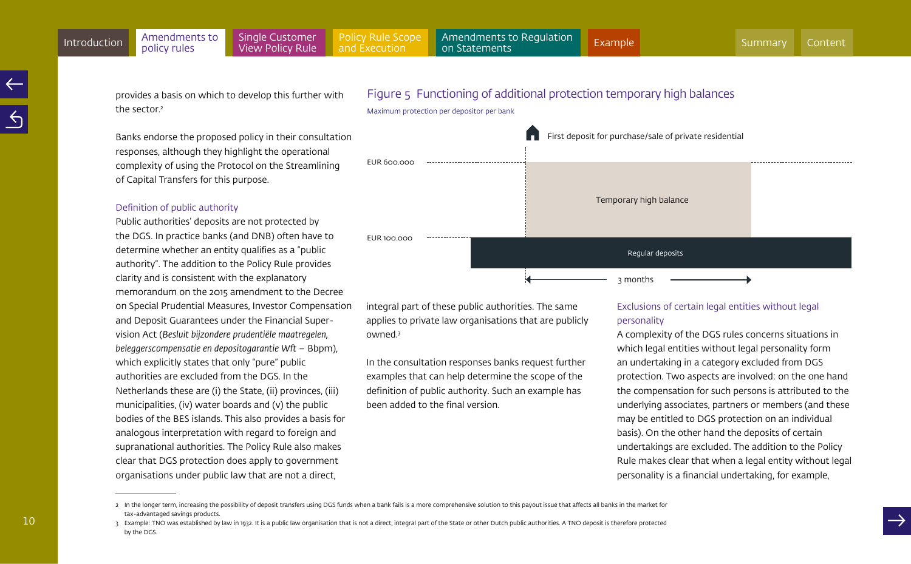provides a basis on which to develop this further with the sector?

Banks endorse the proposed policy in their consultation responses, although they highlight the operational complexity of using the Protocol on the Streamlining of Capital Transfers for this purpose.

#### Definition of public authority

Public authorities' deposits are not protected by the DGS. In practice banks (and DNB) often have to determine whether an entity qualifies as a "public authority". The addition to the Policy Rule provides clarity and is consistent with the explanatory memorandum on the 2015 amendment to the Decree on Special Prudential Measures, Investor Compensation and Deposit Guarantees under the Financial Supervision Act (*Besluit bijzondere prudentiële maatregelen, beleggerscompensatie en depositogarantie Wft* – Bbpm), which explicitly states that only "pure" public authorities are excluded from the DGS. In the Netherlands these are (i) the State, (ii) provinces, (iii) municipalities, (iv) water boards and (v) the public bodies of the BES islands. This also provides a basis for analogous interpretation with regard to foreign and supranational authorities. The Policy Rule also makes clear that DGS protection does apply to government organisations under public law that are not a direct,





integral part of these public authorities. The same applies to private law organisations that are publicly owned.3

In the consultation responses banks request further examples that can help determine the scope of the definition of public authority. Such an example has been added to the final version.

# Exclusions of certain legal entities without legal personality

A complexity of the DGS rules concerns situations in which legal entities without legal personality form an undertaking in a category excluded from DGS protection. Two aspects are involved: on the one hand the compensation for such persons is attributed to the underlying associates, partners or members (and these may be entitled to DGS protection on an individual basis). On the other hand the deposits of certain undertakings are excluded. The addition to the Policy Rule makes clear that when a legal entity without legal personality is a financial undertaking, for example,

<sup>2</sup> In the longer term, increasing the possibility of deposit transfers using DGS funds when a bank fails is a more comprehensive solution to this payout issue that affects all banks in the market for tax-advantaged savings products.

<sup>3</sup> Example: TNO was established by law in 1932. It is a public law organisation that is not a direct, integral part of the State or other Dutch public authorities. A TNO deposit is therefore protected by the DGS.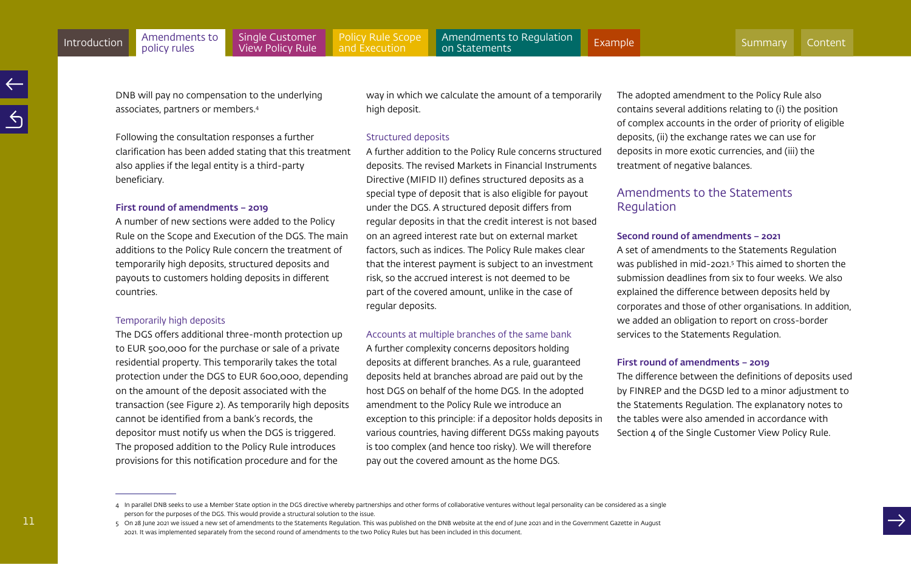11

DNB will pay no compensation to the underlying associates, partners or members.4

> Following the consultation responses a further clarification has been added stating that this treatment also applies if the legal entity is a third-party beneficiary.

#### First round of amendments – 2019

A number of new sections were added to the Policy Rule on the Scope and Execution of the DGS. The main additions to the Policy Rule concern the treatment of temporarily high deposits, structured deposits and payouts to customers holding deposits in different countries.

#### Temporarily high deposits

The DGS offers additional three-month protection up to EUR 500,000 for the purchase or sale of a private residential property. This temporarily takes the total protection under the DGS to EUR 600,000, depending on the amount of the deposit associated with the transaction (see Figure 2). As temporarily high deposits cannot be identified from a bank's records, the depositor must notify us when the DGS is triggered. The proposed addition to the Policy Rule introduces provisions for this notification procedure and for the

way in which we calculate the amount of a temporarily high deposit.

#### Structured deposits

A further addition to the Policy Rule concerns structured deposits. The revised Markets in Financial Instruments Directive (MIFID II) defines structured deposits as a special type of deposit that is also eligible for payout under the DGS. A structured deposit differs from regular deposits in that the credit interest is not based on an agreed interest rate but on external market factors, such as indices. The Policy Rule makes clear that the interest payment is subject to an investment risk, so the accrued interest is not deemed to be part of the covered amount, unlike in the case of regular deposits.

#### Accounts at multiple branches of the same bank

A further complexity concerns depositors holding deposits at different branches. As a rule, guaranteed deposits held at branches abroad are paid out by the host DGS on behalf of the home DGS. In the adopted amendment to the Policy Rule we introduce an exception to this principle: if a depositor holds deposits in various countries, having different DGSs making payouts is too complex (and hence too risky). We will therefore pay out the covered amount as the home DGS.

The adopted amendment to the Policy Rule also contains several additions relating to (i) the position of complex accounts in the order of priority of eligible deposits, (ii) the exchange rates we can use for deposits in more exotic currencies, and (iii) the treatment of negative balances.

# Amendments to the Statements Regulation

#### Second round of amendments – 2021

A set of amendments to the Statements Regulation was published in mid-2021.5 This aimed to shorten the submission deadlines from six to four weeks. We also explained the difference between deposits held by corporates and those of other organisations. In addition, we added an obligation to report on cross-border services to the Statements Regulation.

#### First round of amendments – 2019

The difference between the definitions of deposits used by FINREP and the DGSD led to a minor adjustment to the Statements Regulation. The explanatory notes to the tables were also amended in accordance with Section 4 of the Single Customer View Policy Rule.

<sup>4</sup> In parallel DNB seeks to use a Member State option in the DGS directive whereby partnerships and other forms of collaborative ventures without legal personality can be considered as a single person for the purposes of the DGS. This would provide a structural solution to the issue.

<sup>5</sup> On 28 June 2021 we issued a new set of amendments to the Statements Regulation. This was published on the DNB website at the end of June 2021 and in the Government Gazette in August 2021. It was implemented separately from the second round of amendments to the two Policy Rules but has been included in this document.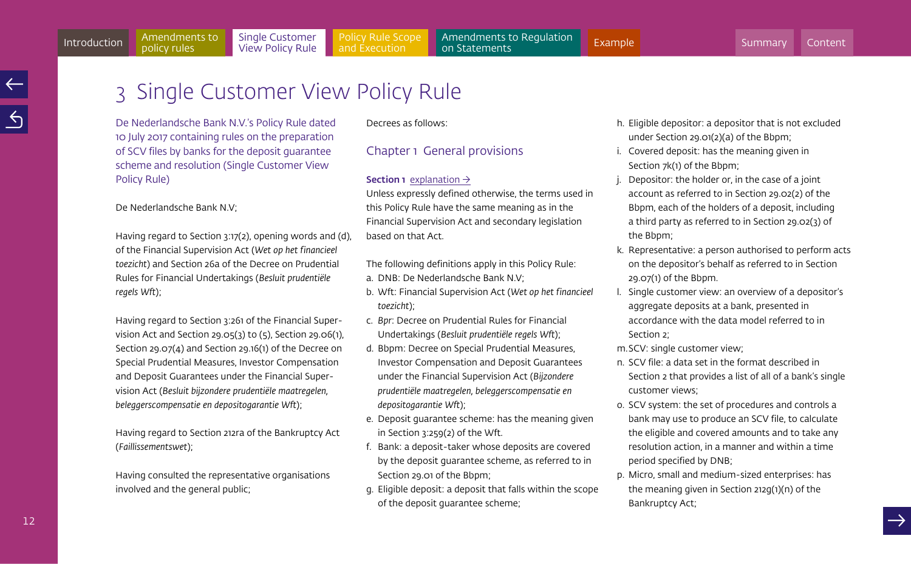h. Eligible depositor: a depositor that is not excluded

under Section 29.01(2)(a) of the Bbpm;

- i. Covered deposit: has the meaning given in Section 7k(1) of the Bbpm;
- j. Depositor: the holder or, in the case of a joint account as referred to in Section 29.02(2) of the Bbpm, each of the holders of a deposit, including a third party as referred to in Section 29.02(3) of the Bbpm;
- k. Representative: a person authorised to perform acts on the depositor's behalf as referred to in Section 29.07(1) of the Bbpm.
- l. Single customer view: an overview of a depositor's aggregate deposits at a bank, presented in accordance with the data model referred to in Section 2;
- m.SCV: single customer view;
- n. SCV file: a data set in the format described in Section 2 that provides a list of all of a bank's single customer views;
- o. SCV system: the set of procedures and controls a bank may use to produce an SCV file, to calculate the eligible and covered amounts and to take any resolution action, in a manner and within a time period specified by DNB;
- p. Micro, small and medium-sized enterprises: has the meaning given in Section 212g(1)(n) of the Bankruptcy Act;

# <span id="page-11-1"></span><span id="page-11-0"></span>3 Single Customer View Policy Rule

De Nederlandsche Bank N.V.'s Policy Rule dated 10 July 2017 containing rules on the preparation of SCV files by banks for the deposit guarantee scheme and resolution (Single Customer View Policy Rule)

De Nederlandsche Bank N.V;

policy rules

Having regard to Section 3:17(2), opening words and (d), of the Financial Supervision Act (*Wet op het financieel toezicht*) and Section 26a of the Decree on Prudential Rules for Financial Undertakings (*Besluit prudentiële regels Wft*);

Having regard to Section 3:261 of the Financial Supervision Act and Section 29.05(3) to (5), Section 29.06(1), Section 29.07(4) and Section 29.16(1) of the Decree on Special Prudential Measures, Investor Compensation and Deposit Guarantees under the Financial Supervision Act (*Besluit bijzondere prudentiële maatregelen, beleggerscompensatie en depositogarantie Wft*);

Having regard to Section 212ra of the Bankruptcy Act (*Faillissementswet*);

Having consulted the representative organisations involved and the general public;

Decrees as follows:

# Chapter 1 General provisions

# **Section 1** [explanation](#page-19-0)  $\rightarrow$

Unless expressly defined otherwise, the terms used in this Policy Rule have the same meaning as in the Financial Supervision Act and secondary legislation based on that Act.

The following definitions apply in this Policy Rule:

- a. DNB: De Nederlandsche Bank N.V;
- b. Wft: Financial Supervision Act (*Wet op het financieel toezicht*);
- c. *Bpr*: Decree on Prudential Rules for Financial Undertakings (*Besluit prudentiële regels Wft*);
- d. Bbpm: Decree on Special Prudential Measures, Investor Compensation and Deposit Guarantees under the Financial Supervision Act (*Bijzondere prudentiële maatregelen, beleggerscompensatie en depositogarantie Wft*);
- e. Deposit guarantee scheme: has the meaning given in Section 3:259(2) of the Wft.
- f. Bank: a deposit-taker whose deposits are covered by the deposit guarantee scheme, as referred to in Section 29.01 of the Bbpm;
- g. Eligible deposit: a deposit that falls within the scope of the deposit guarantee scheme;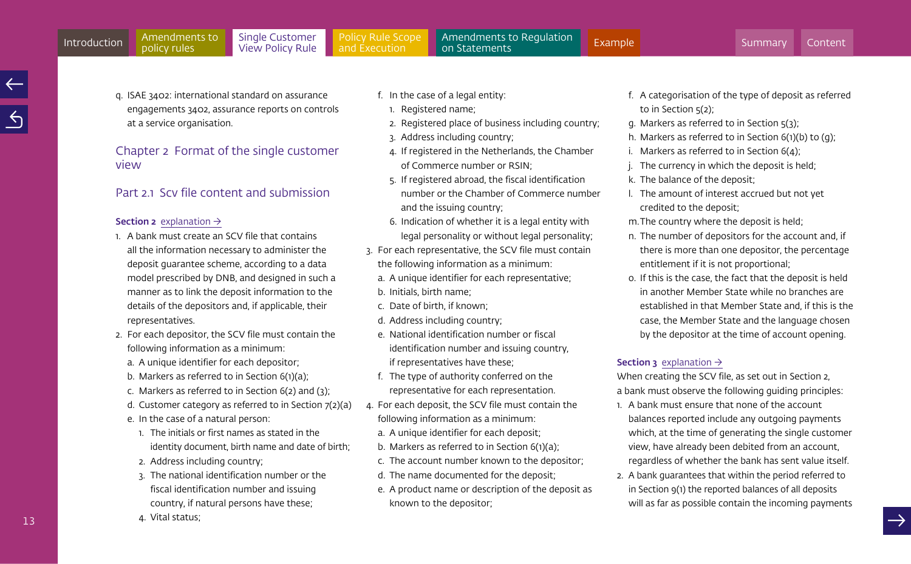<span id="page-12-0"></span>q. ISAE 3402: international standard on assurance engagements 3402, assurance reports on controls at a service organisation.

Chapter 2 Format of the single customer view

# Part 2.1. Scy file content and submission

#### **Section 2** [explanation](#page-20-0)  $\rightarrow$

- 1. A bank must create an SCV file that contains all the information necessary to administer the deposit guarantee scheme, according to a data model prescribed by DNB, and designed in such a manner as to link the deposit information to the details of the depositors and, if applicable, their representatives.
- 2. For each depositor, the SCV file must contain the following information as a minimum:
	- a. A unique identifier for each depositor;
	- b. Markers as referred to in Section 6(1)(a);
	- c. Markers as referred to in Section 6(2) and (3);
	- d. Customer category as referred to in Section 7(2)(a)
	- e. In the case of a natural person:
	- 1. The initials or first names as stated in the identity document, birth name and date of birth;
	- 2. Address including country;

4. Vital status;

3. The national identification number or the fiscal identification number and issuing country, if natural persons have these;

- f. In the case of a legal entity:
	- 1. Registered name;
	- 2. Registered place of business including country;
	- 3. Address including country;
	- 4. If registered in the Netherlands, the Chamber of Commerce number or RSIN;
	- 5. If registered abroad, the fiscal identification number or the Chamber of Commerce number and the issuing country;
	- 6. Indication of whether it is a legal entity with legal personality or without legal personality;
- 3. For each representative, the SCV file must contain the following information as a minimum:
	- a. A unique identifier for each representative;
	- b. Initials, birth name;
	- c. Date of birth, if known;
	- d. Address including country;
	- e. National identification number or fiscal identification number and issuing country, if representatives have these;
	- f. The type of authority conferred on the representative for each representation.
- 4. For each deposit, the SCV file must contain the following information as a minimum:
	- a. A unique identifier for each deposit;
	- b. Markers as referred to in Section 6(1)(a);
	- c. The account number known to the depositor;
	- d. The name documented for the deposit;
	- e. A product name or description of the deposit as known to the depositor;
- f. A categorisation of the type of deposit as referred to in Section  $5(2)$ :
- g. Markers as referred to in Section 5(3);
- h. Markers as referred to in Section 6(1)(b) to (g);
- i. Markers as referred to in Section 6(4);
- j. The currency in which the deposit is held;
- k. The balance of the deposit;
- l. The amount of interest accrued but not yet credited to the deposit;
- m.The country where the deposit is held;
- n. The number of depositors for the account and, if there is more than one depositor, the percentage entitlement if it is not proportional;
- o. If this is the case, the fact that the deposit is held in another Member State while no branches are established in that Member State and, if this is the case, the Member State and the language chosen by the depositor at the time of account opening.

# **Section 3** [explanation](#page-22-0)  $\rightarrow$

When creating the SCV file, as set out in Section 2, a bank must observe the following guiding principles:

- 1. A bank must ensure that none of the account balances reported include any outgoing payments which, at the time of generating the single customer view, have already been debited from an account, regardless of whether the bank has sent value itself.
- 2. A bank guarantees that within the period referred to in Section 9(1) the reported balances of all deposits will as far as possible contain the incoming payments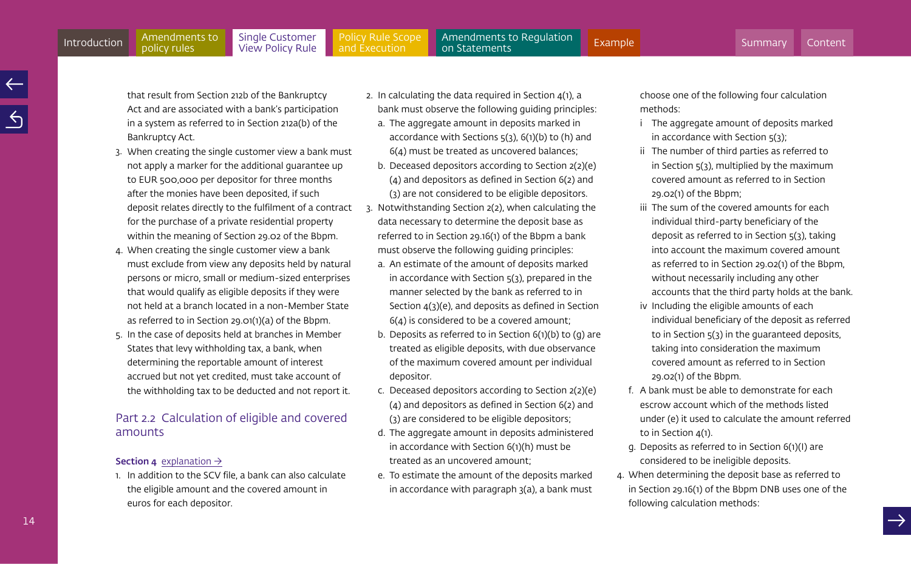14

policy rules

[Policy Rule Scope](#page-35-0)  and Execution

<span id="page-13-0"></span>Amendments to Regulation<br>on Statements [Introduction](#page-3-0) Amendments to Single Customer Policy Rule Scope Amendments to Regulation [Example](#page-60-0)<br>Introduction policy rules View Policy Rule and Execution on Statements

that result from Section 212b of the Bankruptcy Act and are associated with a bank's participation in a system as referred to in Section 212a(b) of the Bankruptcy Act.

- 3. When creating the single customer view a bank must not apply a marker for the additional guarantee up to EUR 500,000 per depositor for three months after the monies have been deposited, if such deposit relates directly to the fulfilment of a contract for the purchase of a private residential property within the meaning of Section 29.02 of the Bbpm.
- 4. When creating the single customer view a bank must exclude from view any deposits held by natural persons or micro, small or medium-sized enterprises that would qualify as eligible deposits if they were not held at a branch located in a non-Member State as referred to in Section 29.01(1)(a) of the Bbpm.
- 5. In the case of deposits held at branches in Member States that levy withholding tax, a bank, when determining the reportable amount of interest accrued but not yet credited, must take account of the withholding tax to be deducted and not report it.

# Part 2.2 Calculation of eligible and covered amounts

# **Section 4** [explanation](#page-23-0)  $\rightarrow$

1. In addition to the SCV file, a bank can also calculate the eligible amount and the covered amount in euros for each depositor.

- 2. In calculating the data required in Section 4(1), a bank must observe the following guiding principles:
	- a. The aggregate amount in deposits marked in accordance with Sections  $5(3)$ ,  $6(1)(b)$  to (h) and 6(4) must be treated as uncovered balances;
	- b. Deceased depositors according to Section 2(2)(e) (4) and depositors as defined in Section 6(2) and (3) are not considered to be eligible depositors.
- 3. Notwithstanding Section 2(2), when calculating the data necessary to determine the deposit base as referred to in Section 29.16(1) of the Bbpm a bank must observe the following guiding principles:
	- a. An estimate of the amount of deposits marked in accordance with Section 5(3), prepared in the manner selected by the bank as referred to in Section 4(3)(e), and deposits as defined in Section 6(4) is considered to be a covered amount;
	- b. Deposits as referred to in Section 6(1)(b) to (g) are treated as eligible deposits, with due observance of the maximum covered amount per individual depositor.
	- c. Deceased depositors according to Section 2(2)(e) (4) and depositors as defined in Section 6(2) and (3) are considered to be eligible depositors;
	- d. The aggregate amount in deposits administered in accordance with Section 6(1)(h) must be treated as an uncovered amount;
	- e. To estimate the amount of the deposits marked in accordance with paragraph 3(a), a bank must

choose one of the following four calculation methods:

- i The aggregate amount of deposits marked in accordance with Section 5(3);
- ii The number of third parties as referred to in Section 5(3), multiplied by the maximum covered amount as referred to in Section 29.02(1) of the Bbpm;
- iii The sum of the covered amounts for each individual third-party beneficiary of the deposit as referred to in Section 5(3), taking into account the maximum covered amount as referred to in Section 29.02(1) of the Bbpm, without necessarily including any other accounts that the third party holds at the bank.
- iv Including the eligible amounts of each individual beneficiary of the deposit as referred to in Section 5(3) in the guaranteed deposits, taking into consideration the maximum covered amount as referred to in Section 29.02(1) of the Bbpm.
- f. A bank must be able to demonstrate for each escrow account which of the methods listed under (e) it used to calculate the amount referred to in Section 4(1).
- g. Deposits as referred to in Section 6(1)(I) are considered to be ineligible deposits.
- 4. When determining the deposit base as referred to in Section 29.16(1) of the Bbpm DNB uses one of the following calculation methods: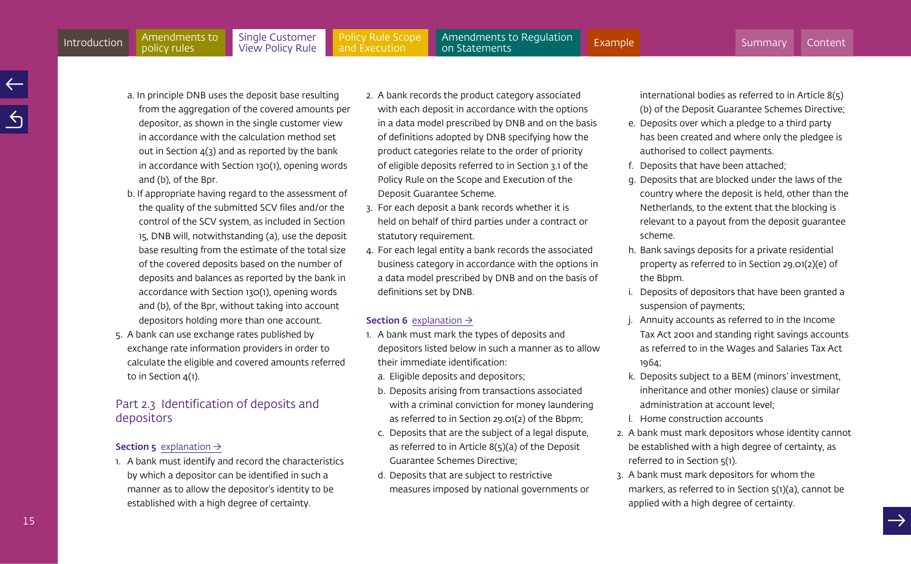<span id="page-14-0"></span>a. In principle DNB uses the deposit base resulting from the aggregation of the covered amounts per depositor, as shown in the single customer view in accordance with the calculation method set

- out in Section  $4(3)$  and as reported by the bank in accordance with Section 130(1), opening words and (b), of the Bpr. b. If appropriate having regard to the assessment of
- the quality of the submitted SCV files and/or the control of the SCV system, as included in Section 15, DNB will, notwithstanding (a), use the deposit base resulting from the estimate of the total size of the covered deposits based on the number of deposits and balances as reported by the bank in accordance with Section 130(1), opening words and (b), of the Bpr, without taking into account depositors holding more than one account.
- 5. A bank can use exchange rates published by exchange rate information providers in order to calculate the eligible and covered amounts referred to in Section 4(1).

# Part 2.3 Identification of deposits and depositors

# **Section 5** [explanation](#page-26-0)  $\rightarrow$

1. A bank must identify and record the characteristics by which a depositor can be identified in such a manner as to allow the depositor's identity to be established with a high degree of certainty.

- 2. A bank records the product category associated with each deposit in accordance with the options in a data model prescribed by DNB and on the basis of definitions adopted by DNB specifying how the product categories relate to the order of priority of eligible deposits referred to in Section 3.1 of the Policy Rule on the Scope and Execution of the Deposit Guarantee Scheme.
- 3. For each deposit a bank records whether it is held on behalf of third parties under a contract or statutory requirement.
- 4. For each legal entity a bank records the associated business category in accordance with the options in a data model prescribed by DNB and on the basis of definitions set by DNB.

### **Section 6** [explanation](#page-27-0)  $\rightarrow$

- 1. A bank must mark the types of deposits and depositors listed below in such a manner as to allow their immediate identification:
	- a. Eligible deposits and depositors;
	- b. Deposits arising from transactions associated with a criminal conviction for money laundering as referred to in Section 29.01(2) of the Bbpm;
	- c. Deposits that are the subject of a legal dispute, as referred to in Article 8(5)(a) of the Deposit Guarantee Schemes Directive;
	- d. Deposits that are subject to restrictive measures imposed by national governments or

international bodies as referred to in Article 8(5) (b) of the Deposit Guarantee Schemes Directive;

- e. Deposits over which a pledge to a third party has been created and where only the pledgee is authorised to collect payments.
- f. Deposits that have been attached;
- g. Deposits that are blocked under the laws of the country where the deposit is held, other than the Netherlands, to the extent that the blocking is relevant to a payout from the deposit guarantee scheme.
- h. Bank savings deposits for a private residential property as referred to in Section 29.01(2)(e) of the Bbpm.
- i. Deposits of depositors that have been granted a suspension of payments;
- j. Annuity accounts as referred to in the Income Tax Act 2001 and standing right savings accounts as referred to in the Wages and Salaries Tax Act 1964;
- k. Deposits subject to a BEM (minors' investment, inheritance and other monies) clause or similar administration at account level;
- l. Home construction accounts
- 2. A bank must mark depositors whose identity cannot be established with a high degree of certainty, as referred to in Section 5(1).
- 3. A bank must mark depositors for whom the markers, as referred to in Section 5(1)(a), cannot be applied with a high degree of certainty.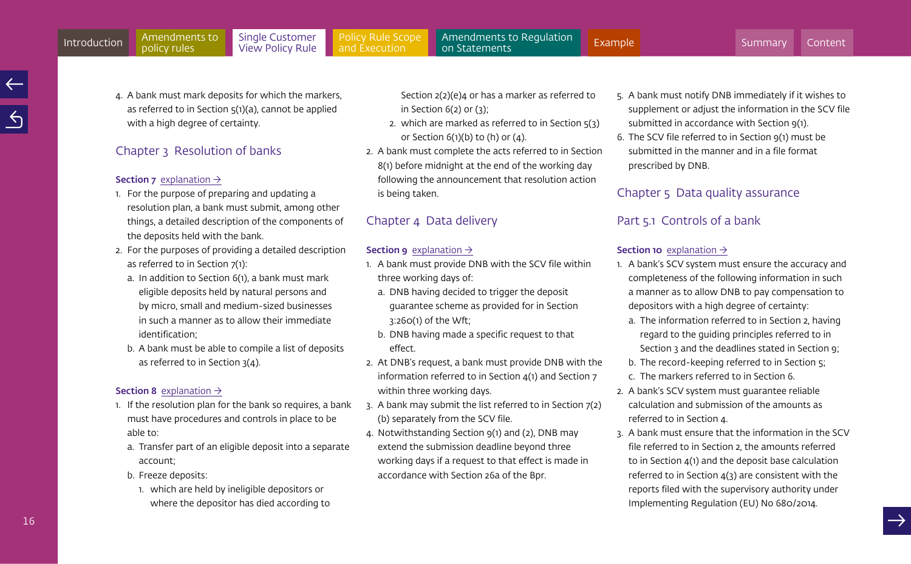<span id="page-15-0"></span>4. A bank must mark deposits for which the markers, as referred to in Section 5(1)(a), cannot be applied with a high degree of certainty.

# Chapter 3 Resolution of banks

#### **Section 7** [explanation](#page-29-0)  $\rightarrow$

- 1. For the purpose of preparing and updating a resolution plan, a bank must submit, among other things, a detailed description of the components of the deposits held with the bank.
- 2. For the purposes of providing a detailed description as referred to in Section 7(1):
	- a. In addition to Section 6(1), a bank must mark eligible deposits held by natural persons and by micro, small and medium-sized businesses in such a manner as to allow their immediate identification;
	- b. A bank must be able to compile a list of deposits as referred to in Section 3(4).

#### **Section 8** [explanation](#page-29-0)  $\rightarrow$

- 1. If the resolution plan for the bank so requires, a bank must have procedures and controls in place to be able to:
	- a. Transfer part of an eligible deposit into a separate account;
	- b. Freeze deposits:
		- 1. which are held by ineligible depositors or where the depositor has died according to

Section 2(2)(e)4 or has a marker as referred to in Section 6(2) or (3);

- 2. which are marked as referred to in Section  $5(3)$ or Section  $6(1)(b)$  to  $(h)$  or  $(4)$ .
- 2. A bank must complete the acts referred to in Section 8(1) before midnight at the end of the working day following the announcement that resolution action is being taken.

# Chapter 4 Data delivery

#### **Section 9** [explanation](#page-30-0)  $\rightarrow$

- 1. A bank must provide DNB with the SCV file within three working days of:
	- a. DNB having decided to trigger the deposit guarantee scheme as provided for in Section 3:260(1) of the Wft;
	- b. DNB having made a specific request to that effect.
- 2. At DNB's request, a bank must provide DNB with the information referred to in Section 4(1) and Section 7 within three working days.
- 3. A bank may submit the list referred to in Section 7(2) (b) separately from the SCV file.
- 4. Notwithstanding Section 9(1) and (2), DNB may extend the submission deadline beyond three working days if a request to that effect is made in accordance with Section 26a of the Bpr.
- 5. A bank must notify DNB immediately if it wishes to supplement or adjust the information in the SCV file submitted in accordance with Section 9(1).
- 6. The SCV file referred to in Section 9(1) must be submitted in the manner and in a file format prescribed by DNB.

# Chapter 5 Data quality assurance

# Part 5.1 Controls of a bank

# **Section 10** [explanation](#page-31-0)  $\rightarrow$

- 1. A bank's SCV system must ensure the accuracy and completeness of the following information in such a manner as to allow DNB to pay compensation to depositors with a high degree of certainty:
	- a. The information referred to in Section 2, having regard to the guiding principles referred to in Section 3 and the deadlines stated in Section 9;
	- b. The record-keeping referred to in Section 5;
	- c. The markers referred to in Section 6.
- 2. A bank's SCV system must guarantee reliable calculation and submission of the amounts as referred to in Section 4.
- 3. A bank must ensure that the information in the SCV file referred to in Section 2, the amounts referred to in Section 4(1) and the deposit base calculation referred to in Section 4(3) are consistent with the reports filed with the supervisory authority under Implementing Regulation (EU) No 680/2014.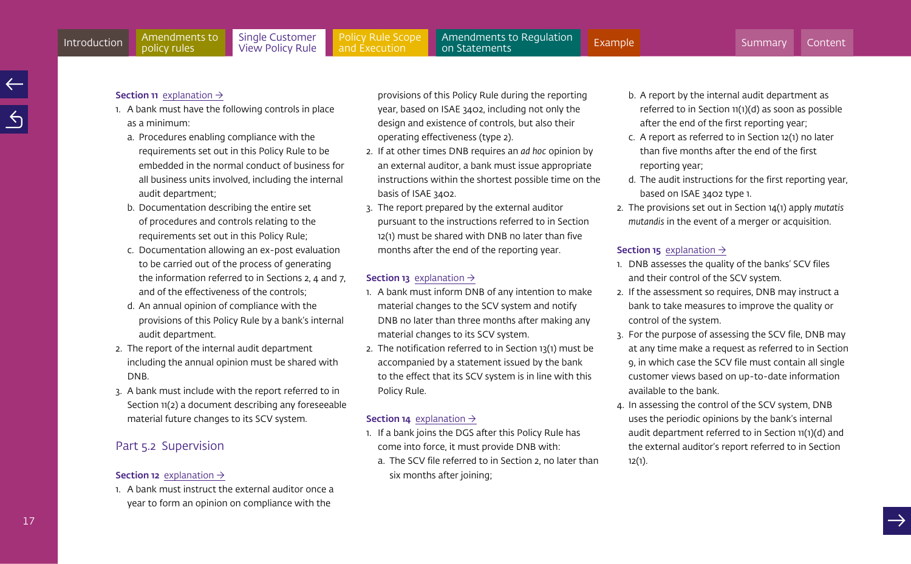#### <span id="page-16-0"></span>**Section 11** [explanation](#page-31-0)  $\rightarrow$

policy rules

- 1. A bank must have the following controls in place as a minimum:
	- a. Procedures enabling compliance with the requirements set out in this Policy Rule to be embedded in the normal conduct of business for all business units involved, including the internal audit department;
	- b. Documentation describing the entire set of procedures and controls relating to the requirements set out in this Policy Rule;
	- c. Documentation allowing an ex-post evaluation to be carried out of the process of generating the information referred to in Sections 2, 4 and 7, and of the effectiveness of the controls;
	- d. An annual opinion of compliance with the provisions of this Policy Rule by a bank's internal audit department.
- 2. The report of the internal audit department including the annual opinion must be shared with DNB.
- 3. A bank must include with the report referred to in Section 11(2) a document describing any foreseeable material future changes to its SCV system.

# Part 5.2 Supervision

# **Section 12** [explanation](#page-32-0)  $\rightarrow$

1. A bank must instruct the external auditor once a year to form an opinion on compliance with the

provisions of this Policy Rule during the reporting year, based on ISAE 3402, including not only the design and existence of controls, but also their operating effectiveness (type 2).

- 2. If at other times DNB requires an *ad hoc* opinion by an external auditor, a bank must issue appropriate instructions within the shortest possible time on the basis of ISAE 3402.
- 3. The report prepared by the external auditor pursuant to the instructions referred to in Section 12(1) must be shared with DNB no later than five months after the end of the reporting year.

# **Section 13** [explanation](#page-33-0)  $\rightarrow$

- 1. A bank must inform DNB of any intention to make material changes to the SCV system and notify DNB no later than three months after making any material changes to its SCV system.
- 2. The notification referred to in Section 13(1) must be accompanied by a statement issued by the bank to the effect that its SCV system is in line with this Policy Rule.

# **Section 14** [explanation](#page-33-0)  $\rightarrow$

- 1. If a bank joins the DGS after this Policy Rule has come into force, it must provide DNB with:
	- a. The SCV file referred to in Section 2, no later than six months after joining;
- b. A report by the internal audit department as referred to in Section 11(1)(d) as soon as possible after the end of the first reporting year;
- c. A report as referred to in Section 12(1) no later than five months after the end of the first reporting year;
- d. The audit instructions for the first reporting year, based on ISAE 3402 type 1.
- 2. The provisions set out in Section 14(1) apply *mutatis mutandis* in the event of a merger or acquisition.

# **Section 15** [explanation](#page-33-0)  $\rightarrow$

- 1. DNB assesses the quality of the banks' SCV files and their control of the SCV system.
- 2. If the assessment so requires, DNB may instruct a bank to take measures to improve the quality or control of the system.
- 3. For the purpose of assessing the SCV file, DNB may at any time make a request as referred to in Section 9, in which case the SCV file must contain all single customer views based on up-to-date information available to the bank.
- 4. In assessing the control of the SCV system, DNB uses the periodic opinions by the bank's internal audit department referred to in Section 11(1)(d) and the external auditor's report referred to in Section 12(1).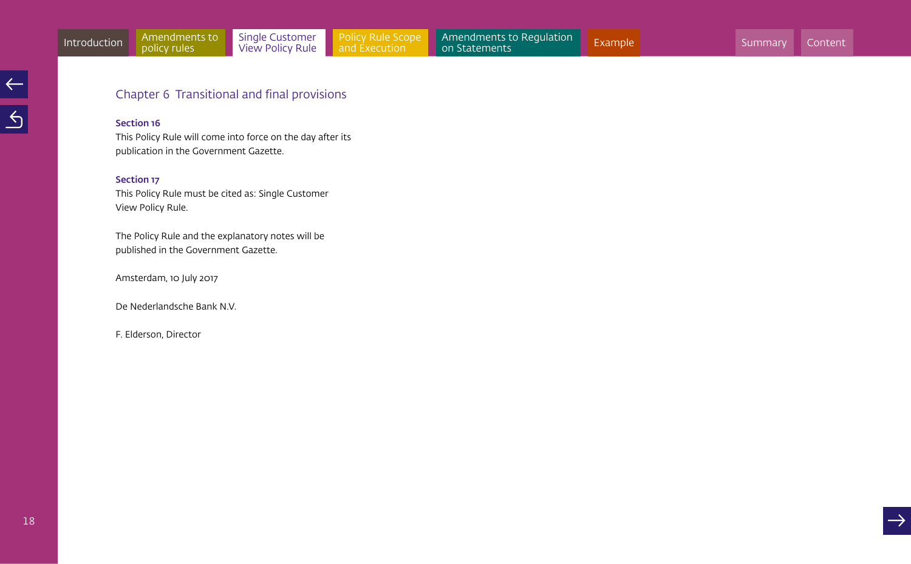# Chapter 6 Transitional and final provisions

# Section 16

This Policy Rule will come into force on the day after its publication in the Government Gazette.

# Section 17

This Policy Rule must be cited as: Single Customer View Policy Rule.

The Policy Rule and the explanatory notes will be published in the Government Gazette.

Amsterdam, 10 July 2017

De Nederlandsche Bank N.V.

F. Elderson, Director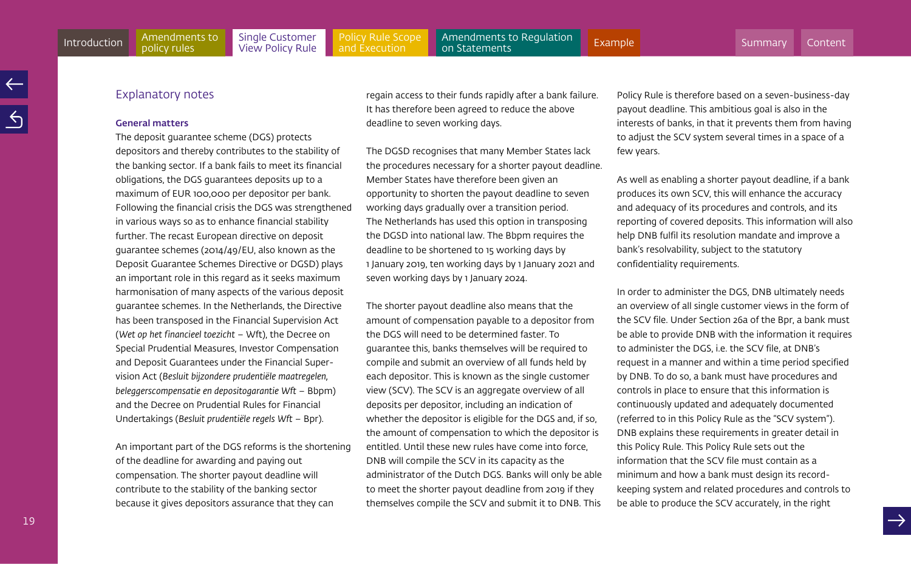# Explanatory notes

policy rules

#### General matters

The deposit guarantee scheme (DGS) protects depositors and thereby contributes to the stability of the banking sector. If a bank fails to meet its financial obligations, the DGS guarantees deposits up to a maximum of EUR 100,000 per depositor per bank. Following the financial crisis the DGS was strengthened in various ways so as to enhance financial stability further. The recast European directive on deposit guarantee schemes (2014/49/EU, also known as the Deposit Guarantee Schemes Directive or DGSD) plays an important role in this regard as it seeks maximum harmonisation of many aspects of the various deposit guarantee schemes. In the Netherlands, the Directive has been transposed in the Financial Supervision Act (*Wet op het financieel toezicht* – Wft), the Decree on Special Prudential Measures, Investor Compensation and Deposit Guarantees under the Financial Supervision Act (*Besluit bijzondere prudentiële maatregelen, beleggerscompensatie en depositogarantie Wft* – Bbpm) and the Decree on Prudential Rules for Financial Undertakings (*Besluit prudentiële regels Wft* – Bpr).

An important part of the DGS reforms is the shortening of the deadline for awarding and paying out compensation. The shorter payout deadline will contribute to the stability of the banking sector because it gives depositors assurance that they can

regain access to their funds rapidly after a bank failure. It has therefore been agreed to reduce the above deadline to seven working days.

The DGSD recognises that many Member States lack the procedures necessary for a shorter payout deadline. Member States have therefore been given an opportunity to shorten the payout deadline to seven working days gradually over a transition period. The Netherlands has used this option in transposing the DGSD into national law. The Bbpm requires the deadline to be shortened to 15 working days by 1 January 2019, ten working days by 1 January 2021 and seven working days by 1 January 2024.

The shorter payout deadline also means that the amount of compensation payable to a depositor from the DGS will need to be determined faster. To guarantee this, banks themselves will be required to compile and submit an overview of all funds held by each depositor. This is known as the single customer view (SCV). The SCV is an aggregate overview of all deposits per depositor, including an indication of whether the depositor is eligible for the DGS and, if so, the amount of compensation to which the depositor is entitled. Until these new rules have come into force, DNB will compile the SCV in its capacity as the administrator of the Dutch DGS. Banks will only be able to meet the shorter payout deadline from 2019 if they themselves compile the SCV and submit it to DNB. This

Policy Rule is therefore based on a seven-business-day payout deadline. This ambitious goal is also in the interests of banks, in that it prevents them from having to adjust the SCV system several times in a space of a few years.

As well as enabling a shorter payout deadline, if a bank produces its own SCV, this will enhance the accuracy and adequacy of its procedures and controls, and its reporting of covered deposits. This information will also help DNB fulfil its resolution mandate and improve a bank's resolvability, subject to the statutory confidentiality requirements.

In order to administer the DGS, DNB ultimately needs an overview of all single customer views in the form of the SCV file. Under Section 26a of the Bpr, a bank must be able to provide DNB with the information it requires to administer the DGS, i.e. the SCV file, at DNB's request in a manner and within a time period specified by DNB. To do so, a bank must have procedures and controls in place to ensure that this information is continuously updated and adequately documented (referred to in this Policy Rule as the "SCV system"). DNB explains these requirements in greater detail in this Policy Rule. This Policy Rule sets out the information that the SCV file must contain as a minimum and how a bank must design its recordkeeping system and related procedures and controls to be able to produce the SCV accurately, in the right

19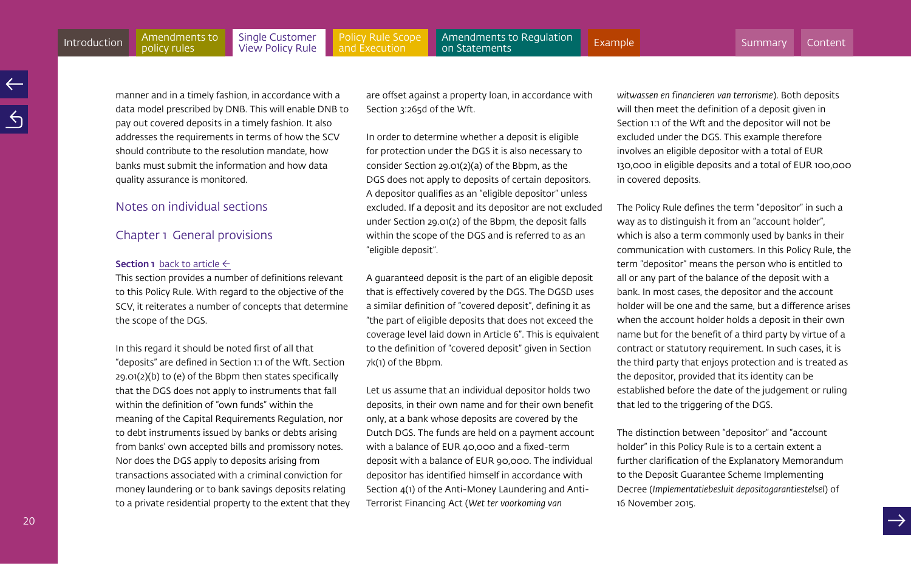[Policy Rule Scope](#page-35-0)  and Execution

<span id="page-19-0"></span>manner and in a timely fashion, in accordance with a data model prescribed by DNB. This will enable DNB to pay out covered deposits in a timely fashion. It also addresses the requirements in terms of how the SCV should contribute to the resolution mandate, how banks must submit the information and how data quality assurance is monitored.

# Notes on individual sections

# Chapter 1 General provisions

#### **Section 1** [back to article](#page-11-1)  $\leftarrow$

policy rules

This section provides a number of definitions relevant to this Policy Rule. With regard to the objective of the SCV, it reiterates a number of concepts that determine the scope of the DGS.

In this regard it should be noted first of all that "deposits" are defined in Section 1:1 of the Wft. Section 29.01(2)(b) to (e) of the Bbpm then states specifically that the DGS does not apply to instruments that fall within the definition of "own funds" within the meaning of the Capital Requirements Regulation, nor to debt instruments issued by banks or debts arising from banks' own accepted bills and promissory notes. Nor does the DGS apply to deposits arising from transactions associated with a criminal conviction for money laundering or to bank savings deposits relating to a private residential property to the extent that they are offset against a property loan, in accordance with Section 3:265d of the Wft.

In order to determine whether a deposit is eligible for protection under the DGS it is also necessary to consider Section 29.01(2)(a) of the Bbpm, as the DGS does not apply to deposits of certain depositors. A depositor qualifies as an "eligible depositor" unless excluded. If a deposit and its depositor are not excluded under Section 29.01(2) of the Bbpm, the deposit falls within the scope of the DGS and is referred to as an "eligible deposit".

A guaranteed deposit is the part of an eligible deposit that is effectively covered by the DGS. The DGSD uses a similar definition of "covered deposit", defining it as "the part of eligible deposits that does not exceed the coverage level laid down in Article 6". This is equivalent to the definition of "covered deposit" given in Section 7k(1) of the Bbpm.

Let us assume that an individual depositor holds two deposits, in their own name and for their own benefit only, at a bank whose deposits are covered by the Dutch DGS. The funds are held on a payment account with a balance of EUR 40,000 and a fixed-term deposit with a balance of EUR 90,000. The individual depositor has identified himself in accordance with Section 4(1) of the Anti-Money Laundering and Anti-Terrorist Financing Act (*Wet ter voorkoming van* 

*witwassen en financieren van terrorisme*). Both deposits will then meet the definition of a deposit given in Section 1:1 of the Wft and the depositor will not be excluded under the DGS. This example therefore involves an eligible depositor with a total of EUR 130,000 in eligible deposits and a total of EUR 100,000 in covered deposits.

The Policy Rule defines the term "depositor" in such a way as to distinguish it from an "account holder", which is also a term commonly used by banks in their communication with customers. In this Policy Rule, the term "depositor" means the person who is entitled to all or any part of the balance of the deposit with a bank. In most cases, the depositor and the account holder will be one and the same, but a difference arises when the account holder holds a deposit in their own name but for the benefit of a third party by virtue of a contract or statutory requirement. In such cases, it is the third party that enjoys protection and is treated as the depositor, provided that its identity can be established before the date of the judgement or ruling that led to the triggering of the DGS.

The distinction between "depositor" and "account holder" in this Policy Rule is to a certain extent a further clarification of the Explanatory Memorandum to the Deposit Guarantee Scheme Implementing Decree (*Implementatiebesluit depositogarantiestelsel*) of 16 November 2015.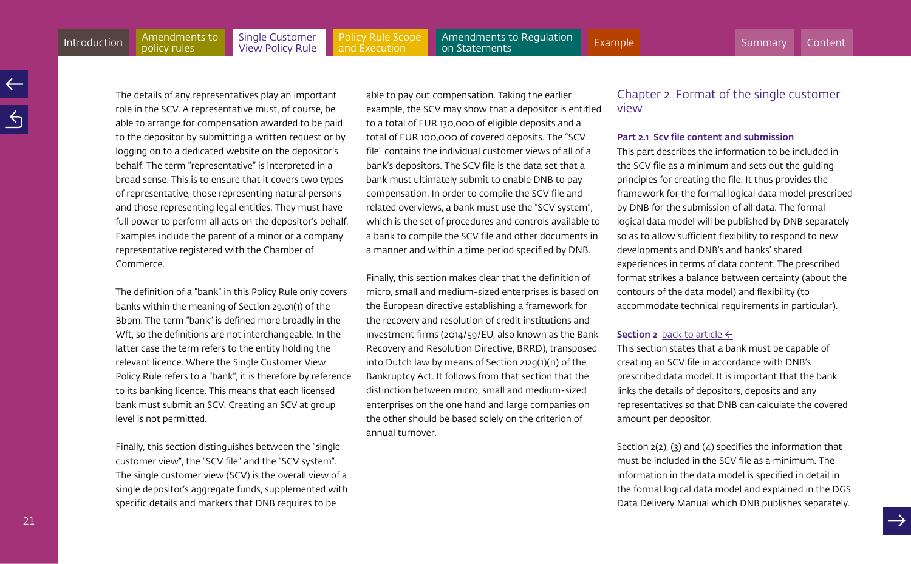[Policy Rule Scope](#page-35-0)  and Execution

<span id="page-20-0"></span>Amendments to Regulation<br>on Statements [Introduction](#page-3-0) Amendments to Single Customer Policy Rule Scope Amendments to Regulation [Example](#page-60-0)<br>Introduction policy rules View Policy Rule and Execution on Statements

The details of any representatives play an important role in the SCV. A representative must, of course, be able to arrange for compensation awarded to be paid to the depositor by submitting a written request or by logging on to a dedicated website on the depositor's behalf. The term "representative" is interpreted in a broad sense. This is to ensure that it covers two types of representative, those representing natural persons and those representing legal entities. They must have full power to perform all acts on the depositor's behalf. Examples include the parent of a minor or a company representative registered with the Chamber of Commerce.

The definition of a "bank" in this Policy Rule only covers banks within the meaning of Section 29.01(1) of the Bbpm. The term "bank" is defined more broadly in the Wft, so the definitions are not interchangeable. In the latter case the term refers to the entity holding the relevant licence. Where the Single Customer View Policy Rule refers to a "bank", it is therefore by reference to its banking licence. This means that each licensed bank must submit an SCV. Creating an SCV at group level is not permitted.

Finally, this section distinguishes between the "single customer view", the "SCV file" and the "SCV system". The single customer view (SCV) is the overall view of a single depositor's aggregate funds, supplemented with specific details and markers that DNB requires to be

able to pay out compensation. Taking the earlier example, the SCV may show that a depositor is entitled to a total of EUR 130,000 of eligible deposits and a total of EUR 100,000 of covered deposits. The "SCV file" contains the individual customer views of all of a bank's depositors. The SCV file is the data set that a bank must ultimately submit to enable DNB to pay compensation. In order to compile the SCV file and related overviews, a bank must use the "SCV system", which is the set of procedures and controls available to a bank to compile the SCV file and other documents in a manner and within a time period specified by DNB.

Finally, this section makes clear that the definition of micro, small and medium-sized enterprises is based on the European directive establishing a framework for the recovery and resolution of credit institutions and investment firms (2014/59/EU, also known as the Bank Recovery and Resolution Directive, BRRD), transposed into Dutch law by means of Section 212g(1)(n) of the Bankruptcy Act. It follows from that section that the distinction between micro, small and medium-sized enterprises on the one hand and large companies on the other should be based solely on the criterion of annual turnover.

# Chapter 2 Format of the single customer view

#### Part 2.1 Scv file content and submission

This part describes the information to be included in the SCV file as a minimum and sets out the guiding principles for creating the file. It thus provides the framework for the formal logical data model prescribed by DNB for the submission of all data. The formal logical data model will be published by DNB separately so as to allow sufficient flexibility to respond to new developments and DNB's and banks' shared experiences in terms of data content. The prescribed format strikes a balance between certainty (about the contours of the data model) and flexibility (to accommodate technical requirements in particular).

### **Section 2** [back to article](#page-12-0)  $\leftarrow$

This section states that a bank must be capable of creating an SCV file in accordance with DNB's prescribed data model. It is important that the bank links the details of depositors, deposits and any representatives so that DNB can calculate the covered amount per depositor.

Section 2(2), (3) and (4) specifies the information that must be included in the SCV file as a minimum. The information in the data model is specified in detail in the formal logical data model and explained in the DGS Data Delivery Manual which DNB publishes separately.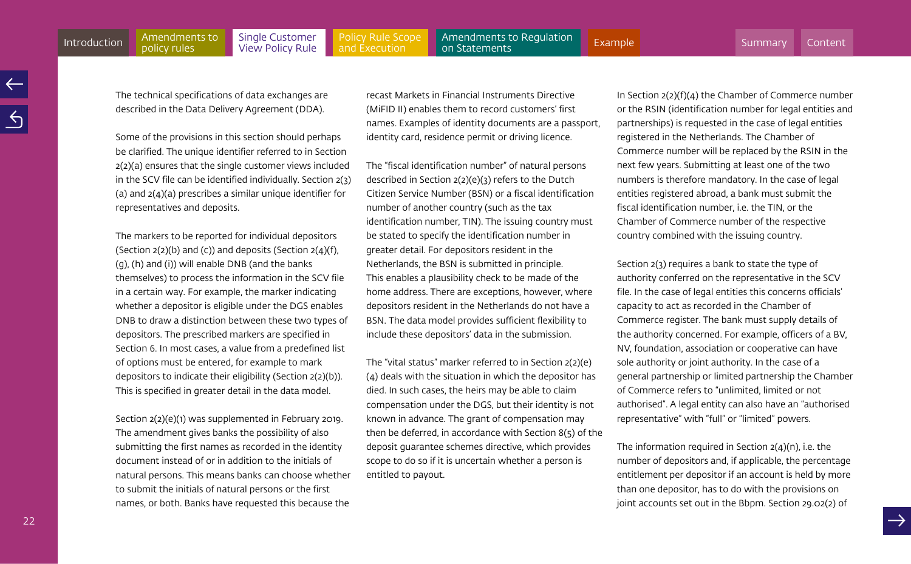The technical specifications of data exchanges are described in the Data Delivery Agreement (DDA).

Some of the provisions in this section should perhaps be clarified. The unique identifier referred to in Section 2(2)(a) ensures that the single customer views included in the SCV file can be identified individually. Section 2(3) (a) and 2(4)(a) prescribes a similar unique identifier for representatives and deposits.

The markers to be reported for individual depositors (Section  $2(2)(b)$  and (c)) and deposits (Section  $2(4)(f)$ , (g), (h) and (i)) will enable DNB (and the banks themselves) to process the information in the SCV file in a certain way. For example, the marker indicating whether a depositor is eligible under the DGS enables DNB to draw a distinction between these two types of depositors. The prescribed markers are specified in Section 6. In most cases, a value from a predefined list of options must be entered, for example to mark depositors to indicate their eligibility (Section 2(2)(b)). This is specified in greater detail in the data model.

Section 2(2)(e)(1) was supplemented in February 2019. The amendment gives banks the possibility of also submitting the first names as recorded in the identity document instead of or in addition to the initials of natural persons. This means banks can choose whether to submit the initials of natural persons or the first names, or both. Banks have requested this because the recast Markets in Financial Instruments Directive (MiFID II) enables them to record customers' first names. Examples of identity documents are a passport, identity card, residence permit or driving licence.

The "fiscal identification number" of natural persons described in Section 2(2)(e)(3) refers to the Dutch Citizen Service Number (BSN) or a fiscal identification number of another country (such as the tax identification number, TIN). The issuing country must be stated to specify the identification number in greater detail. For depositors resident in the Netherlands, the BSN is submitted in principle. This enables a plausibility check to be made of the home address. There are exceptions, however, where depositors resident in the Netherlands do not have a BSN. The data model provides sufficient flexibility to include these depositors' data in the submission.

The "vital status" marker referred to in Section 2(2)(e) (4) deals with the situation in which the depositor has died. In such cases, the heirs may be able to claim compensation under the DGS, but their identity is not known in advance. The grant of compensation may then be deferred, in accordance with Section 8(5) of the deposit guarantee schemes directive, which provides scope to do so if it is uncertain whether a person is entitled to payout.

In Section 2(2)(f)(4) the Chamber of Commerce number or the RSIN (identification number for legal entities and partnerships) is requested in the case of legal entities registered in the Netherlands. The Chamber of Commerce number will be replaced by the RSIN in the next few years. Submitting at least one of the two numbers is therefore mandatory. In the case of legal entities registered abroad, a bank must submit the fiscal identification number, i.e. the TIN, or the Chamber of Commerce number of the respective country combined with the issuing country.

Section 2(3) requires a bank to state the type of authority conferred on the representative in the SCV file. In the case of legal entities this concerns officials' capacity to act as recorded in the Chamber of Commerce register. The bank must supply details of the authority concerned. For example, officers of a BV, NV, foundation, association or cooperative can have sole authority or joint authority. In the case of a general partnership or limited partnership the Chamber of Commerce refers to "unlimited, limited or not authorised". A legal entity can also have an "authorised representative" with "full" or "limited" powers.

The information required in Section 2(4)(n), i.e. the number of depositors and, if applicable, the percentage entitlement per depositor if an account is held by more than one depositor, has to do with the provisions on joint accounts set out in the Bbpm. Section 29.02(2) of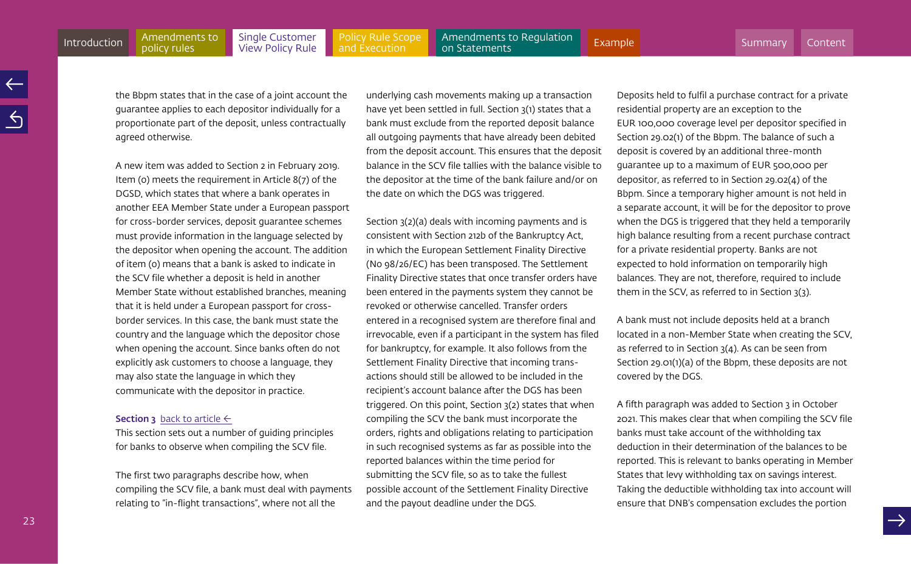<span id="page-22-0"></span>[Policy Rule Scope](#page-35-0)  and Execution [Introduction](#page-3-0) Amendments to Single Customer Policy Rule Scope Amendments to Regulation [Example](#page-60-0)<br>Introduction policy rules View Policy Rule and Execution on Statements

the Bbpm states that in the case of a joint account the guarantee applies to each depositor individually for a proportionate part of the deposit, unless contractually agreed otherwise.

A new item was added to Section 2 in February 2019. Item (o) meets the requirement in Article 8(7) of the DGSD, which states that where a bank operates in another EEA Member State under a European passport for cross-border services, deposit guarantee schemes must provide information in the language selected by the depositor when opening the account. The addition of item (o) means that a bank is asked to indicate in the SCV file whether a deposit is held in another Member State without established branches, meaning that it is held under a European passport for crossborder services. In this case, the bank must state the country and the language which the depositor chose when opening the account. Since banks often do not explicitly ask customers to choose a language, they may also state the language in which they communicate with the depositor in practice.

#### **Section 3** [back to article](#page-12-0)  $\leftarrow$

This section sets out a number of guiding principles for banks to observe when compiling the SCV file.

The first two paragraphs describe how, when compiling the SCV file, a bank must deal with payments relating to "in-flight transactions", where not all the

underlying cash movements making up a transaction have yet been settled in full. Section 3(1) states that a bank must exclude from the reported deposit balance all outgoing payments that have already been debited from the deposit account. This ensures that the deposit balance in the SCV file tallies with the balance visible to the depositor at the time of the bank failure and/or on the date on which the DGS was triggered.

Section 3(2)(a) deals with incoming payments and is consistent with Section 212b of the Bankruptcy Act, in which the European Settlement Finality Directive (No 98/26/EC) has been transposed. The Settlement Finality Directive states that once transfer orders have been entered in the payments system they cannot be revoked or otherwise cancelled. Transfer orders entered in a recognised system are therefore final and irrevocable, even if a participant in the system has filed for bankruptcy, for example. It also follows from the Settlement Finality Directive that incoming transactions should still be allowed to be included in the recipient's account balance after the DGS has been triggered. On this point, Section 3(2) states that when compiling the SCV the bank must incorporate the orders, rights and obligations relating to participation in such recognised systems as far as possible into the reported balances within the time period for submitting the SCV file, so as to take the fullest possible account of the Settlement Finality Directive and the payout deadline under the DGS.

Deposits held to fulfil a purchase contract for a private residential property are an exception to the EUR 100,000 coverage level per depositor specified in Section 29.02(1) of the Bbpm. The balance of such a deposit is covered by an additional three-month guarantee up to a maximum of EUR 500,000 per depositor, as referred to in Section 29.02(4) of the Bbpm. Since a temporary higher amount is not held in a separate account, it will be for the depositor to prove when the DGS is triggered that they held a temporarily high balance resulting from a recent purchase contract for a private residential property. Banks are not expected to hold information on temporarily high balances. They are not, therefore, required to include them in the SCV, as referred to in Section 3(3).

A bank must not include deposits held at a branch located in a non-Member State when creating the SCV, as referred to in Section 3(4). As can be seen from Section 29.01(1)(a) of the Bbpm, these deposits are not covered by the DGS.

A fifth paragraph was added to Section 3 in October 2021. This makes clear that when compiling the SCV file banks must take account of the withholding tax deduction in their determination of the balances to be reported. This is relevant to banks operating in Member States that levy withholding tax on savings interest. Taking the deductible withholding tax into account will ensure that DNB's compensation excludes the portion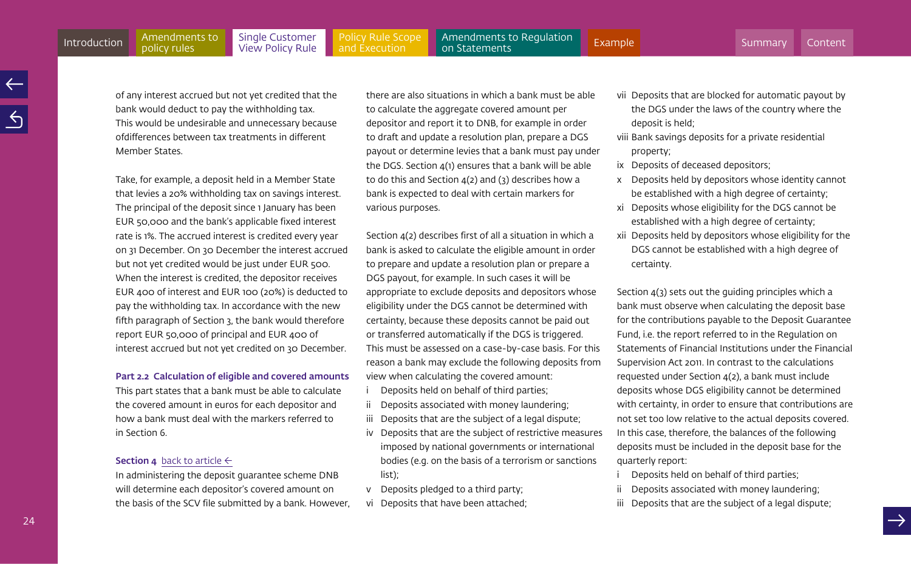policy rules

[Policy Rule Scope](#page-35-0)  and Execution

<span id="page-23-0"></span>**Amendments to Regulation**<br>on Statements [Introduction](#page-3-0) Amendments to Single Customer Policy Rule Scope Amendments to Regulation [Example](#page-60-0)<br>Introduction policy rules View Policy Rule and Execution on Statements

of any interest accrued but not yet credited that the bank would deduct to pay the withholding tax. This would be undesirable and unnecessary because ofdifferences between tax treatments in different Member States.

Take, for example, a deposit held in a Member State that levies a 20% withholding tax on savings interest. The principal of the deposit since 1 January has been EUR 50,000 and the bank's applicable fixed interest rate is 1%. The accrued interest is credited every year on 31 December. On 30 December the interest accrued but not yet credited would be just under EUR 500. When the interest is credited, the depositor receives EUR 400 of interest and EUR 100 (20%) is deducted to pay the withholding tax. In accordance with the new fifth paragraph of Section 3, the bank would therefore report EUR 50,000 of principal and EUR 400 of interest accrued but not yet credited on 30 December.

## Part 2.2 Calculation of eligible and covered amounts

This part states that a bank must be able to calculate the covered amount in euros for each depositor and how a bank must deal with the markers referred to in Section 6.

# **Section 4** [back to article](#page-13-0)  $\leftarrow$

In administering the deposit guarantee scheme DNB will determine each depositor's covered amount on the basis of the SCV file submitted by a bank. However,

there are also situations in which a bank must be able to calculate the aggregate covered amount per depositor and report it to DNB, for example in order to draft and update a resolution plan, prepare a DGS payout or determine levies that a bank must pay under the DGS. Section 4(1) ensures that a bank will be able to do this and Section  $4(2)$  and  $(3)$  describes how a bank is expected to deal with certain markers for various purposes.

Section 4(2) describes first of all a situation in which a bank is asked to calculate the eligible amount in order to prepare and update a resolution plan or prepare a DGS payout, for example. In such cases it will be appropriate to exclude deposits and depositors whose eligibility under the DGS cannot be determined with certainty, because these deposits cannot be paid out or transferred automatically if the DGS is triggered. This must be assessed on a case-by-case basis. For this reason a bank may exclude the following deposits from view when calculating the covered amount:

- i Deposits held on behalf of third parties;
- ii Deposits associated with money laundering;
- iii Deposits that are the subject of a legal dispute;
- iv Deposits that are the subject of restrictive measures imposed by national governments or international bodies (e.g. on the basis of a terrorism or sanctions list);
- v Deposits pledged to a third party;
- vi Deposits that have been attached;
- vii Deposits that are blocked for automatic payout by the DGS under the laws of the country where the deposit is held;
- viii Bank savings deposits for a private residential property;
- ix Deposits of deceased depositors;
- x Deposits held by depositors whose identity cannot be established with a high degree of certainty;
- xi Deposits whose eligibility for the DGS cannot be established with a high degree of certainty;
- xii Deposits held by depositors whose eligibility for the DGS cannot be established with a high degree of certainty.

Section 4(3) sets out the guiding principles which a bank must observe when calculating the deposit base for the contributions payable to the Deposit Guarantee Fund, i.e. the report referred to in the Regulation on Statements of Financial Institutions under the Financial Supervision Act 2011. In contrast to the calculations requested under Section 4(2), a bank must include deposits whose DGS eligibility cannot be determined with certainty, in order to ensure that contributions are not set too low relative to the actual deposits covered. In this case, therefore, the balances of the following deposits must be included in the deposit base for the quarterly report:

- Deposits held on behalf of third parties;
- ii Deposits associated with money laundering;
- iii Deposits that are the subject of a legal dispute;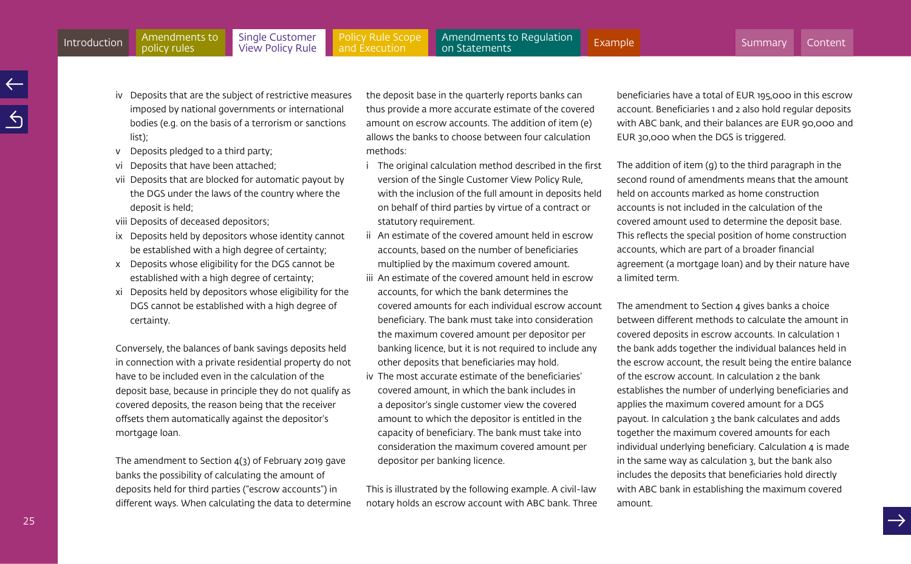- iv Deposits that are the subject of restrictive measures imposed by national governments or international bodies (e.g. on the basis of a terrorism or sanctions list);
- v Deposits pledged to a third party;
- vi Deposits that have been attached;
- vii Deposits that are blocked for automatic payout by the DGS under the laws of the country where the deposit is held;
- viii Deposits of deceased depositors;
- ix Deposits held by depositors whose identity cannot be established with a high degree of certainty;
- x Deposits whose eligibility for the DGS cannot be established with a high degree of certainty;
- xi Deposits held by depositors whose eligibility for the DGS cannot be established with a high degree of certainty.

Conversely, the balances of bank savings deposits held in connection with a private residential property do not have to be included even in the calculation of the deposit base, because in principle they do not qualify as covered deposits, the reason being that the receiver offsets them automatically against the depositor's mortgage loan.

The amendment to Section 4(3) of February 2019 gave banks the possibility of calculating the amount of deposits held for third parties ("escrow accounts") in different ways. When calculating the data to determine the deposit base in the quarterly reports banks can thus provide a more accurate estimate of the covered amount on escrow accounts. The addition of item (e) allows the banks to choose between four calculation methods:

- i The original calculation method described in the first version of the Single Customer View Policy Rule, with the inclusion of the full amount in deposits held on behalf of third parties by virtue of a contract or statutory requirement.
- ii An estimate of the covered amount held in escrow accounts, based on the number of beneficiaries multiplied by the maximum covered amount.
- iii An estimate of the covered amount held in escrow accounts, for which the bank determines the covered amounts for each individual escrow account beneficiary. The bank must take into consideration the maximum covered amount per depositor per banking licence, but it is not required to include any other deposits that beneficiaries may hold.
- iv The most accurate estimate of the beneficiaries' covered amount, in which the bank includes in a depositor's single customer view the covered amount to which the depositor is entitled in the capacity of beneficiary. The bank must take into consideration the maximum covered amount per depositor per banking licence.

This is illustrated by the following example. A civil-law notary holds an escrow account with ABC bank. Three beneficiaries have a total of EUR 195,000 in this escrow account. Beneficiaries 1 and 2 also hold regular deposits with ABC bank, and their balances are EUR 90,000 and EUR 30,000 when the DGS is triggered.

The addition of item (g) to the third paragraph in the second round of amendments means that the amount held on accounts marked as home construction accounts is not included in the calculation of the covered amount used to determine the deposit base. This reflects the special position of home construction accounts, which are part of a broader financial agreement (a mortgage loan) and by their nature have a limited term.

The amendment to Section 4 gives banks a choice between different methods to calculate the amount in covered deposits in escrow accounts. In calculation 1 the bank adds together the individual balances held in the escrow account, the result being the entire balance of the escrow account. In calculation 2 the bank establishes the number of underlying beneficiaries and applies the maximum covered amount for a DGS payout. In calculation 3 the bank calculates and adds together the maximum covered amounts for each individual underlying beneficiary. Calculation 4 is made in the same way as calculation 3, but the bank also includes the deposits that beneficiaries hold directly with ABC bank in establishing the maximum covered amount.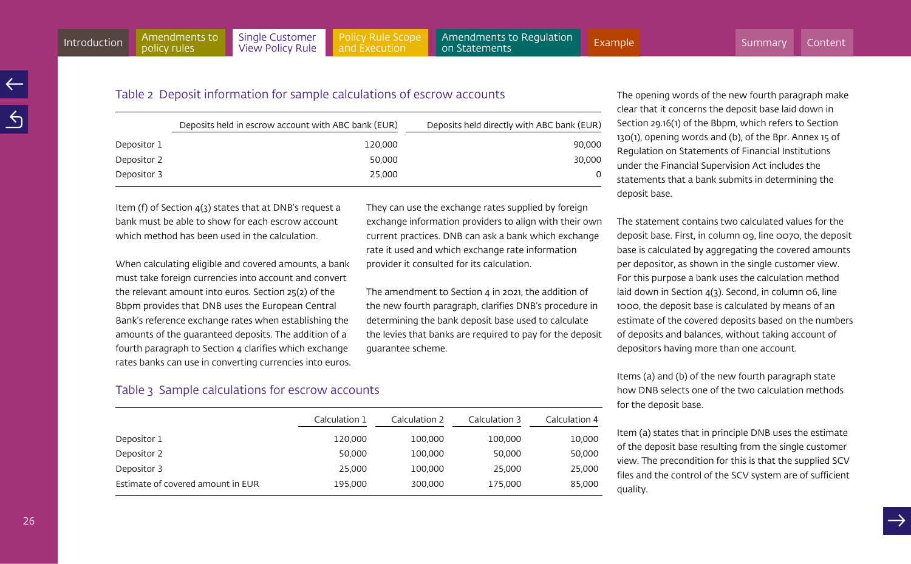They can use the exchange rates supplied by foreign exchange information providers to align with their own current practices. DNB can ask a bank which exchange rate it used and which exchange rate information

The amendment to Section 4 in 2021, the addition of the new fourth paragraph, clarifies DNB's procedure in determining the bank deposit base used to calculate the levies that banks are required to pay for the deposit

provider it consulted for its calculation.

guarantee scheme.

# Table 2 Deposit information for sample calculations of escrow accounts

|             | Deposits held in escrow account with ABC bank (EUR) | Deposits held directly with ABC bank (EUR) |
|-------------|-----------------------------------------------------|--------------------------------------------|
| Depositor 1 | 120.000                                             | 90.000                                     |
| Depositor 2 | 50.000                                              | 30.000                                     |
| Depositor 3 | 25,000                                              |                                            |
|             |                                                     |                                            |

Item (f) of Section 4(3) states that at DNB's request a bank must be able to show for each escrow account which method has been used in the calculation.

When calculating eligible and covered amounts, a bank must take foreign currencies into account and convert the relevant amount into euros. Section 25(2) of the Bbpm provides that DNB uses the European Central Bank's reference exchange rates when establishing the amounts of the guaranteed deposits. The addition of a fourth paragraph to Section 4 clarifies which exchange rates banks can use in converting currencies into euros.

# Table 3 Sample calculations for escrow accounts

| Calculation 1 | Calculation 2 | Calculation 3 | Calculation 4 |
|---------------|---------------|---------------|---------------|
| 120,000       | 100,000       | 100,000       | 10,000        |
| 50.000        | 100.000       | 50.000        | 50,000        |
| 25.000        | 100,000       | 25.000        | 25,000        |
| 195,000       | 300,000       | 175,000       | 85,000        |
|               |               |               |               |

The opening words of the new fourth paragraph make clear that it concerns the deposit base laid down in Section 29.16(1) of the Bbpm, which refers to Section 130(1), opening words and (b), of the Bpr. Annex 15 of Regulation on Statements of Financial Institutions under the Financial Supervision Act includes the statements that a bank submits in determining the deposit base.

The statement contains two calculated values for the deposit base. First, in column 09, line 0070, the deposit base is calculated by aggregating the covered amounts per depositor, as shown in the single customer view. For this purpose a bank uses the calculation method laid down in Section 4(3). Second, in column 06, line 1000, the deposit base is calculated by means of an estimate of the covered deposits based on the numbers of deposits and balances, without taking account of depositors having more than one account.

Items (a) and (b) of the new fourth paragraph state how DNB selects one of the two calculation methods for the deposit base.

Item (a) states that in principle DNB uses the estimate of the deposit base resulting from the single customer view. The precondition for this is that the supplied SCV files and the control of the SCV system are of sufficient quality.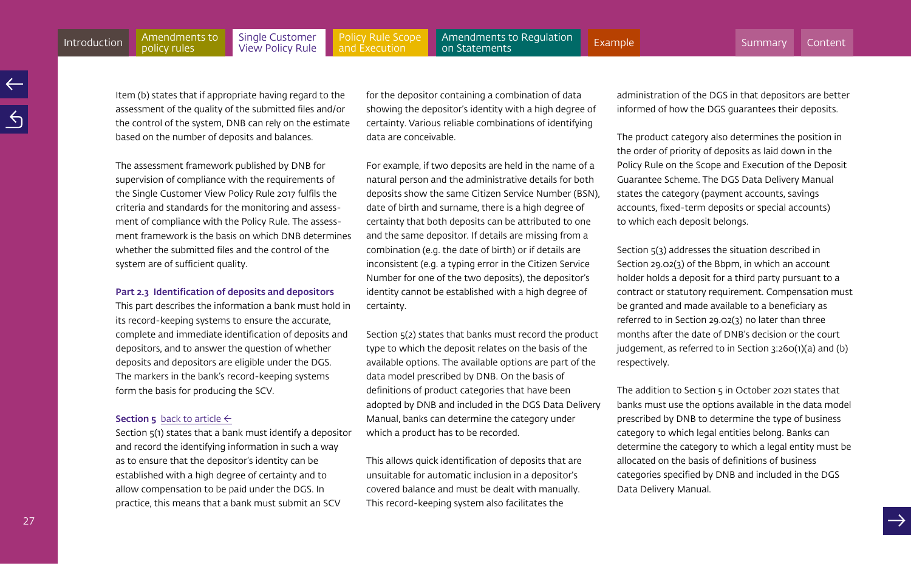policy rules

[Policy Rule Scope](#page-35-0)  and Execution

<span id="page-26-0"></span>Amendments to Regulation<br>on Statements [Introduction](#page-3-0) Amendments to Single Customer Policy Rule Scope Amendments to Regulation [Example](#page-60-0)<br>Introduction policy rules View Policy Rule and Execution on Statements

Item (b) states that if appropriate having regard to the assessment of the quality of the submitted files and/or the control of the system, DNB can rely on the estimate based on the number of deposits and balances.

The assessment framework published by DNB for supervision of compliance with the requirements of the Single Customer View Policy Rule 2017 fulfils the criteria and standards for the monitoring and assessment of compliance with the Policy Rule. The assessment framework is the basis on which DNB determines whether the submitted files and the control of the system are of sufficient quality.

#### Part 2.3 Identification of deposits and depositors

This part describes the information a bank must hold in its record-keeping systems to ensure the accurate, complete and immediate identification of deposits and depositors, and to answer the question of whether deposits and depositors are eligible under the DGS. The markers in the bank's record-keeping systems form the basis for producing the SCV.

#### **Section 5** [back to article](#page-14-0)  $\leftarrow$

Section 5(1) states that a bank must identify a depositor and record the identifying information in such a way as to ensure that the depositor's identity can be established with a high degree of certainty and to allow compensation to be paid under the DGS. In practice, this means that a bank must submit an SCV

for the depositor containing a combination of data showing the depositor's identity with a high degree of certainty. Various reliable combinations of identifying data are conceivable.

For example, if two deposits are held in the name of a natural person and the administrative details for both deposits show the same Citizen Service Number (BSN), date of birth and surname, there is a high degree of certainty that both deposits can be attributed to one and the same depositor. If details are missing from a combination (e.g. the date of birth) or if details are inconsistent (e.g. a typing error in the Citizen Service Number for one of the two deposits), the depositor's identity cannot be established with a high degree of certainty.

Section 5(2) states that banks must record the product type to which the deposit relates on the basis of the available options. The available options are part of the data model prescribed by DNB. On the basis of definitions of product categories that have been adopted by DNB and included in the DGS Data Delivery Manual, banks can determine the category under which a product has to be recorded.

This allows quick identification of deposits that are unsuitable for automatic inclusion in a depositor's covered balance and must be dealt with manually. This record-keeping system also facilitates the

administration of the DGS in that depositors are better informed of how the DGS guarantees their deposits.

The product category also determines the position in the order of priority of deposits as laid down in the Policy Rule on the Scope and Execution of the Deposit Guarantee Scheme. The DGS Data Delivery Manual states the category (payment accounts, savings accounts, fixed-term deposits or special accounts) to which each deposit belongs.

Section 5(3) addresses the situation described in Section 29.02(3) of the Bbpm, in which an account holder holds a deposit for a third party pursuant to a contract or statutory requirement. Compensation must be granted and made available to a beneficiary as referred to in Section 29.02(3) no later than three months after the date of DNB's decision or the court judgement, as referred to in Section 3:260(1)(a) and (b) respectively.

The addition to Section 5 in October 2021 states that banks must use the options available in the data model prescribed by DNB to determine the type of business category to which legal entities belong. Banks can determine the category to which a legal entity must be allocated on the basis of definitions of business categories specified by DNB and included in the DGS Data Delivery Manual.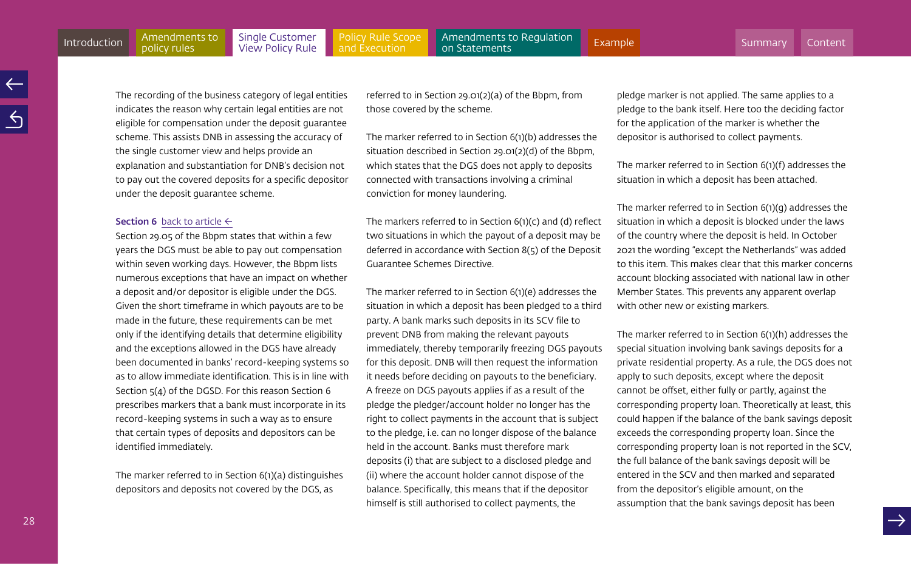[Policy Rule Scope](#page-35-0)  and Execution

<span id="page-27-0"></span>The recording of the business category of legal entities indicates the reason why certain legal entities are not eligible for compensation under the deposit guarantee scheme. This assists DNB in assessing the accuracy of the single customer view and helps provide an explanation and substantiation for DNB's decision not to pay out the covered deposits for a specific depositor

#### **Section 6** [back to article](#page-14-0)  $\leftarrow$

under the deposit guarantee scheme.

policy rules

Section 29.05 of the Bbpm states that within a few years the DGS must be able to pay out compensation within seven working days. However, the Bbpm lists numerous exceptions that have an impact on whether a deposit and/or depositor is eligible under the DGS. Given the short timeframe in which payouts are to be made in the future, these requirements can be met only if the identifying details that determine eligibility and the exceptions allowed in the DGS have already been documented in banks' record-keeping systems so as to allow immediate identification. This is in line with Section  $5(4)$  of the DGSD. For this reason Section 6 prescribes markers that a bank must incorporate in its record-keeping systems in such a way as to ensure that certain types of deposits and depositors can be identified immediately.

The marker referred to in Section 6(1)(a) distinguishes depositors and deposits not covered by the DGS, as

referred to in Section 29.01(2)(a) of the Bbpm, from those covered by the scheme.

The marker referred to in Section 6(1)(b) addresses the situation described in Section 29.01(2)(d) of the Bbpm, which states that the DGS does not apply to deposits connected with transactions involving a criminal conviction for money laundering.

The markers referred to in Section 6(1)(c) and (d) reflect two situations in which the payout of a deposit may be deferred in accordance with Section 8(5) of the Deposit Guarantee Schemes Directive.

The marker referred to in Section 6(1)(e) addresses the situation in which a deposit has been pledged to a third party. A bank marks such deposits in its SCV file to prevent DNB from making the relevant payouts immediately, thereby temporarily freezing DGS payouts for this deposit. DNB will then request the information it needs before deciding on payouts to the beneficiary. A freeze on DGS payouts applies if as a result of the pledge the pledger/account holder no longer has the right to collect payments in the account that is subject to the pledge, i.e. can no longer dispose of the balance held in the account. Banks must therefore mark deposits (i) that are subject to a disclosed pledge and (ii) where the account holder cannot dispose of the balance. Specifically, this means that if the depositor himself is still authorised to collect payments, the

pledge marker is not applied. The same applies to a pledge to the bank itself. Here too the deciding factor for the application of the marker is whether the depositor is authorised to collect payments.

The marker referred to in Section 6(1)(f) addresses the situation in which a deposit has been attached.

The marker referred to in Section 6(1)(g) addresses the situation in which a deposit is blocked under the laws of the country where the deposit is held. In October 2021 the wording "except the Netherlands" was added to this item. This makes clear that this marker concerns account blocking associated with national law in other Member States. This prevents any apparent overlap with other new or existing markers.

The marker referred to in Section 6(1)(h) addresses the special situation involving bank savings deposits for a private residential property. As a rule, the DGS does not apply to such deposits, except where the deposit cannot be offset, either fully or partly, against the corresponding property loan. Theoretically at least, this could happen if the balance of the bank savings deposit exceeds the corresponding property loan. Since the corresponding property loan is not reported in the SCV, the full balance of the bank savings deposit will be entered in the SCV and then marked and separated from the depositor's eligible amount, on the assumption that the bank savings deposit has been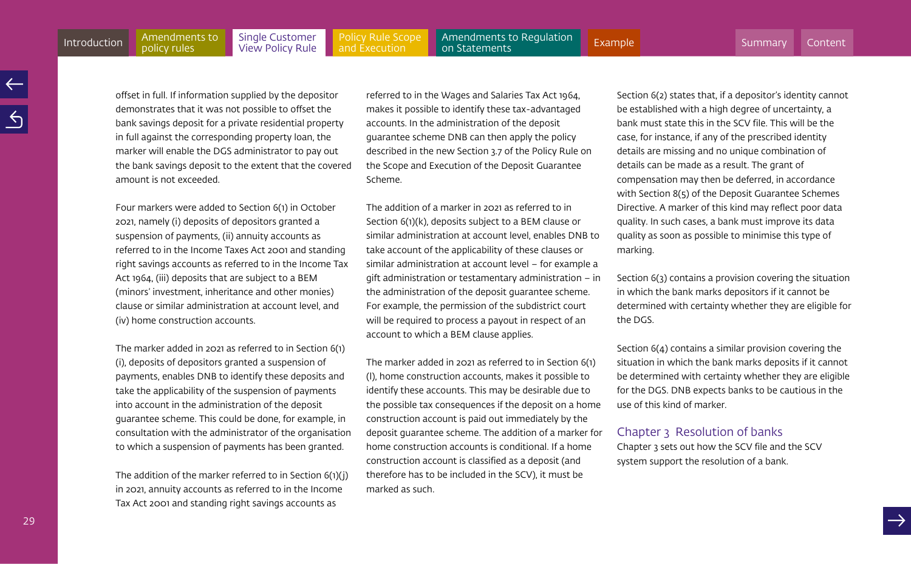policy rules

[Policy Rule Scope](#page-35-0)  and Execution

Amendments to Regulation<br>on Statements [Introduction](#page-3-0) Amendments to Single Customer Policy Rule Scope Amendments to Regulation [Example](#page-60-0)<br>Introduction policy rules View Policy Rule and Execution on Statements

offset in full. If information supplied by the depositor demonstrates that it was not possible to offset the bank savings deposit for a private residential property in full against the corresponding property loan, the marker will enable the DGS administrator to pay out the bank savings deposit to the extent that the covered amount is not exceeded.

Four markers were added to Section 6(1) in October 2021, namely (i) deposits of depositors granted a suspension of payments, (ii) annuity accounts as referred to in the Income Taxes Act 2001 and standing right savings accounts as referred to in the Income Tax Act 1964, (iii) deposits that are subject to a BEM (minors' investment, inheritance and other monies) clause or similar administration at account level, and (iv) home construction accounts.

The marker added in 2021 as referred to in Section 6(1) (i), deposits of depositors granted a suspension of payments, enables DNB to identify these deposits and take the applicability of the suspension of payments into account in the administration of the deposit guarantee scheme. This could be done, for example, in consultation with the administrator of the organisation to which a suspension of payments has been granted.

The addition of the marker referred to in Section 6(1)(j) in 2021, annuity accounts as referred to in the Income Tax Act 2001 and standing right savings accounts as

referred to in the Wages and Salaries Tax Act 1964, makes it possible to identify these tax-advantaged accounts. In the administration of the deposit guarantee scheme DNB can then apply the policy described in the new Section 3.7 of the Policy Rule on the Scope and Execution of the Deposit Guarantee Scheme.

The addition of a marker in 2021 as referred to in Section 6(1)(k), deposits subject to a BEM clause or similar administration at account level, enables DNB to take account of the applicability of these clauses or similar administration at account level – for example a gift administration or testamentary administration – in the administration of the deposit guarantee scheme. For example, the permission of the subdistrict court will be required to process a payout in respect of an account to which a BEM clause applies.

The marker added in 2021 as referred to in Section 6(1) (l), home construction accounts, makes it possible to identify these accounts. This may be desirable due to the possible tax consequences if the deposit on a home construction account is paid out immediately by the deposit guarantee scheme. The addition of a marker for home construction accounts is conditional. If a home construction account is classified as a deposit (and therefore has to be included in the SCV), it must be marked as such.

Section 6(2) states that, if a depositor's identity cannot be established with a high degree of uncertainty, a bank must state this in the SCV file. This will be the case, for instance, if any of the prescribed identity details are missing and no unique combination of details can be made as a result. The grant of compensation may then be deferred, in accordance with Section 8(5) of the Deposit Guarantee Schemes Directive. A marker of this kind may reflect poor data quality. In such cases, a bank must improve its data quality as soon as possible to minimise this type of marking.

Section 6(3) contains a provision covering the situation in which the bank marks depositors if it cannot be determined with certainty whether they are eligible for the DGS.

Section 6(4) contains a similar provision covering the situation in which the bank marks deposits if it cannot be determined with certainty whether they are eligible for the DGS. DNB expects banks to be cautious in the use of this kind of marker.

# Chapter 3 Resolution of banks

Chapter 3 sets out how the SCV file and the SCV system support the resolution of a bank.

29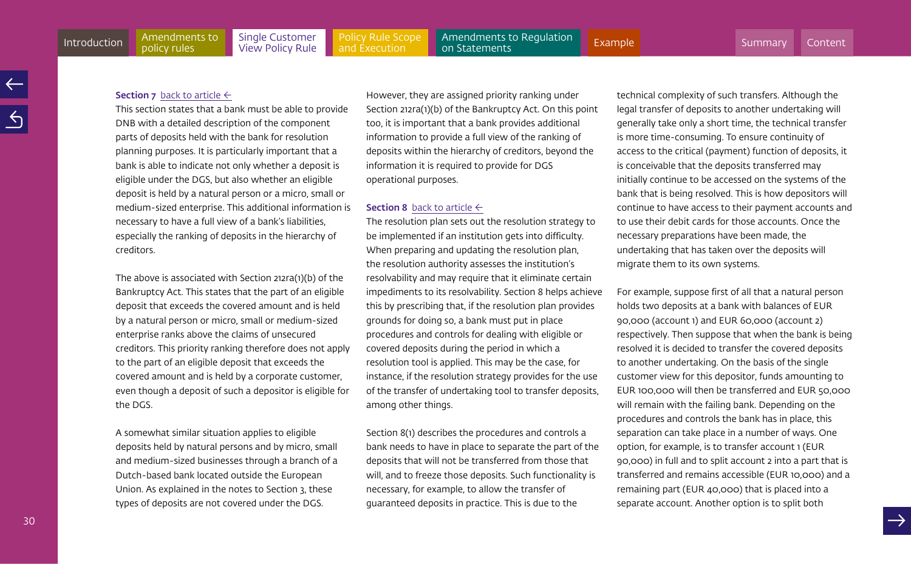#### <span id="page-29-0"></span>**Section 7** [back to article](#page-15-0)  $\leftarrow$

This section states that a bank must be able to provide DNB with a detailed description of the component parts of deposits held with the bank for resolution planning purposes. It is particularly important that a bank is able to indicate not only whether a deposit is eligible under the DGS, but also whether an eligible deposit is held by a natural person or a micro, small or medium-sized enterprise. This additional information is necessary to have a full view of a bank's liabilities, especially the ranking of deposits in the hierarchy of creditors.

The above is associated with Section 212ra(1)(b) of the Bankruptcy Act. This states that the part of an eligible deposit that exceeds the covered amount and is held by a natural person or micro, small or medium-sized enterprise ranks above the claims of unsecured creditors. This priority ranking therefore does not apply to the part of an eligible deposit that exceeds the covered amount and is held by a corporate customer, even though a deposit of such a depositor is eligible for the DGS.

A somewhat similar situation applies to eligible deposits held by natural persons and by micro, small and medium-sized businesses through a branch of a Dutch-based bank located outside the European Union. As explained in the notes to Section 3, these types of deposits are not covered under the DGS.

However, they are assigned priority ranking under Section 212ra(1)(b) of the Bankruptcy Act. On this point too, it is important that a bank provides additional information to provide a full view of the ranking of deposits within the hierarchy of creditors, beyond the information it is required to provide for DGS operational purposes.

#### **Section 8** [back to article](#page-15-0)  $\leftarrow$

The resolution plan sets out the resolution strategy to be implemented if an institution gets into difficulty. When preparing and updating the resolution plan, the resolution authority assesses the institution's resolvability and may require that it eliminate certain impediments to its resolvability. Section 8 helps achieve this by prescribing that, if the resolution plan provides grounds for doing so, a bank must put in place procedures and controls for dealing with eligible or covered deposits during the period in which a resolution tool is applied. This may be the case, for instance, if the resolution strategy provides for the use of the transfer of undertaking tool to transfer deposits, among other things.

Section 8(1) describes the procedures and controls a bank needs to have in place to separate the part of the deposits that will not be transferred from those that will, and to freeze those deposits. Such functionality is necessary, for example, to allow the transfer of guaranteed deposits in practice. This is due to the

technical complexity of such transfers. Although the legal transfer of deposits to another undertaking will generally take only a short time, the technical transfer is more time-consuming. To ensure continuity of access to the critical (payment) function of deposits, it is conceivable that the deposits transferred may initially continue to be accessed on the systems of the bank that is being resolved. This is how depositors will continue to have access to their payment accounts and to use their debit cards for those accounts. Once the necessary preparations have been made, the undertaking that has taken over the deposits will migrate them to its own systems.

For example, suppose first of all that a natural person holds two deposits at a bank with balances of EUR 90,000 (account 1) and EUR 60,000 (account 2) respectively. Then suppose that when the bank is being resolved it is decided to transfer the covered deposits to another undertaking. On the basis of the single customer view for this depositor, funds amounting to EUR 100,000 will then be transferred and EUR 50,000 will remain with the failing bank. Depending on the procedures and controls the bank has in place, this separation can take place in a number of ways. One option, for example, is to transfer account 1 (EUR 90,000) in full and to split account 2 into a part that is transferred and remains accessible (EUR 10,000) and a remaining part (EUR 40,000) that is placed into a separate account. Another option is to split both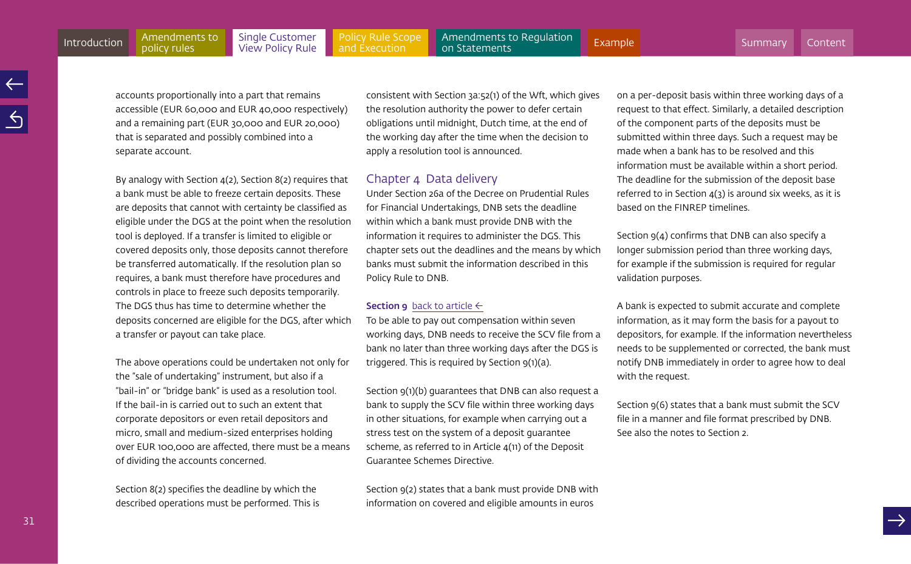<span id="page-30-0"></span>[Policy Rule Scope](#page-35-0)  and Execution [Introduction](#page-3-0) Amendments to Single Customer Policy Rule Scope Amendments to Regulation [Example](#page-60-0)<br>Introduction policy rules View Policy Rule and Execution on Statements

accounts proportionally into a part that remains accessible (EUR 60,000 and EUR 40,000 respectively) and a remaining part (EUR 30,000 and EUR 20,000) that is separated and possibly combined into a separate account.

By analogy with Section 4(2), Section 8(2) requires that a bank must be able to freeze certain deposits. These are deposits that cannot with certainty be classified as eligible under the DGS at the point when the resolution tool is deployed. If a transfer is limited to eligible or covered deposits only, those deposits cannot therefore be transferred automatically. If the resolution plan so requires, a bank must therefore have procedures and controls in place to freeze such deposits temporarily. The DGS thus has time to determine whether the deposits concerned are eligible for the DGS, after which a transfer or payout can take place.

The above operations could be undertaken not only for the "sale of undertaking" instrument, but also if a "bail-in" or "bridge bank" is used as a resolution tool. If the bail-in is carried out to such an extent that corporate depositors or even retail depositors and micro, small and medium-sized enterprises holding over EUR 100,000 are affected, there must be a means of dividing the accounts concerned.

Section 8(2) specifies the deadline by which the described operations must be performed. This is consistent with Section 3a:52(1) of the Wft, which gives the resolution authority the power to defer certain obligations until midnight, Dutch time, at the end of the working day after the time when the decision to apply a resolution tool is announced.

# Chapter 4 Data delivery

Under Section 26a of the Decree on Prudential Rules for Financial Undertakings, DNB sets the deadline within which a bank must provide DNB with the information it requires to administer the DGS. This chapter sets out the deadlines and the means by which banks must submit the information described in this Policy Rule to DNB.

# **Section 9** [back to article](#page-15-0)  $\leftarrow$

To be able to pay out compensation within seven working days, DNB needs to receive the SCV file from a bank no later than three working days after the DGS is triggered. This is required by Section 9(1)(a).

Section 9(1)(b) guarantees that DNB can also request a bank to supply the SCV file within three working days in other situations, for example when carrying out a stress test on the system of a deposit guarantee scheme, as referred to in Article 4(11) of the Deposit Guarantee Schemes Directive.

Section 9(2) states that a bank must provide DNB with information on covered and eligible amounts in euros

on a per-deposit basis within three working days of a request to that effect. Similarly, a detailed description of the component parts of the deposits must be submitted within three days. Such a request may be made when a bank has to be resolved and this information must be available within a short period. The deadline for the submission of the deposit base referred to in Section  $4(3)$  is around six weeks, as it is based on the FINREP timelines.

Section  $9(4)$  confirms that DNB can also specify a longer submission period than three working days, for example if the submission is required for regular validation purposes.

A bank is expected to submit accurate and complete information, as it may form the basis for a payout to depositors, for example. If the information nevertheless needs to be supplemented or corrected, the bank must notify DNB immediately in order to agree how to deal with the request.

Section 9(6) states that a bank must submit the SCV file in a manner and file format prescribed by DNB. See also the notes to Section 2.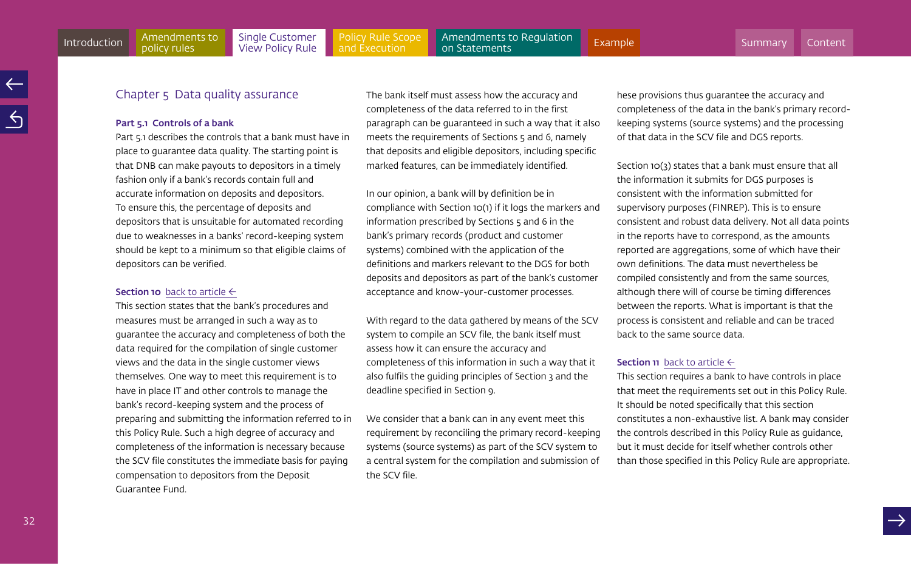# <span id="page-31-0"></span>Chapter 5 Data quality assurance

#### Part 5.1 Controls of a bank

Part 5.1 describes the controls that a bank must have in place to guarantee data quality. The starting point is that DNB can make payouts to depositors in a timely fashion only if a bank's records contain full and accurate information on deposits and depositors. To ensure this, the percentage of deposits and depositors that is unsuitable for automated recording due to weaknesses in a banks' record-keeping system should be kept to a minimum so that eligible claims of depositors can be verified.

#### **Section 10** [back to article](#page-15-0)  $\leftarrow$

This section states that the bank's procedures and measures must be arranged in such a way as to guarantee the accuracy and completeness of both the data required for the compilation of single customer views and the data in the single customer views themselves. One way to meet this requirement is to have in place IT and other controls to manage the bank's record-keeping system and the process of preparing and submitting the information referred to in this Policy Rule. Such a high degree of accuracy and completeness of the information is necessary because the SCV file constitutes the immediate basis for paying compensation to depositors from the Deposit Guarantee Fund.

The bank itself must assess how the accuracy and completeness of the data referred to in the first paragraph can be guaranteed in such a way that it also meets the requirements of Sections 5 and 6, namely that deposits and eligible depositors, including specific marked features, can be immediately identified.

In our opinion, a bank will by definition be in compliance with Section 10(1) if it logs the markers and information prescribed by Sections 5 and 6 in the bank's primary records (product and customer systems) combined with the application of the definitions and markers relevant to the DGS for both deposits and depositors as part of the bank's customer acceptance and know-your-customer processes.

With regard to the data gathered by means of the SCV system to compile an SCV file, the bank itself must assess how it can ensure the accuracy and completeness of this information in such a way that it also fulfils the guiding principles of Section 3 and the deadline specified in Section 9.

We consider that a bank can in any event meet this requirement by reconciling the primary record-keeping systems (source systems) as part of the SCV system to a central system for the compilation and submission of the SCV file.

hese provisions thus guarantee the accuracy and completeness of the data in the bank's primary recordkeeping systems (source systems) and the processing of that data in the SCV file and DGS reports.

Section 10(3) states that a bank must ensure that all the information it submits for DGS purposes is consistent with the information submitted for supervisory purposes (FINREP). This is to ensure consistent and robust data delivery. Not all data points in the reports have to correspond, as the amounts reported are aggregations, some of which have their own definitions. The data must nevertheless be compiled consistently and from the same sources, although there will of course be timing differences between the reports. What is important is that the process is consistent and reliable and can be traced back to the same source data.

# **Section 11** [back to article](#page-16-0)  $\leftarrow$

This section requires a bank to have controls in place that meet the requirements set out in this Policy Rule. It should be noted specifically that this section constitutes a non-exhaustive list. A bank may consider the controls described in this Policy Rule as guidance, but it must decide for itself whether controls other than those specified in this Policy Rule are appropriate.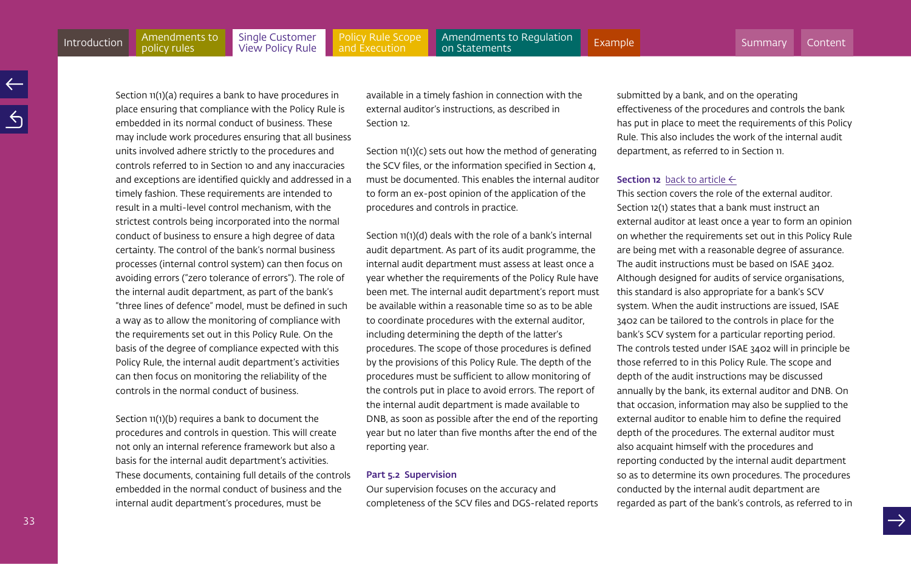[Policy Rule Scope](#page-35-0)  and Execution

<span id="page-32-0"></span>Section 11(1)(a) requires a bank to have procedures in place ensuring that compliance with the Policy Rule is embedded in its normal conduct of business. These may include work procedures ensuring that all business units involved adhere strictly to the procedures and controls referred to in Section 10 and any inaccuracies and exceptions are identified quickly and addressed in a timely fashion. These requirements are intended to result in a multi-level control mechanism, with the strictest controls being incorporated into the normal conduct of business to ensure a high degree of data certainty. The control of the bank's normal business processes (internal control system) can then focus on avoiding errors ("zero tolerance of errors"). The role of the internal audit department, as part of the bank's "three lines of defence" model, must be defined in such a way as to allow the monitoring of compliance with the requirements set out in this Policy Rule. On the basis of the degree of compliance expected with this Policy Rule, the internal audit department's activities can then focus on monitoring the reliability of the controls in the normal conduct of business.

Section  $11(1)(b)$  requires a bank to document the procedures and controls in question. This will create not only an internal reference framework but also a basis for the internal audit department's activities. These documents, containing full details of the controls embedded in the normal conduct of business and the internal audit department's procedures, must be

available in a timely fashion in connection with the external auditor's instructions, as described in Section 12.

Section 11(1)(c) sets out how the method of generating the SCV files, or the information specified in Section 4, must be documented. This enables the internal auditor to form an ex-post opinion of the application of the procedures and controls in practice.

Section 11(1)(d) deals with the role of a bank's internal audit department. As part of its audit programme, the internal audit department must assess at least once a year whether the requirements of the Policy Rule have been met. The internal audit department's report must be available within a reasonable time so as to be able to coordinate procedures with the external auditor, including determining the depth of the latter's procedures. The scope of those procedures is defined by the provisions of this Policy Rule. The depth of the procedures must be sufficient to allow monitoring of the controls put in place to avoid errors. The report of the internal audit department is made available to DNB, as soon as possible after the end of the reporting year but no later than five months after the end of the reporting year.

#### Part 5.2 Supervision

Our supervision focuses on the accuracy and completeness of the SCV files and DGS-related reports submitted by a bank, and on the operating effectiveness of the procedures and controls the bank has put in place to meet the requirements of this Policy Rule. This also includes the work of the internal audit department, as referred to in Section 11.

#### **Section 12** [back to article](#page-16-0)  $\leftarrow$

This section covers the role of the external auditor. Section 12(1) states that a bank must instruct an external auditor at least once a year to form an opinion on whether the requirements set out in this Policy Rule are being met with a reasonable degree of assurance. The audit instructions must be based on ISAE 3402. Although designed for audits of service organisations, this standard is also appropriate for a bank's SCV system. When the audit instructions are issued, ISAE 3402 can be tailored to the controls in place for the bank's SCV system for a particular reporting period. The controls tested under ISAE 3402 will in principle be those referred to in this Policy Rule. The scope and depth of the audit instructions may be discussed annually by the bank, its external auditor and DNB. On that occasion, information may also be supplied to the external auditor to enable him to define the required depth of the procedures. The external auditor must also acquaint himself with the procedures and reporting conducted by the internal audit department so as to determine its own procedures. The procedures conducted by the internal audit department are regarded as part of the bank's controls, as referred to in

33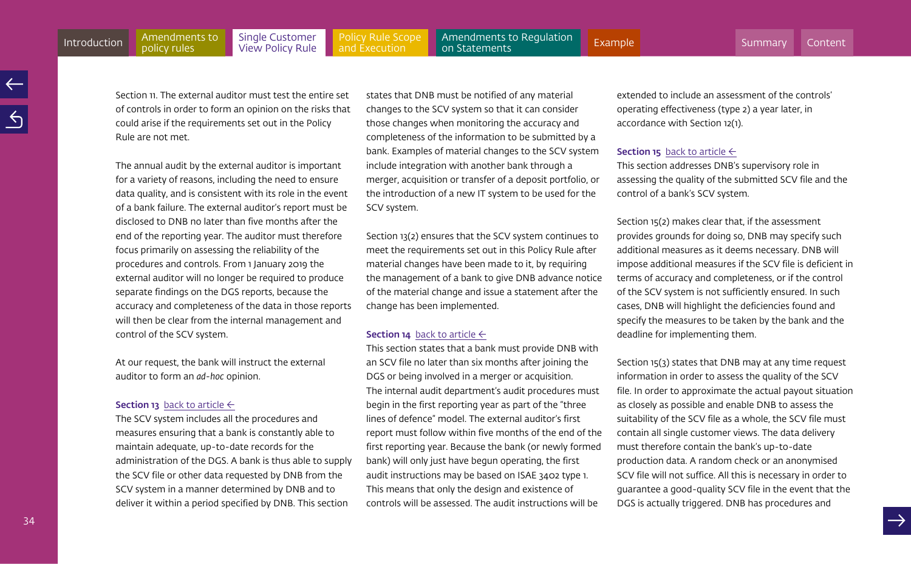extended to include an assessment of the controls' operating effectiveness (type 2) a year later, in

accordance with Section 12(1).

#### **Section 15** [back to article](#page-16-0)  $\leftarrow$

This section addresses DNB's supervisory role in assessing the quality of the submitted SCV file and the control of a bank's SCV system.

Section 15(2) makes clear that, if the assessment provides grounds for doing so, DNB may specify such additional measures as it deems necessary. DNB will impose additional measures if the SCV file is deficient in terms of accuracy and completeness, or if the control of the SCV system is not sufficiently ensured. In such cases, DNB will highlight the deficiencies found and specify the measures to be taken by the bank and the deadline for implementing them.

Section 15(3) states that DNB may at any time request information in order to assess the quality of the SCV file. In order to approximate the actual payout situation as closely as possible and enable DNB to assess the suitability of the SCV file as a whole, the SCV file must contain all single customer views. The data delivery must therefore contain the bank's up-to-date production data. A random check or an anonymised SCV file will not suffice. All this is necessary in order to guarantee a good-quality SCV file in the event that the DGS is actually triggered. DNB has procedures and

<span id="page-33-0"></span>Section 11. The external auditor must test the entire set of controls in order to form an opinion on the risks that could arise if the requirements set out in the Policy Rule are not met.

The annual audit by the external auditor is important for a variety of reasons, including the need to ensure data quality, and is consistent with its role in the event of a bank failure. The external auditor's report must be disclosed to DNB no later than five months after the end of the reporting year. The auditor must therefore focus primarily on assessing the reliability of the procedures and controls. From 1 January 2019 the external auditor will no longer be required to produce separate findings on the DGS reports, because the accuracy and completeness of the data in those reports will then be clear from the internal management and control of the SCV system.

At our request, the bank will instruct the external auditor to form an *ad-hoc* opinion.

#### Section 13 [back to article](#page-16-0)  $\leftarrow$

The SCV system includes all the procedures and measures ensuring that a bank is constantly able to maintain adequate, up-to-date records for the administration of the DGS. A bank is thus able to supply the SCV file or other data requested by DNB from the SCV system in a manner determined by DNB and to deliver it within a period specified by DNB. This section

states that DNB must be notified of any material changes to the SCV system so that it can consider those changes when monitoring the accuracy and completeness of the information to be submitted by a bank. Examples of material changes to the SCV system include integration with another bank through a merger, acquisition or transfer of a deposit portfolio, or the introduction of a new IT system to be used for the SCV system.

Section 13(2) ensures that the SCV system continues to meet the requirements set out in this Policy Rule after material changes have been made to it, by requiring the management of a bank to give DNB advance notice of the material change and issue a statement after the change has been implemented.

### **Section 14** [back to article](#page-16-0)  $\leftarrow$

This section states that a bank must provide DNB with an SCV file no later than six months after joining the DGS or being involved in a merger or acquisition. The internal audit department's audit procedures must begin in the first reporting year as part of the "three lines of defence" model. The external auditor's first report must follow within five months of the end of the first reporting year. Because the bank (or newly formed bank) will only just have begun operating, the first audit instructions may be based on ISAE 3402 type 1. This means that only the design and existence of controls will be assessed. The audit instructions will be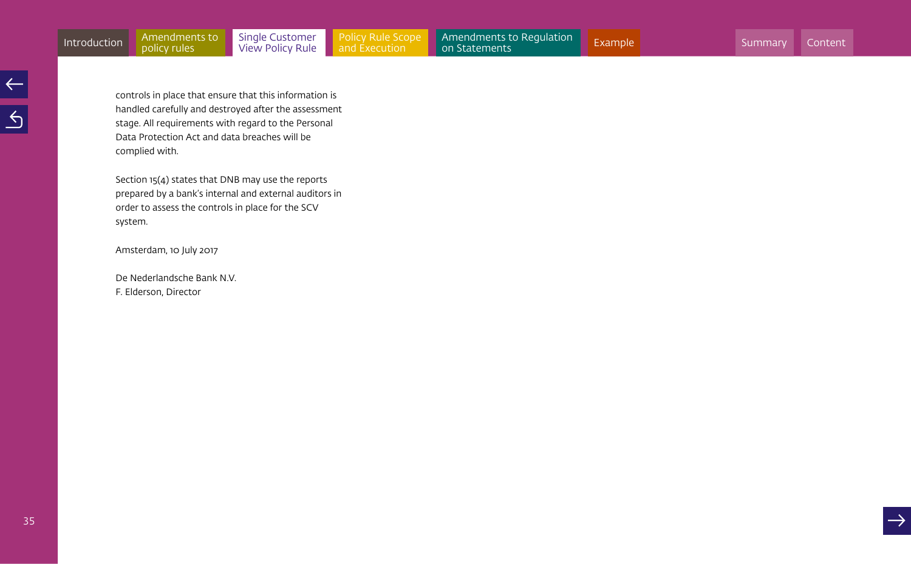controls in place that ensure that this information is handled carefully and destroyed after the assessment stage. All requirements with regard to the Personal Data Protection Act and data breaches will be complied with.

Section 15(4) states that DNB may use the reports prepared by a bank's internal and external auditors in order to assess the controls in place for the SCV system.

Amsterdam, 10 July 2017

De Nederlandsche Bank N.V. F. Elderson, Director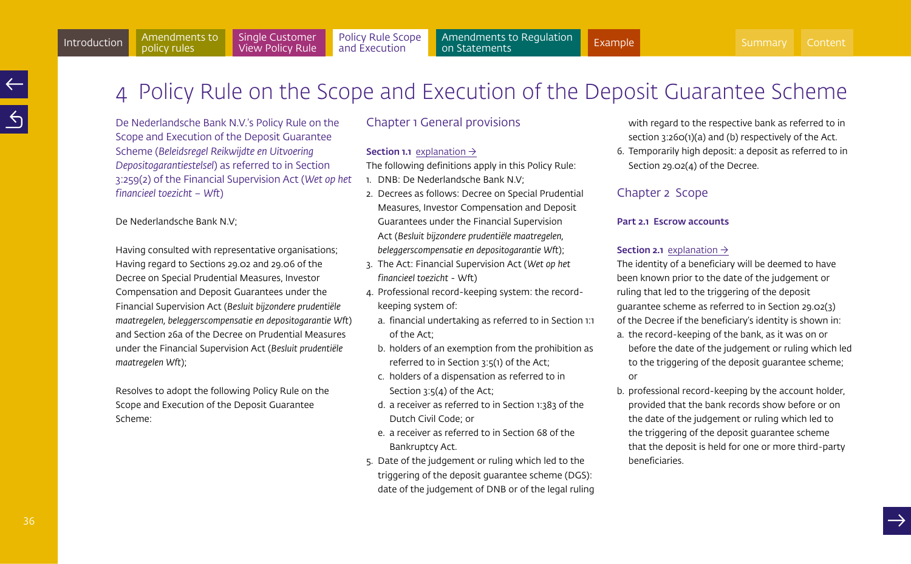<span id="page-35-1"></span>

<span id="page-35-0"></span>4 Policy Rule on the Scope and Execution of the Deposit Guarantee Scheme

De Nederlandsche Bank N.V.'s Policy Rule on the Scope and Execution of the Deposit Guarantee Scheme (*Beleidsregel Reikwijdte en Uitvoering Depositogarantiestelsel*) as referred to in Section 3:259(2) of the Financial Supervision Act (*Wet op het financieel toezicht – Wft*)

De Nederlandsche Bank N.V;

Having consulted with representative organisations; Having regard to Sections 29.02 and 29.06 of the Decree on Special Prudential Measures, Investor Compensation and Deposit Guarantees under the Financial Supervision Act (*Besluit bijzondere prudentiële maatregelen, beleggerscompensatie en depositogarantie Wft*) and Section 26a of the Decree on Prudential Measures under the Financial Supervision Act (*Besluit prudentiële maatregelen Wft*);

Resolves to adopt the following Policy Rule on the Scope and Execution of the Deposit Guarantee Scheme:

# Chapter 1 General provisions

# **Section 1.1** [explanation](#page-40-0)  $\rightarrow$

The following definitions apply in this Policy Rule:

- 1. DNB: De Nederlandsche Bank N.V;
- 2. Decrees as follows: Decree on Special Prudential Measures, Investor Compensation and Deposit Guarantees under the Financial Supervision Act (*Besluit bijzondere prudentiële maatregelen, beleggerscompensatie en depositogarantie Wft*);
- 3. The Act: Financial Supervision Act (*Wet op het financieel toezicht* - Wft)
- 4. Professional record-keeping system: the recordkeeping system of:
	- a. financial undertaking as referred to in Section 1:1 of the Act;
	- b. holders of an exemption from the prohibition as referred to in Section 3:5(1) of the Act;
	- c. holders of a dispensation as referred to in Section 3:5(4) of the Act;
	- d. a receiver as referred to in Section 1:383 of the Dutch Civil Code; or
	- e. a receiver as referred to in Section 68 of the Bankruptcy Act.
- 5. Date of the judgement or ruling which led to the triggering of the deposit guarantee scheme (DGS): date of the judgement of DNB or of the legal ruling

with regard to the respective bank as referred to in section 3:260(1)(a) and (b) respectively of the Act.

6. Temporarily high deposit: a deposit as referred to in Section 29.02(4) of the Decree.

# Chapter 2 Scope

# Part 2.1 Escrow accounts

# **Section 2.1** [explanation](#page-41-0)  $\rightarrow$

The identity of a beneficiary will be deemed to have been known prior to the date of the judgement or ruling that led to the triggering of the deposit guarantee scheme as referred to in Section 29.02(3) of the Decree if the beneficiary's identity is shown in:

- a. the record-keeping of the bank, as it was on or before the date of the judgement or ruling which led to the triggering of the deposit guarantee scheme; or
- b. professional record-keeping by the account holder, provided that the bank records show before or on the date of the judgement or ruling which led to the triggering of the deposit guarantee scheme that the deposit is held for one or more third-party beneficiaries.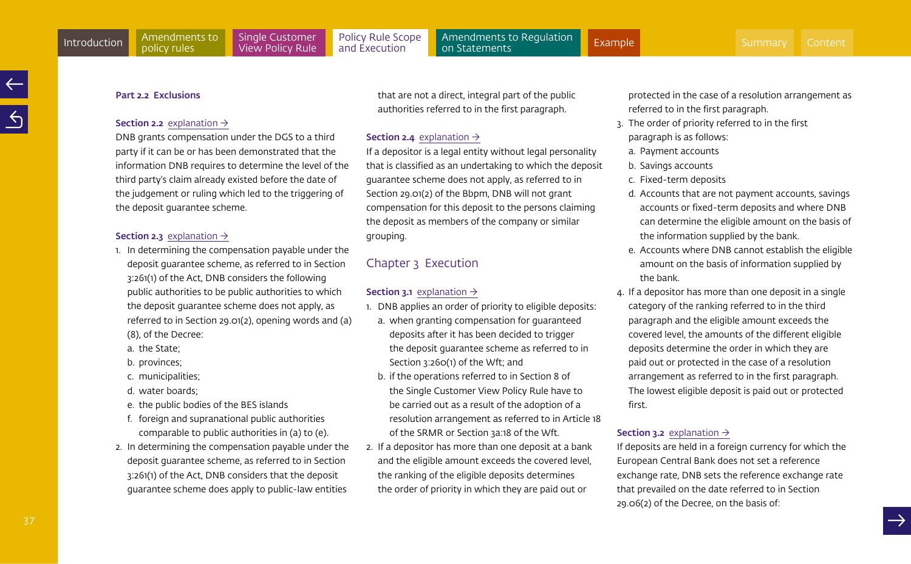#### <span id="page-36-0"></span>Part 2.2 Exclusions

#### **Section 2.2** [explanation](#page-42-0)  $\rightarrow$

DNB grants compensation under the DGS to a third party if it can be or has been demonstrated that the information DNB requires to determine the level of the third party's claim already existed before the date of the judgement or ruling which led to the triggering of the deposit guarantee scheme.

# **Section 2.3** [explanation](#page-42-0)  $\rightarrow$

- 1. In determining the compensation payable under the deposit guarantee scheme, as referred to in Section 3:261(1) of the Act, DNB considers the following public authorities to be public authorities to which the deposit guarantee scheme does not apply, as referred to in Section 29.01(2), opening words and (a) (8), of the Decree:
	- a. the State;
	- b. provinces;
	- c. municipalities;
	- d. water boards;
	- e. the public bodies of the BES islands
	- f. foreign and supranational public authorities comparable to public authorities in (a) to (e).
- 2. In determining the compensation payable under the deposit guarantee scheme, as referred to in Section 3:261(1) of the Act, DNB considers that the deposit guarantee scheme does apply to public-law entities

that are not a direct, integral part of the public authorities referred to in the first paragraph.

#### **Section 2.4** [explanation](#page-42-0)  $\rightarrow$

If a depositor is a legal entity without legal personality that is classified as an undertaking to which the deposit guarantee scheme does not apply, as referred to in Section 29.01(2) of the Bbpm, DNB will not grant compensation for this deposit to the persons claiming the deposit as members of the company or similar grouping.

# Chapter 3 Execution

#### **Section 3.1** [explanation](#page-43-0)  $\rightarrow$

- 1. DNB applies an order of priority to eligible deposits:
	- a. when granting compensation for guaranteed deposits after it has been decided to trigger the deposit guarantee scheme as referred to in Section 3:260(1) of the Wft; and
	- b. if the operations referred to in Section 8 of the Single Customer View Policy Rule have to be carried out as a result of the adoption of a resolution arrangement as referred to in Article 18 of the SRMR or Section 3a:18 of the Wft.
- 2. If a depositor has more than one deposit at a bank and the eligible amount exceeds the covered level, the ranking of the eligible deposits determines the order of priority in which they are paid out or

protected in the case of a resolution arrangement as referred to in the first paragraph.

- 3. The order of priority referred to in the first paragraph is as follows:
	- a. Payment accounts
- b. Savings accounts
- c. Fixed-term deposits
- d. Accounts that are not payment accounts, savings accounts or fixed-term deposits and where DNB can determine the eligible amount on the basis of the information supplied by the bank.
- e. Accounts where DNB cannot establish the eligible amount on the basis of information supplied by the bank.
- 4. If a depositor has more than one deposit in a single category of the ranking referred to in the third paragraph and the eligible amount exceeds the covered level, the amounts of the different eligible deposits determine the order in which they are paid out or protected in the case of a resolution arrangement as referred to in the first paragraph. The lowest eligible deposit is paid out or protected first.

### **Section 3.2** [explanation](#page-44-0)  $\rightarrow$

If deposits are held in a foreign currency for which the European Central Bank does not set a reference exchange rate, DNB sets the reference exchange rate that prevailed on the date referred to in Section 29.06(2) of the Decree, on the basis of: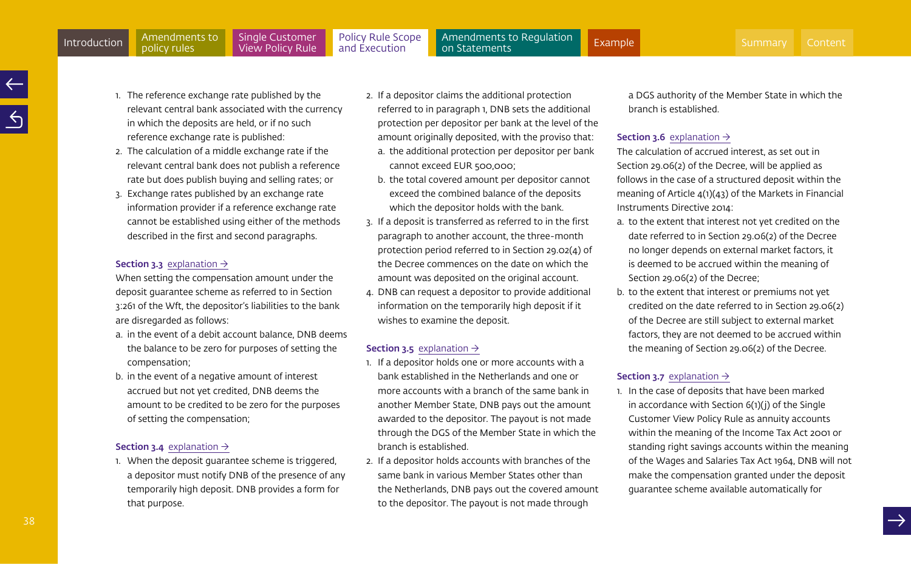- <span id="page-37-0"></span>1. The reference exchange rate published by the relevant central bank associated with the currency in which the deposits are held, or if no such reference exchange rate is published:
- 2. The calculation of a middle exchange rate if the relevant central bank does not publish a reference rate but does publish buying and selling rates; or
- 3. Exchange rates published by an exchange rate information provider if a reference exchange rate cannot be established using either of the methods described in the first and second paragraphs.

#### **Section 3.3** [explanation](#page-44-0)  $\rightarrow$

When setting the compensation amount under the deposit guarantee scheme as referred to in Section 3:261 of the Wft, the depositor's liabilities to the bank are disregarded as follows:

- a. in the event of a debit account balance, DNB deems the balance to be zero for purposes of setting the compensation;
- b. in the event of a negative amount of interest accrued but not yet credited, DNB deems the amount to be credited to be zero for the purposes of setting the compensation;

# **Section 3.4** [explanation](#page-42-0)  $\rightarrow$

1. When the deposit guarantee scheme is triggered, a depositor must notify DNB of the presence of any temporarily high deposit. DNB provides a form for that purpose.

- 2. If a depositor claims the additional protection referred to in paragraph 1, DNB sets the additional protection per depositor per bank at the level of the amount originally deposited, with the proviso that:
	- a. the additional protection per depositor per bank cannot exceed EUR 500,000;
	- b. the total covered amount per depositor cannot exceed the combined balance of the deposits which the depositor holds with the bank.
- 3. If a deposit is transferred as referred to in the first paragraph to another account, the three-month protection period referred to in Section 29.02(4) of the Decree commences on the date on which the amount was deposited on the original account.
- 4. DNB can request a depositor to provide additional information on the temporarily high deposit if it wishes to examine the deposit.

## **Section 3.5** [explanation](#page-46-0)  $\rightarrow$

- 1. If a depositor holds one or more accounts with a bank established in the Netherlands and one or more accounts with a branch of the same bank in another Member State, DNB pays out the amount awarded to the depositor. The payout is not made through the DGS of the Member State in which the branch is established.
- 2. If a depositor holds accounts with branches of the same bank in various Member States other than the Netherlands, DNB pays out the covered amount to the depositor. The payout is not made through

a DGS authority of the Member State in which the branch is established.

#### **Section 3.6** [explanation](#page-46-0)  $\rightarrow$

The calculation of accrued interest, as set out in Section 29.06(2) of the Decree, will be applied as follows in the case of a structured deposit within the meaning of Article 4(1)(43) of the Markets in Financial Instruments Directive 2014:

- a. to the extent that interest not yet credited on the date referred to in Section 29.06(2) of the Decree no longer depends on external market factors, it is deemed to be accrued within the meaning of Section 29.06(2) of the Decree;
- b. to the extent that interest or premiums not yet credited on the date referred to in Section 29.06(2) of the Decree are still subject to external market factors, they are not deemed to be accrued within the meaning of Section 29.06(2) of the Decree.

#### **Section 3.7** [explanation](#page-47-0)  $\rightarrow$

1. In the case of deposits that have been marked in accordance with Section 6(1)(j) of the Single Customer View Policy Rule as annuity accounts within the meaning of the Income Tax Act 2001 or standing right savings accounts within the meaning of the Wages and Salaries Tax Act 1964, DNB will not make the compensation granted under the deposit guarantee scheme available automatically for

38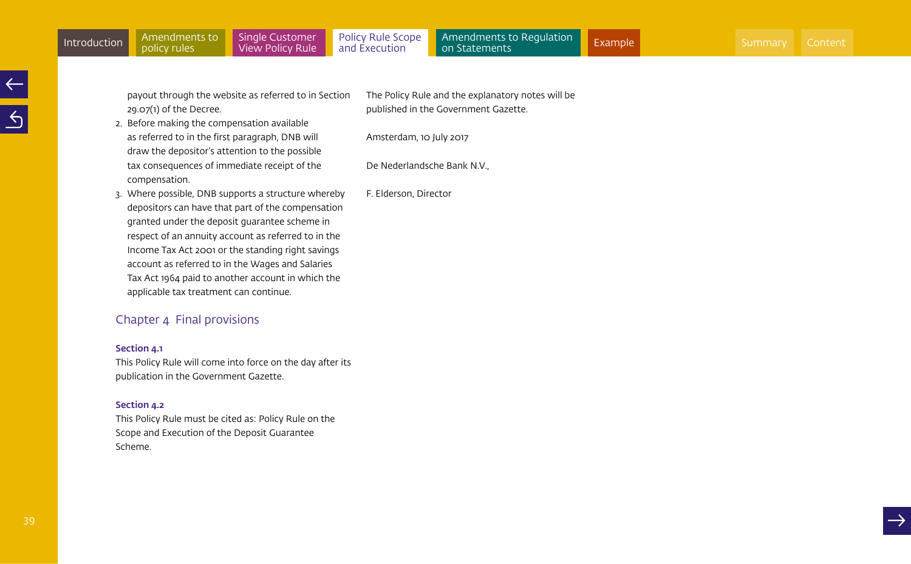payout through the website as referred to in Section 29.07(1) of the Decree.

2. Before making the compensation available as referred to in the first paragraph, DNB will draw the depositor's attention to the possible tax consequences of immediate receipt of the compensation.

The Policy Rule and the explanatory notes will be published in the Government Gazette.

Amsterdam, 10 July 2017

De Nederlandsche Bank N.V.,

3. Where possible, DNB supports a structure whereby depositors can have that part of the compensation granted under the deposit guarantee scheme in respect of an annuity account as referred to in the Income Tax Act 2001 or the standing right savings account as referred to in the Wages and Salaries Tax Act 1964 paid to another account in which the applicable tax treatment can continue.

# Chapter 4 Final provisions

#### Section 4.1

This Policy Rule will come into force on the day after its publication in the Government Gazette.

## Section 4.2

This Policy Rule must be cited as: Policy Rule on the Scope and Execution of the Deposit Guarantee Scheme.

F. Elderson, Director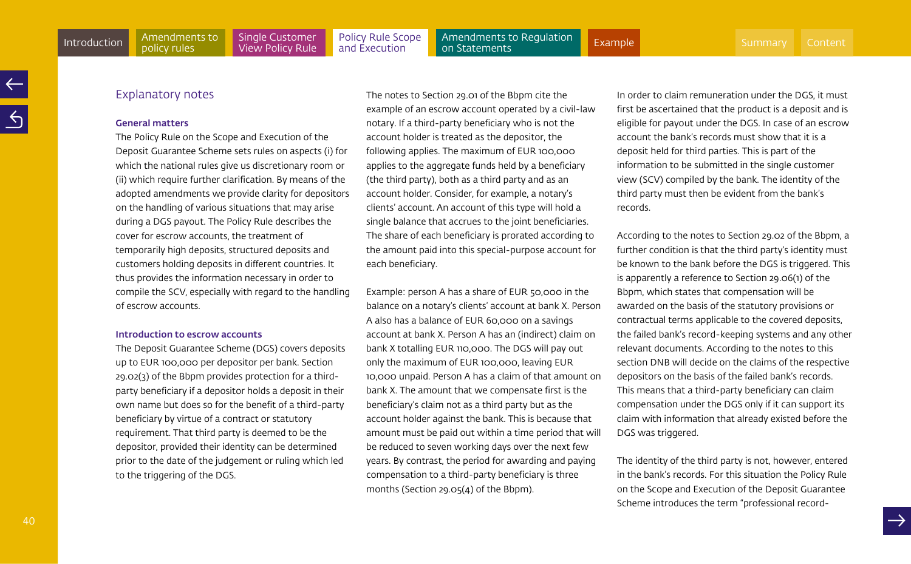## Explanatory notes

policy rules

#### General matters

The Policy Rule on the Scope and Execution of the Deposit Guarantee Scheme sets rules on aspects (i) for which the national rules give us discretionary room or (ii) which require further clarification. By means of the adopted amendments we provide clarity for depositors on the handling of various situations that may arise during a DGS payout. The Policy Rule describes the cover for escrow accounts, the treatment of temporarily high deposits, structured deposits and customers holding deposits in different countries. It thus provides the information necessary in order to compile the SCV, especially with regard to the handling of escrow accounts.

#### Introduction to escrow accounts

The Deposit Guarantee Scheme (DGS) covers deposits up to EUR 100,000 per depositor per bank. Section 29.02(3) of the Bbpm provides protection for a thirdparty beneficiary if a depositor holds a deposit in their own name but does so for the benefit of a third-party beneficiary by virtue of a contract or statutory requirement. That third party is deemed to be the depositor, provided their identity can be determined prior to the date of the judgement or ruling which led to the triggering of the DGS.

The notes to Section 29.01 of the Bbpm cite the example of an escrow account operated by a civil-law notary. If a third-party beneficiary who is not the account holder is treated as the depositor, the following applies. The maximum of EUR 100,000 applies to the aggregate funds held by a beneficiary (the third party), both as a third party and as an account holder. Consider, for example, a notary's clients' account. An account of this type will hold a single balance that accrues to the joint beneficiaries. The share of each beneficiary is prorated according to the amount paid into this special-purpose account for each beneficiary.

Example: person A has a share of EUR 50,000 in the balance on a notary's clients' account at bank X. Person A also has a balance of EUR 60,000 on a savings account at bank X. Person A has an (indirect) claim on bank X totalling EUR 110,000. The DGS will pay out only the maximum of EUR 100,000, leaving EUR 10,000 unpaid. Person A has a claim of that amount on bank X. The amount that we compensate first is the beneficiary's claim not as a third party but as the account holder against the bank. This is because that amount must be paid out within a time period that will be reduced to seven working days over the next few years. By contrast, the period for awarding and paying compensation to a third-party beneficiary is three months (Section 29.05(4) of the Bbpm).

In order to claim remuneration under the DGS, it must first be ascertained that the product is a deposit and is eligible for payout under the DGS. In case of an escrow account the bank's records must show that it is a deposit held for third parties. This is part of the information to be submitted in the single customer view (SCV) compiled by the bank. The identity of the third party must then be evident from the bank's records.

According to the notes to Section 29.02 of the Bbpm, a further condition is that the third party's identity must be known to the bank before the DGS is triggered. This is apparently a reference to Section 29.06(1) of the Bbpm, which states that compensation will be awarded on the basis of the statutory provisions or contractual terms applicable to the covered deposits, the failed bank's record-keeping systems and any other relevant documents. According to the notes to this section DNB will decide on the claims of the respective depositors on the basis of the failed bank's records. This means that a third-party beneficiary can claim compensation under the DGS only if it can support its claim with information that already existed before the DGS was triggered.

The identity of the third party is not, however, entered in the bank's records. For this situation the Policy Rule on the Scope and Execution of the Deposit Guarantee Scheme introduces the term "professional record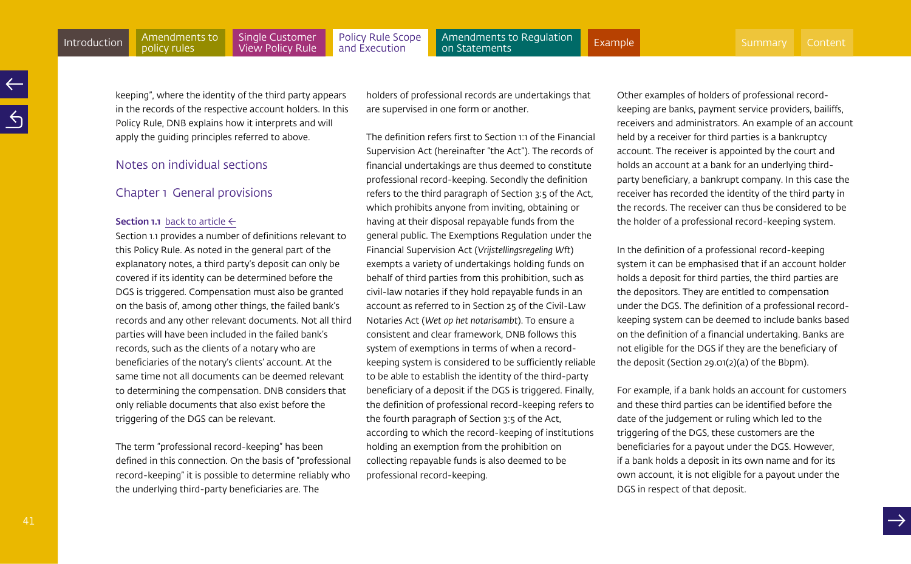[Policy Rule Scope](#page-35-0)  and Execution

<span id="page-40-0"></span>Amendments to Regulation<br>on Statements [Introduction](#page-3-0) Amendments to Single Customer Policy Rule Scope Amendments to Regulation [Example](#page-60-0) [Summary](#page-2-0) [Content](#page-1-0) Amendments (Content Amendments) (Content Amendments ) (Content Amendments ) (Content Amendments ) (Content Amend

keeping", where the identity of the third party appears in the records of the respective account holders. In this Policy Rule, DNB explains how it interprets and will apply the guiding principles referred to above.

# Notes on individual sections

# Chapter 1 General provisions

#### **Section 1.1** [back to article](#page-35-1)  $\leftarrow$

Section 1.1 provides a number of definitions relevant to this Policy Rule. As noted in the general part of the explanatory notes, a third party's deposit can only be covered if its identity can be determined before the DGS is triggered. Compensation must also be granted on the basis of, among other things, the failed bank's records and any other relevant documents. Not all third parties will have been included in the failed bank's records, such as the clients of a notary who are beneficiaries of the notary's clients' account. At the same time not all documents can be deemed relevant to determining the compensation. DNB considers that only reliable documents that also exist before the triggering of the DGS can be relevant.

The term "professional record-keeping" has been defined in this connection. On the basis of "professional record-keeping" it is possible to determine reliably who the underlying third-party beneficiaries are. The

holders of professional records are undertakings that are supervised in one form or another.

The definition refers first to Section 1:1 of the Financial Supervision Act (hereinafter "the Act"). The records of financial undertakings are thus deemed to constitute professional record-keeping. Secondly the definition refers to the third paragraph of Section 3:5 of the Act, which prohibits anyone from inviting, obtaining or having at their disposal repayable funds from the general public. The Exemptions Regulation under the Financial Supervision Act (*Vrijstellingsregeling Wft*) exempts a variety of undertakings holding funds on behalf of third parties from this prohibition, such as civil-law notaries if they hold repayable funds in an account as referred to in Section 25 of the Civil-Law Notaries Act (*Wet op het notarisambt*). To ensure a consistent and clear framework, DNB follows this system of exemptions in terms of when a recordkeeping system is considered to be sufficiently reliable to be able to establish the identity of the third-party beneficiary of a deposit if the DGS is triggered. Finally, the definition of professional record-keeping refers to the fourth paragraph of Section 3:5 of the Act, according to which the record-keeping of institutions holding an exemption from the prohibition on collecting repayable funds is also deemed to be professional record-keeping.

Other examples of holders of professional recordkeeping are banks, payment service providers, bailiffs, receivers and administrators. An example of an account held by a receiver for third parties is a bankruptcy account. The receiver is appointed by the court and holds an account at a bank for an underlying thirdparty beneficiary, a bankrupt company. In this case the receiver has recorded the identity of the third party in the records. The receiver can thus be considered to be the holder of a professional record-keeping system.

In the definition of a professional record-keeping system it can be emphasised that if an account holder holds a deposit for third parties, the third parties are the depositors. They are entitled to compensation under the DGS. The definition of a professional recordkeeping system can be deemed to include banks based on the definition of a financial undertaking. Banks are not eligible for the DGS if they are the beneficiary of the deposit (Section 29.01(2)(a) of the Bbpm).

For example, if a bank holds an account for customers and these third parties can be identified before the date of the judgement or ruling which led to the triggering of the DGS, these customers are the beneficiaries for a payout under the DGS. However, if a bank holds a deposit in its own name and for its own account, it is not eligible for a payout under the DGS in respect of that deposit.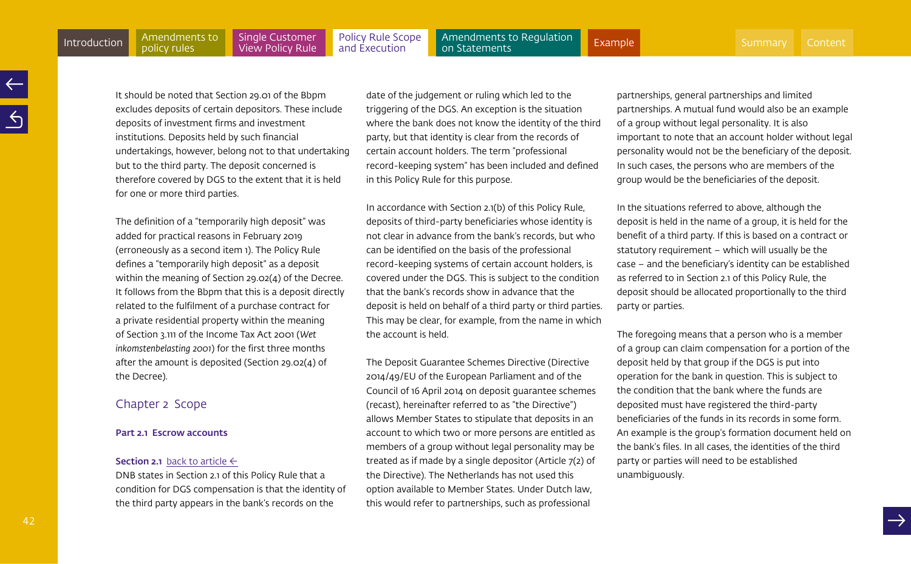[Policy Rule Scope](#page-35-0)  and Execution

<span id="page-41-0"></span>Amendments to Regulation<br>on Statements [Introduction](#page-3-0) Amendments to Single Customer Policy Rule Scope Amendments to Regulation [Example](#page-60-0) [Summary](#page-2-0) [Content](#page-1-0) Amendments (Content Amendments) (Content Amendments ) (Content Amendments ) (Content Amendments ) (Content Amend

It should be noted that Section 29.01 of the Bbpm excludes deposits of certain depositors. These include deposits of investment firms and investment institutions. Deposits held by such financial undertakings, however, belong not to that undertaking but to the third party. The deposit concerned is therefore covered by DGS to the extent that it is held for one or more third parties.

The definition of a "temporarily high deposit" was added for practical reasons in February 2019 (erroneously as a second item 1). The Policy Rule defines a "temporarily high deposit" as a deposit within the meaning of Section 29.02(4) of the Decree. It follows from the Bbpm that this is a deposit directly related to the fulfilment of a purchase contract for a private residential property within the meaning of Section 3.111 of the Income Tax Act 2001 (*Wet inkomstenbelasting 2001*) for the first three months after the amount is deposited (Section 29.02(4) of the Decree).

# Chapter 2 Scope

#### Part 2.1 Escrow accounts

#### **Section 2.1** [back to article](#page-35-1)  $\leftarrow$

DNB states in Section 2.1 of this Policy Rule that a condition for DGS compensation is that the identity of the third party appears in the bank's records on the

date of the judgement or ruling which led to the triggering of the DGS. An exception is the situation where the bank does not know the identity of the third party, but that identity is clear from the records of certain account holders. The term "professional record-keeping system" has been included and defined in this Policy Rule for this purpose.

In accordance with Section 2.1(b) of this Policy Rule, deposits of third-party beneficiaries whose identity is not clear in advance from the bank's records, but who can be identified on the basis of the professional record-keeping systems of certain account holders, is covered under the DGS. This is subject to the condition that the bank's records show in advance that the deposit is held on behalf of a third party or third parties. This may be clear, for example, from the name in which the account is held.

The Deposit Guarantee Schemes Directive (Directive 2014/49/EU of the European Parliament and of the Council of 16 April 2014 on deposit guarantee schemes (recast), hereinafter referred to as "the Directive") allows Member States to stipulate that deposits in an account to which two or more persons are entitled as members of a group without legal personality may be treated as if made by a single depositor (Article 7(2) of the Directive). The Netherlands has not used this option available to Member States. Under Dutch law, this would refer to partnerships, such as professional

partnerships, general partnerships and limited partnerships. A mutual fund would also be an example of a group without legal personality. It is also important to note that an account holder without legal personality would not be the beneficiary of the deposit. In such cases, the persons who are members of the group would be the beneficiaries of the deposit.

In the situations referred to above, although the deposit is held in the name of a group, it is held for the benefit of a third party. If this is based on a contract or statutory requirement – which will usually be the case – and the beneficiary's identity can be established as referred to in Section 2.1 of this Policy Rule, the deposit should be allocated proportionally to the third party or parties.

The foregoing means that a person who is a member of a group can claim compensation for a portion of the deposit held by that group if the DGS is put into operation for the bank in question. This is subject to the condition that the bank where the funds are deposited must have registered the third-party beneficiaries of the funds in its records in some form. An example is the group's formation document held on the bank's files. In all cases, the identities of the third party or parties will need to be established unambiguously.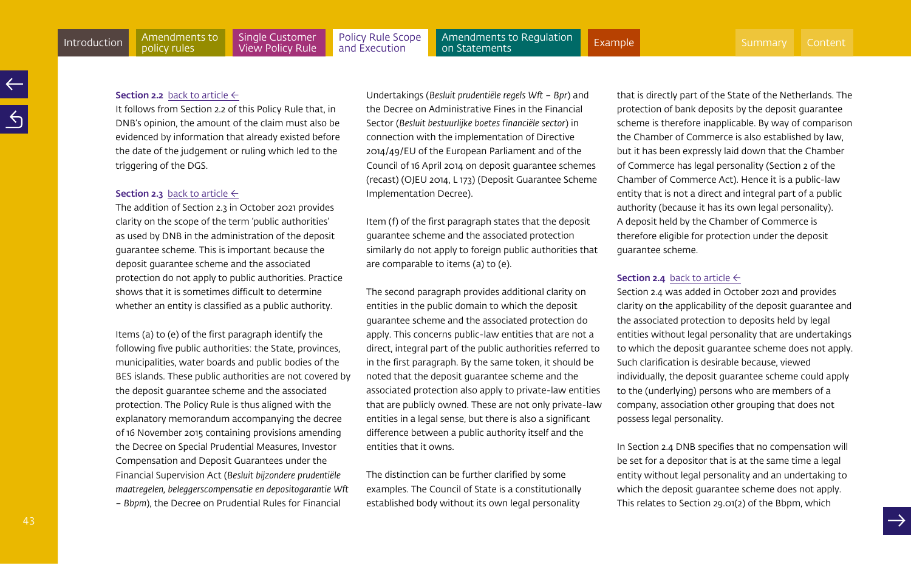#### <span id="page-42-0"></span>**Section 2.2** [back to article](#page-36-0)  $\leftarrow$

It follows from Section 2.2 of this Policy Rule that, in DNB's opinion, the amount of the claim must also be evidenced by information that already existed before the date of the judgement or ruling which led to the triggering of the DGS.

#### **Section 2.3** [back to article](#page-36-0)  $\leftarrow$

The addition of Section 2.3 in October 2021 provides clarity on the scope of the term 'public authorities' as used by DNB in the administration of the deposit guarantee scheme. This is important because the deposit guarantee scheme and the associated protection do not apply to public authorities. Practice shows that it is sometimes difficult to determine whether an entity is classified as a public authority.

Items (a) to (e) of the first paragraph identify the following five public authorities: the State, provinces, municipalities, water boards and public bodies of the BES islands. These public authorities are not covered by the deposit guarantee scheme and the associated protection. The Policy Rule is thus aligned with the explanatory memorandum accompanying the decree of 16 November 2015 containing provisions amending the Decree on Special Prudential Measures, Investor Compensation and Deposit Guarantees under the Financial Supervision Act (*Besluit bijzondere prudentiële maatregelen, beleggerscompensatie en depositogarantie Wft – Bbpm*), the Decree on Prudential Rules for Financial

Undertakings (*Besluit prudentiële regels Wft – Bpr*) and the Decree on Administrative Fines in the Financial Sector (*Besluit bestuurlijke boetes financiële sector*) in connection with the implementation of Directive 2014/49/EU of the European Parliament and of the Council of 16 April 2014 on deposit guarantee schemes (recast) (OJEU 2014, L 173) (Deposit Guarantee Scheme Implementation Decree).

Item (f) of the first paragraph states that the deposit guarantee scheme and the associated protection similarly do not apply to foreign public authorities that are comparable to items (a) to (e).

The second paragraph provides additional clarity on entities in the public domain to which the deposit guarantee scheme and the associated protection do apply. This concerns public-law entities that are not a direct, integral part of the public authorities referred to in the first paragraph. By the same token, it should be noted that the deposit guarantee scheme and the associated protection also apply to private-law entities that are publicly owned. These are not only private-law entities in a legal sense, but there is also a significant difference between a public authority itself and the entities that it owns.

The distinction can be further clarified by some examples. The Council of State is a constitutionally established body without its own legal personality

that is directly part of the State of the Netherlands. The protection of bank deposits by the deposit guarantee scheme is therefore inapplicable. By way of comparison the Chamber of Commerce is also established by law, but it has been expressly laid down that the Chamber of Commerce has legal personality (Section 2 of the Chamber of Commerce Act). Hence it is a public-law entity that is not a direct and integral part of a public authority (because it has its own legal personality). A deposit held by the Chamber of Commerce is therefore eligible for protection under the deposit guarantee scheme.

# **Section 2.4** [back to article](#page-36-0)  $\leftarrow$

Section 2.4 was added in October 2021 and provides clarity on the applicability of the deposit guarantee and the associated protection to deposits held by legal entities without legal personality that are undertakings to which the deposit guarantee scheme does not apply. Such clarification is desirable because, viewed individually, the deposit guarantee scheme could apply to the (underlying) persons who are members of a company, association other grouping that does not possess legal personality.

In Section 2.4 DNB specifies that no compensation will be set for a depositor that is at the same time a legal entity without legal personality and an undertaking to which the deposit guarantee scheme does not apply. This relates to Section 29.01(2) of the Bbpm, which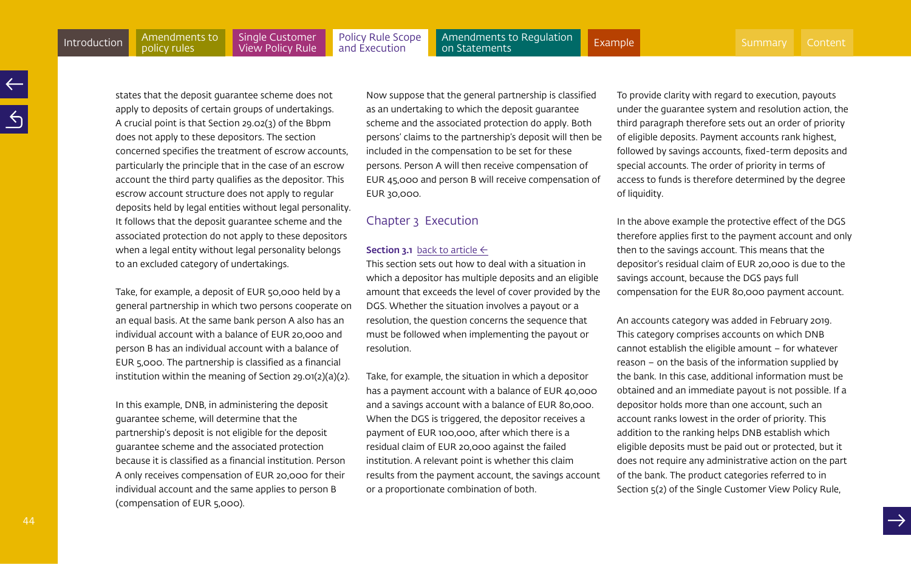<span id="page-43-0"></span>states that the deposit guarantee scheme does not apply to deposits of certain groups of undertakings. A crucial point is that Section 29.02(3) of the Bbpm does not apply to these depositors. The section concerned specifies the treatment of escrow accounts, particularly the principle that in the case of an escrow account the third party qualifies as the depositor. This escrow account structure does not apply to regular deposits held by legal entities without legal personality. It follows that the deposit guarantee scheme and the associated protection do not apply to these depositors when a legal entity without legal personality belongs

to an excluded category of undertakings.

Take, for example, a deposit of EUR 50,000 held by a general partnership in which two persons cooperate on an equal basis. At the same bank person A also has an individual account with a balance of EUR 20,000 and person B has an individual account with a balance of EUR 5,000. The partnership is classified as a financial institution within the meaning of Section 29.01(2)(a)(2).

In this example, DNB, in administering the deposit guarantee scheme, will determine that the partnership's deposit is not eligible for the deposit guarantee scheme and the associated protection because it is classified as a financial institution. Person A only receives compensation of EUR 20,000 for their individual account and the same applies to person B (compensation of EUR 5,000).

Now suppose that the general partnership is classified as an undertaking to which the deposit guarantee scheme and the associated protection do apply. Both persons' claims to the partnership's deposit will then be included in the compensation to be set for these persons. Person A will then receive compensation of EUR 45,000 and person B will receive compensation of EUR 30,000.

# Chapter 3 Execution

#### **Section 3.1** [back to article](#page-36-0)  $\leftarrow$

This section sets out how to deal with a situation in which a depositor has multiple deposits and an eligible amount that exceeds the level of cover provided by the DGS. Whether the situation involves a payout or a resolution, the question concerns the sequence that must be followed when implementing the payout or resolution.

Take, for example, the situation in which a depositor has a payment account with a balance of EUR 40,000 and a savings account with a balance of EUR 80,000. When the DGS is triggered, the depositor receives a payment of EUR 100,000, after which there is a residual claim of EUR 20,000 against the failed institution. A relevant point is whether this claim results from the payment account, the savings account or a proportionate combination of both.

To provide clarity with regard to execution, payouts under the guarantee system and resolution action, the third paragraph therefore sets out an order of priority of eligible deposits. Payment accounts rank highest, followed by savings accounts, fixed-term deposits and special accounts. The order of priority in terms of access to funds is therefore determined by the degree of liquidity.

In the above example the protective effect of the DGS therefore applies first to the payment account and only then to the savings account. This means that the depositor's residual claim of EUR 20,000 is due to the savings account, because the DGS pays full compensation for the EUR 80,000 payment account.

An accounts category was added in February 2019. This category comprises accounts on which DNB cannot establish the eligible amount – for whatever reason – on the basis of the information supplied by the bank. In this case, additional information must be obtained and an immediate payout is not possible. If a depositor holds more than one account, such an account ranks lowest in the order of priority. This addition to the ranking helps DNB establish which eligible deposits must be paid out or protected, but it does not require any administrative action on the part of the bank. The product categories referred to in Section 5(2) of the Single Customer View Policy Rule,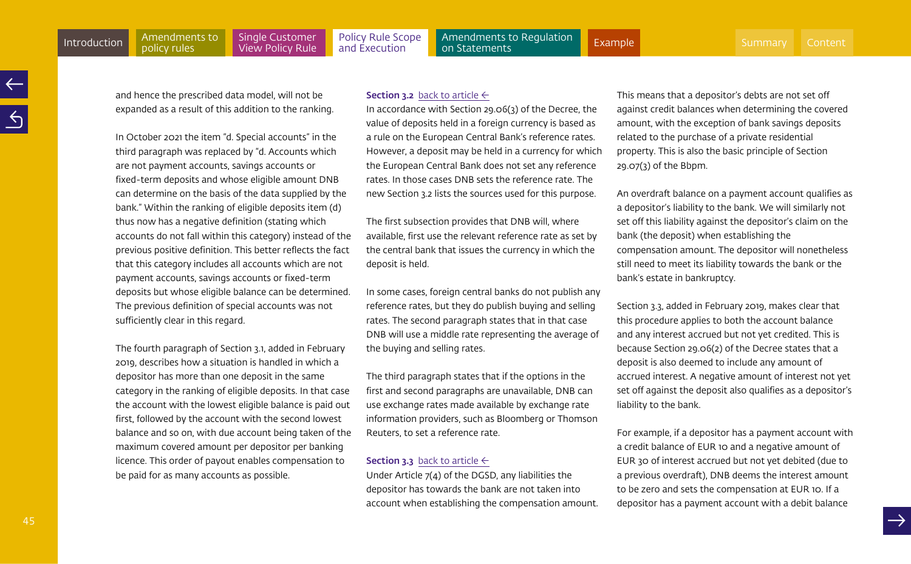<span id="page-44-0"></span>and hence the prescribed data model, will not be expanded as a result of this addition to the ranking.

policy rules

In October 2021 the item "d. Special accounts" in the third paragraph was replaced by "d. Accounts which are not payment accounts, savings accounts or fixed-term deposits and whose eligible amount DNB can determine on the basis of the data supplied by the bank." Within the ranking of eligible deposits item (d) thus now has a negative definition (stating which accounts do not fall within this category) instead of the previous positive definition. This better reflects the fact that this category includes all accounts which are not payment accounts, savings accounts or fixed-term deposits but whose eligible balance can be determined. The previous definition of special accounts was not sufficiently clear in this regard.

The fourth paragraph of Section 3.1, added in February 2019, describes how a situation is handled in which a depositor has more than one deposit in the same category in the ranking of eligible deposits. In that case the account with the lowest eligible balance is paid out first, followed by the account with the second lowest balance and so on, with due account being taken of the maximum covered amount per depositor per banking licence. This order of payout enables compensation to be paid for as many accounts as possible.

#### **Section 3.2** [back to article](#page-36-0)  $\leftarrow$

In accordance with Section 29.06(3) of the Decree, the value of deposits held in a foreign currency is based as a rule on the European Central Bank's reference rates. However, a deposit may be held in a currency for which the European Central Bank does not set any reference rates. In those cases DNB sets the reference rate. The new Section 3.2 lists the sources used for this purpose.

The first subsection provides that DNB will, where available, first use the relevant reference rate as set by the central bank that issues the currency in which the deposit is held.

In some cases, foreign central banks do not publish any reference rates, but they do publish buying and selling rates. The second paragraph states that in that case DNB will use a middle rate representing the average of the buying and selling rates.

The third paragraph states that if the options in the first and second paragraphs are unavailable, DNB can use exchange rates made available by exchange rate information providers, such as Bloomberg or Thomson Reuters, to set a reference rate.

# **Section 3.3** [back to article](#page-37-0)  $\leftarrow$

Under Article 7(4) of the DGSD, any liabilities the depositor has towards the bank are not taken into account when establishing the compensation amount. This means that a depositor's debts are not set off against credit balances when determining the covered amount, with the exception of bank savings deposits related to the purchase of a private residential property. This is also the basic principle of Section 29.07(3) of the Bbpm.

An overdraft balance on a payment account qualifies as a depositor's liability to the bank. We will similarly not set off this liability against the depositor's claim on the bank (the deposit) when establishing the compensation amount. The depositor will nonetheless still need to meet its liability towards the bank or the bank's estate in bankruptcy.

Section 3.3, added in February 2019, makes clear that this procedure applies to both the account balance and any interest accrued but not yet credited. This is because Section 29.06(2) of the Decree states that a deposit is also deemed to include any amount of accrued interest. A negative amount of interest not yet set off against the deposit also qualifies as a depositor's liability to the bank.

For example, if a depositor has a payment account with a credit balance of EUR 10 and a negative amount of EUR 30 of interest accrued but not yet debited (due to a previous overdraft), DNB deems the interest amount to be zero and sets the compensation at EUR 10. If a depositor has a payment account with a debit balance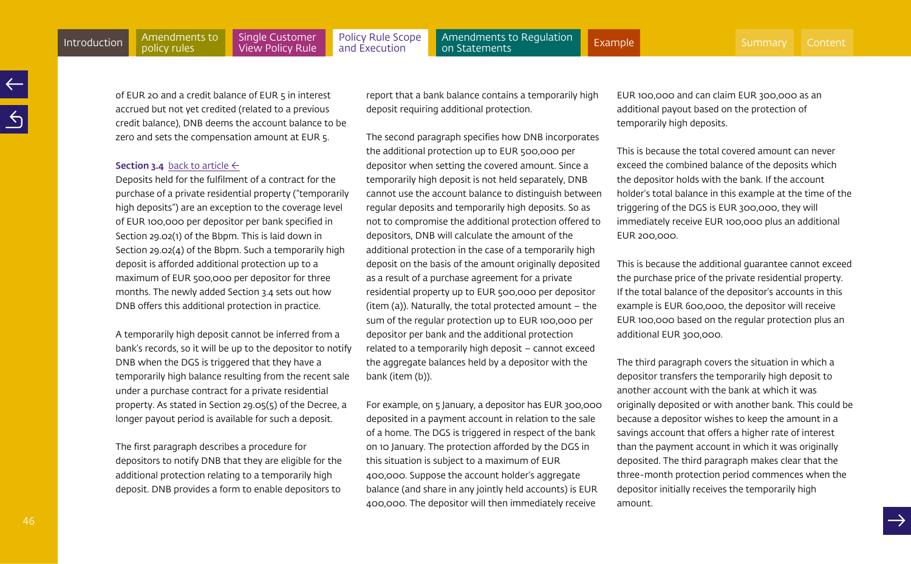[Policy Rule Scope](#page-35-0)  and Execution

Amendments to Regulation<br>on Statements [Introduction](#page-3-0) Amendments to Single Customer Policy Rule Scope Amendments to Regulation [Example](#page-60-0) [Summary](#page-2-0) [Content](#page-1-0) Amendments (Content Amendments) (Content Amendments ) (Content Amendments ) (Content Amendments ) (Content Amend

of EUR 20 and a credit balance of EUR 5 in interest accrued but not yet credited (related to a previous credit balance), DNB deems the account balance to be zero and sets the compensation amount at EUR 5.

#### **Section 3.4** [back to article](#page-37-0)  $\leftarrow$

Deposits held for the fulfilment of a contract for the purchase of a private residential property ("temporarily high deposits") are an exception to the coverage level of EUR 100,000 per depositor per bank specified in Section 29.02(1) of the Bbpm. This is laid down in Section 29.02(4) of the Bbpm. Such a temporarily high deposit is afforded additional protection up to a maximum of EUR 500,000 per depositor for three months. The newly added Section 3.4 sets out how DNB offers this additional protection in practice.

A temporarily high deposit cannot be inferred from a bank's records, so it will be up to the depositor to notify DNB when the DGS is triggered that they have a temporarily high balance resulting from the recent sale under a purchase contract for a private residential property. As stated in Section 29.05(5) of the Decree, a longer payout period is available for such a deposit.

The first paragraph describes a procedure for depositors to notify DNB that they are eligible for the additional protection relating to a temporarily high deposit. DNB provides a form to enable depositors to

report that a bank balance contains a temporarily high deposit requiring additional protection.

The second paragraph specifies how DNB incorporates the additional protection up to EUR 500,000 per depositor when setting the covered amount. Since a temporarily high deposit is not held separately, DNB cannot use the account balance to distinguish between regular deposits and temporarily high deposits. So as not to compromise the additional protection offered to depositors, DNB will calculate the amount of the additional protection in the case of a temporarily high deposit on the basis of the amount originally deposited as a result of a purchase agreement for a private residential property up to EUR 500,000 per depositor (item (a)). Naturally, the total protected amount – the sum of the regular protection up to EUR 100,000 per depositor per bank and the additional protection related to a temporarily high deposit – cannot exceed the aggregate balances held by a depositor with the bank (item (b)).

For example, on 5 January, a depositor has EUR 300,000 deposited in a payment account in relation to the sale of a home. The DGS is triggered in respect of the bank on 10 January. The protection afforded by the DGS in this situation is subject to a maximum of EUR 400,000. Suppose the account holder's aggregate balance (and share in any jointly held accounts) is EUR 400,000. The depositor will then immediately receive

EUR 100,000 and can claim EUR 300,000 as an additional payout based on the protection of temporarily high deposits.

This is because the total covered amount can never exceed the combined balance of the deposits which the depositor holds with the bank. If the account holder's total balance in this example at the time of the triggering of the DGS is EUR 300,000, they will immediately receive EUR 100,000 plus an additional EUR 200,000.

This is because the additional guarantee cannot exceed the purchase price of the private residential property. If the total balance of the depositor's accounts in this example is EUR 600,000, the depositor will receive EUR 100,000 based on the regular protection plus an additional EUR 300,000.

The third paragraph covers the situation in which a depositor transfers the temporarily high deposit to another account with the bank at which it was originally deposited or with another bank. This could be because a depositor wishes to keep the amount in a savings account that offers a higher rate of interest than the payment account in which it was originally deposited. The third paragraph makes clear that the three-month protection period commences when the depositor initially receives the temporarily high amount.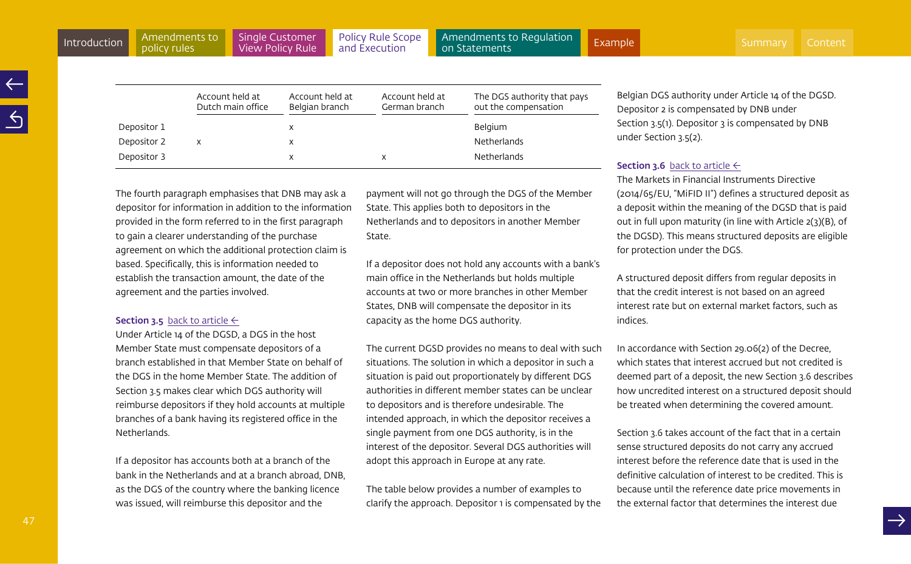<span id="page-46-0"></span>

|             | Account held at<br>Dutch main office | Account held at<br>Belgian branch | Account held at<br>German branch | The DGS authority that pays<br>out the compensation |
|-------------|--------------------------------------|-----------------------------------|----------------------------------|-----------------------------------------------------|
| Depositor 1 |                                      | х                                 |                                  | <b>Belgium</b>                                      |
| Depositor 2 |                                      | x                                 |                                  | <b>Netherlands</b>                                  |
| Depositor 3 |                                      | х                                 | х                                | <b>Netherlands</b>                                  |

The fourth paragraph emphasises that DNB may ask a depositor for information in addition to the information provided in the form referred to in the first paragraph to gain a clearer understanding of the purchase agreement on which the additional protection claim is based. Specifically, this is information needed to establish the transaction amount, the date of the agreement and the parties involved.

#### **Section 3.5** [back to article](#page-37-0)  $\leftarrow$

Under Article 14 of the DGSD, a DGS in the host Member State must compensate depositors of a branch established in that Member State on behalf of the DGS in the home Member State. The addition of Section 3.5 makes clear which DGS authority will reimburse depositors if they hold accounts at multiple branches of a bank having its registered office in the Netherlands.

If a depositor has accounts both at a branch of the bank in the Netherlands and at a branch abroad, DNB, as the DGS of the country where the banking licence was issued, will reimburse this depositor and the

payment will not go through the DGS of the Member State. This applies both to depositors in the Netherlands and to depositors in another Member State.

If a depositor does not hold any accounts with a bank's main office in the Netherlands but holds multiple accounts at two or more branches in other Member States, DNB will compensate the depositor in its capacity as the home DGS authority.

The current DGSD provides no means to deal with such situations. The solution in which a depositor in such a situation is paid out proportionately by different DGS authorities in different member states can be unclear to depositors and is therefore undesirable. The intended approach, in which the depositor receives a single payment from one DGS authority, is in the interest of the depositor. Several DGS authorities will adopt this approach in Europe at any rate.

The table below provides a number of examples to clarify the approach. Depositor 1 is compensated by the Belgian DGS authority under Article 14 of the DGSD. Depositor 2 is compensated by DNB under Section 3.5(1). Depositor 3 is compensated by DNB under Section 3.5(2).

# **Section 3.6** [back to article](#page-37-0)  $\leftarrow$

The Markets in Financial Instruments Directive (2014/65/EU, "MiFID II") defines a structured deposit as a deposit within the meaning of the DGSD that is paid out in full upon maturity (in line with Article 2(3)(B), of the DGSD). This means structured deposits are eligible for protection under the DGS.

A structured deposit differs from regular deposits in that the credit interest is not based on an agreed interest rate but on external market factors, such as indices.

In accordance with Section 29.06(2) of the Decree, which states that interest accrued but not credited is deemed part of a deposit, the new Section 3.6 describes how uncredited interest on a structured deposit should be treated when determining the covered amount.

Section 3.6 takes account of the fact that in a certain sense structured deposits do not carry any accrued interest before the reference date that is used in the definitive calculation of interest to be credited. This is because until the reference date price movements in the external factor that determines the interest due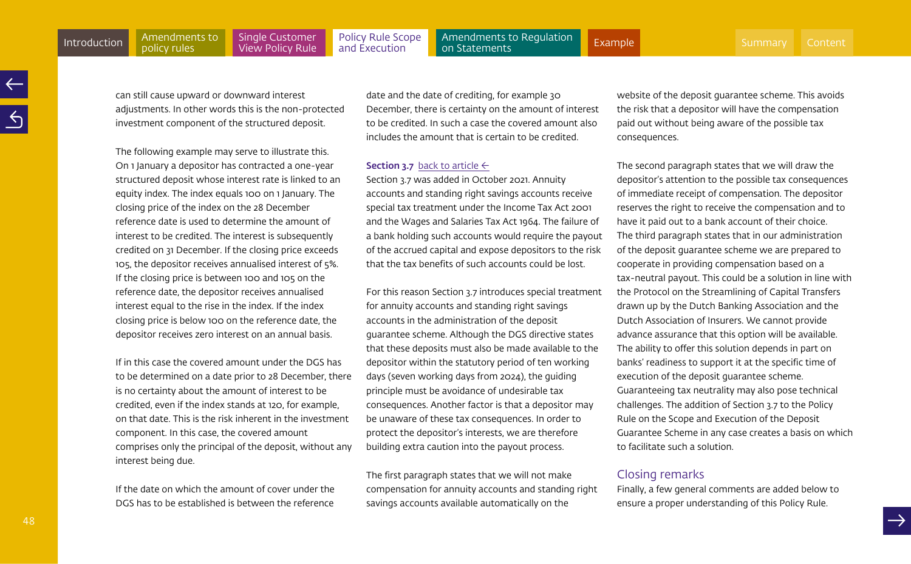<span id="page-47-0"></span>can still cause upward or downward interest adjustments. In other words this is the non-protected investment component of the structured deposit.

The following example may serve to illustrate this. On 1 January a depositor has contracted a one-year structured deposit whose interest rate is linked to an equity index. The index equals 100 on 1 January. The closing price of the index on the 28 December reference date is used to determine the amount of interest to be credited. The interest is subsequently credited on 31 December. If the closing price exceeds 105, the depositor receives annualised interest of 5%. If the closing price is between 100 and 105 on the reference date, the depositor receives annualised interest equal to the rise in the index. If the index closing price is below 100 on the reference date, the depositor receives zero interest on an annual basis.

If in this case the covered amount under the DGS has to be determined on a date prior to 28 December, there is no certainty about the amount of interest to be credited, even if the index stands at 120, for example, on that date. This is the risk inherent in the investment component. In this case, the covered amount comprises only the principal of the deposit, without any interest being due.

If the date on which the amount of cover under the DGS has to be established is between the reference date and the date of crediting, for example 30 December, there is certainty on the amount of interest to be credited. In such a case the covered amount also includes the amount that is certain to be credited.

## **Section 3.7** [back to article](#page-37-0)  $\leftarrow$

Section 3.7 was added in October 2021. Annuity accounts and standing right savings accounts receive special tax treatment under the Income Tax Act 2001 and the Wages and Salaries Tax Act 1964. The failure of a bank holding such accounts would require the payout of the accrued capital and expose depositors to the risk that the tax benefits of such accounts could be lost.

For this reason Section 3.7 introduces special treatment for annuity accounts and standing right savings accounts in the administration of the deposit guarantee scheme. Although the DGS directive states that these deposits must also be made available to the depositor within the statutory period of ten working days (seven working days from 2024), the guiding principle must be avoidance of undesirable tax consequences. Another factor is that a depositor may be unaware of these tax consequences. In order to protect the depositor's interests, we are therefore building extra caution into the payout process.

The first paragraph states that we will not make compensation for annuity accounts and standing right savings accounts available automatically on the

website of the deposit guarantee scheme. This avoids the risk that a depositor will have the compensation paid out without being aware of the possible tax consequences.

The second paragraph states that we will draw the depositor's attention to the possible tax consequences of immediate receipt of compensation. The depositor reserves the right to receive the compensation and to have it paid out to a bank account of their choice. The third paragraph states that in our administration of the deposit guarantee scheme we are prepared to cooperate in providing compensation based on a tax-neutral payout. This could be a solution in line with the Protocol on the Streamlining of Capital Transfers drawn up by the Dutch Banking Association and the Dutch Association of Insurers. We cannot provide advance assurance that this option will be available. The ability to offer this solution depends in part on banks' readiness to support it at the specific time of execution of the deposit guarantee scheme. Guaranteeing tax neutrality may also pose technical challenges. The addition of Section 3.7 to the Policy Rule on the Scope and Execution of the Deposit Guarantee Scheme in any case creates a basis on which to facilitate such a solution.

# Closing remarks

Finally, a few general comments are added below to ensure a proper understanding of this Policy Rule.

48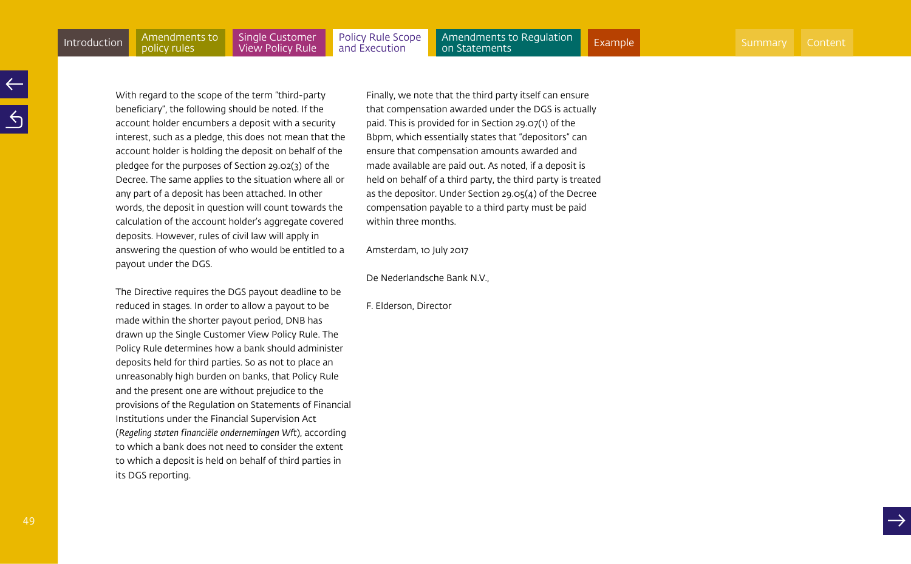With regard to the scope of the term "third-party beneficiary", the following should be noted. If the account holder encumbers a deposit with a security interest, such as a pledge, this does not mean that the account holder is holding the deposit on behalf of the pledgee for the purposes of Section 29.02(3) of the Decree. The same applies to the situation where all or any part of a deposit has been attached. In other words, the deposit in question will count towards the calculation of the account holder's aggregate covered deposits. However, rules of civil law will apply in answering the question of who would be entitled to a payout under the DGS.

The Directive requires the DGS payout deadline to be reduced in stages. In order to allow a payout to be made within the shorter payout period, DNB has drawn up the Single Customer View Policy Rule. The Policy Rule determines how a bank should administer deposits held for third parties. So as not to place an unreasonably high burden on banks, that Policy Rule and the present one are without prejudice to the provisions of the Regulation on Statements of Financial Institutions under the Financial Supervision Act (*Regeling staten financiële ondernemingen Wft*), according to which a bank does not need to consider the extent to which a deposit is held on behalf of third parties in its DGS reporting.

Finally, we note that the third party itself can ensure that compensation awarded under the DGS is actually paid. This is provided for in Section 29.07(1) of the Bbpm, which essentially states that "depositors" can ensure that compensation amounts awarded and made available are paid out. As noted, if a deposit is held on behalf of a third party, the third party is treated as the depositor. Under Section 29.05(4) of the Decree compensation payable to a third party must be paid within three months.

Amsterdam, 10 July 2017

De Nederlandsche Bank N.V.,

F. Elderson, Director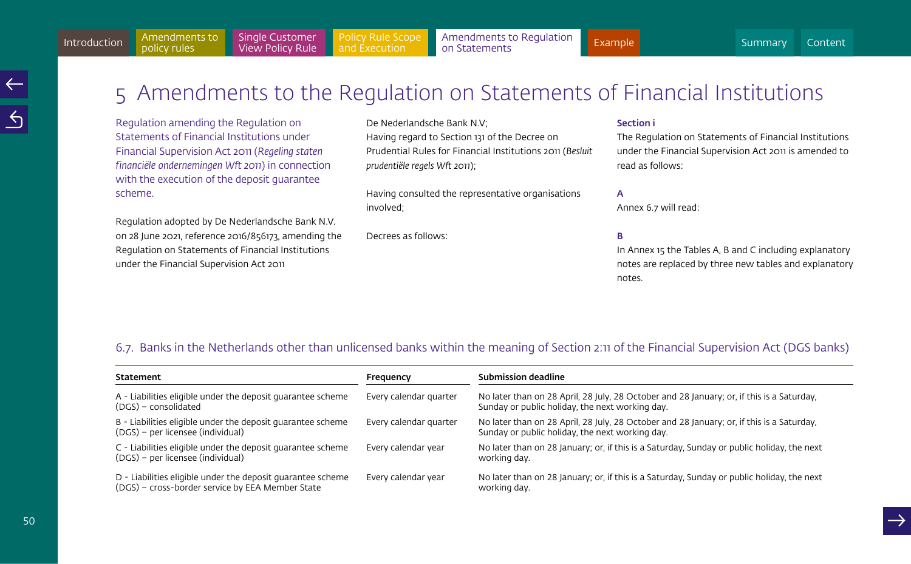# <span id="page-49-1"></span><span id="page-49-0"></span>5 Amendments to the Regulation on Statements of Financial Institutions

Regulation amending the Regulation on Statements of Financial Institutions under Financial Supervision Act 2011 (*Regeling staten financiële ondernemingen Wft 2011*) in connection with the execution of the deposit guarantee scheme.

Regulation adopted by De Nederlandsche Bank N.V. on 28 June 2021, reference 2016/856173, amending the Regulation on Statements of Financial Institutions under the Financial Supervision Act 2011

De Nederlandsche Bank N.V; Having regard to Section 131 of the Decree on Prudential Rules for Financial Institutions 2011 (*Besluit prudentiële regels Wft 2011*);

Having consulted the representative organisations involved;

Decrees as follows:

#### Section i

The Regulation on Statements of Financial Institutions under the Financial Supervision Act 2011 is amended to read as follows:

#### A

Annex 6.7 will read:

# B

In Annex 15 the Tables A, B and C including explanatory notes are replaced by three new tables and explanatory notes.

# 6.7. Banks in the Netherlands other than unlicensed banks within the meaning of Section 2:11 of the Financial Supervision Act (DGS banks)

| Statement                                                                                                       | Frequency              | <b>Submission deadline</b>                                                                                                                   |  |  |  |  |  |  |  |
|-----------------------------------------------------------------------------------------------------------------|------------------------|----------------------------------------------------------------------------------------------------------------------------------------------|--|--|--|--|--|--|--|
| A - Liabilities eligible under the deposit quarantee scheme<br>(DGS) – consolidated                             | Every calendar quarter | No later than on 28 April, 28 July, 28 October and 28 January; or, if this is a Saturday,<br>Sunday or public holiday, the next working day. |  |  |  |  |  |  |  |
| B - Liabilities eligible under the deposit quarantee scheme<br>(DGS) - per licensee (individual)                | Every calendar quarter | No later than on 28 April, 28 July, 28 October and 28 January; or, if this is a Saturday,<br>Sunday or public holiday, the next working day. |  |  |  |  |  |  |  |
| C - Liabilities eligible under the deposit guarantee scheme<br>(DGS) – per licensee (individual)                | Every calendar year    | No later than on 28 January; or, if this is a Saturday, Sunday or public holiday, the next<br>working day.                                   |  |  |  |  |  |  |  |
| D - Liabilities eligible under the deposit quarantee scheme<br>(DGS) - cross-border service by EEA Member State | Every calendar year    | No later than on 28 January; or, if this is a Saturday, Sunday or public holiday, the next<br>working day.                                   |  |  |  |  |  |  |  |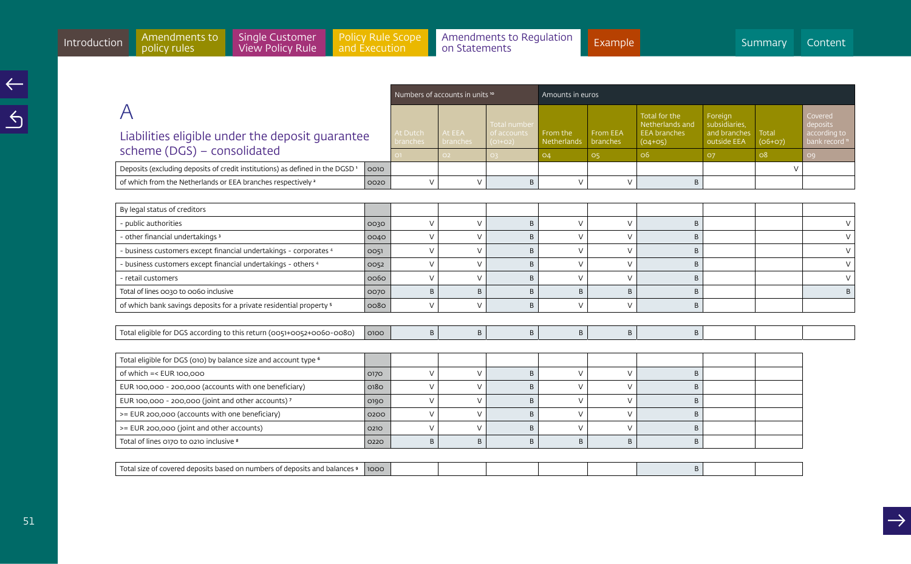Covered

bank record **"** 

|                                                                               |      |                             | Numbers of accounts in units <sup>10</sup> |                          | Amounts in euros            |                             |                                  |                             |                    |           |  |  |
|-------------------------------------------------------------------------------|------|-----------------------------|--------------------------------------------|--------------------------|-----------------------------|-----------------------------|----------------------------------|-----------------------------|--------------------|-----------|--|--|
|                                                                               |      |                             |                                            | Total number             |                             |                             | Total for the<br>Netherlands and | Foreign<br>subsidiaries,    |                    | Co<br>de  |  |  |
| Liabilities eligible under the deposit quarantee                              |      | At Dutch<br><b>branches</b> | At EEA<br><b>branches</b>                  | of accounts<br>$(O1+O2)$ | l From the<br>l Netherlands | From EEA<br><b>branches</b> | <b>EEA</b> branches<br>$(04+05)$ | and branches<br>outside EEA | Total<br>$(06+07)$ | aco<br>ba |  |  |
| scheme (DGS) - consolidated                                                   |      |                             |                                            |                          | O <sub>4</sub>              | O <sub>5</sub>              | O <sub>6</sub>                   | <b>O7</b>                   | O <sub>8</sub>     | OQ        |  |  |
| Deposits (excluding deposits of credit institutions) as defined in the DGSD 1 | 0010 |                             |                                            |                          |                             |                             |                                  |                             |                    |           |  |  |
| of which from the Netherlands or EEA branches respectively <sup>2</sup>       | 0020 |                             |                                            | B                        |                             |                             | B                                |                             |                    |           |  |  |
|                                                                               |      |                             |                                            |                          |                             |                             |                                  |                             |                    |           |  |  |
| Pulgan status of craditors                                                    |      |                             |                                            |                          |                             |                             |                                  |                             |                    |           |  |  |

| By legal status of creditors                                                   |      |               |        |   |                |               |   |  |        |
|--------------------------------------------------------------------------------|------|---------------|--------|---|----------------|---------------|---|--|--------|
| - public authorities                                                           | 0030 | $\mathcal{U}$ | $\vee$ | B | $\overline{V}$ | $\vee$        | B |  |        |
| - other financial undertakings 3                                               | 0040 | $\sqrt{}$     | $\vee$ | B | $\sqrt{}$      | $\sqrt{}$     | B |  |        |
| - business customers except financial undertakings - corporates 4              | 0051 | $\sqrt{}$     | $\vee$ | B | $\vee$         | $\sqrt{}$     | B |  | $\vee$ |
| - business customers except financial undertakings - others 4                  | 0052 | $\sqrt{}$     | $\vee$ | B | $\mathcal{U}$  | $\mathcal{U}$ | B |  |        |
| - retail customers                                                             | 0060 | $\sqrt{}$     | $\vee$ | B | $\mathcal{U}$  | $\sqrt{}$     | B |  | $\vee$ |
| Total of lines 0030 to 0060 inclusive                                          | 0070 | B             | B      | B | B              | B             | B |  | B      |
| of which bank savings deposits for a private residential property <sup>5</sup> | 0080 | $\vee$        | $\vee$ | B | $\mathcal{U}$  | V             | B |  |        |
|                                                                                |      |               |        |   |                |               |   |  |        |
| Total eligible for DGS according to this return (0051+0052+0060-0080)          | 0100 | B             | B      | B | B              | B             | B |  |        |
|                                                                                |      |               |        |   |                |               |   |  |        |
| Total eligible for DGS (010) by balance size and account type <sup>6</sup>     |      |               |        |   |                |               |   |  |        |
| of which $=<$ EUR 100,000                                                      | 0170 | $\vee$        | $\vee$ | B | $\vee$         | $\vee$        | B |  |        |
| EUR 100,000 - 200,000 (accounts with one beneficiary)                          | 0180 | $\vee$        | $\vee$ | B | $\vee$         | V             | B |  |        |
| EUR 100,000 - 200,000 (joint and other accounts) 7                             | 0190 | $\vee$        | $\vee$ | B | $\mathcal{U}$  | $\vee$        | B |  |        |
| >= EUR 200,000 (accounts with one beneficiary)                                 | 0200 | $\vee$        | $\vee$ | B | $\vee$         | $\vee$        | B |  |        |
| >= EUR 200,000 (joint and other accounts)                                      | 0210 | $\vee$        | $\vee$ | B | $\mathcal{U}$  | $\mathcal{U}$ | B |  |        |
| Total of lines 0170 to 0210 inclusive 8                                        | 0220 | B             | B      | B | B              | B             | B |  |        |
|                                                                                |      |               |        |   |                |               |   |  |        |
| Total size of covered deposits based on numbers of deposits and balances 9     | 1000 |               |        |   |                |               | B |  |        |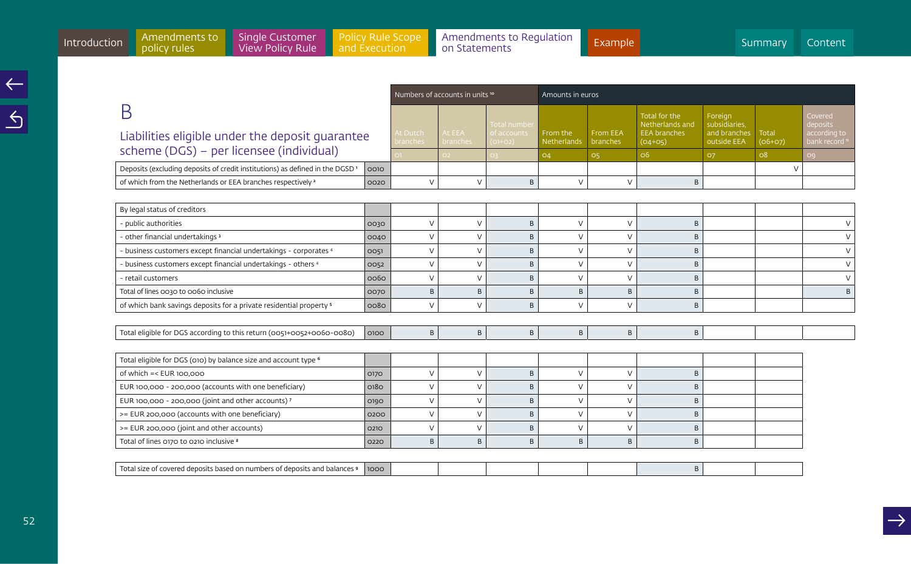Numbers of accounts in units <sup>10</sup> Amounts in euros

B Liabilities

scheme

|                                                                                                  |                                         |                    | Total number                           |                           |                             | Total for the<br>Netherlands and | Foreian<br>subsidiaries.                        |           | Covered<br>deposits           |
|--------------------------------------------------------------------------------------------------|-----------------------------------------|--------------------|----------------------------------------|---------------------------|-----------------------------|----------------------------------|-------------------------------------------------|-----------|-------------------------------|
| Liabilities eligible under the deposit quarantee                                                 | $\mathsf I$ At Dutch<br><b>branches</b> | At EEA<br>branches | of accounts<br>$\vert$ (01+02) $\vert$ | l From the<br>Netherlands | From EEA<br><b>branches</b> | <b>EEA</b> branches<br>$(O4+O5)$ | and branches   Total<br>outside $EEA$ $(06+07)$ |           | according to<br>bank record " |
| scheme (DGS) – per licensee (individual)                                                         |                                         | $\bigcap$          |                                        | O4                        |                             | <b>O</b>                         |                                                 | <b>08</b> |                               |
| Deposits (excluding deposits of credit institutions) as defined in the DGSD <sup>1</sup><br>0010 |                                         |                    |                                        |                           |                             |                                  |                                                 |           |                               |
| of which from the Netherlands or EEA branches respectively <sup>2</sup><br>0020                  |                                         |                    |                                        |                           |                             |                                  |                                                 |           |                               |

| By legal status of creditors                                                   |      |   |               |   |               |            |   |  |        |
|--------------------------------------------------------------------------------|------|---|---------------|---|---------------|------------|---|--|--------|
| - public authorities                                                           | 0030 | V | $\vee$        | B | $\mathcal{U}$ | $\vee$     | B |  | $\vee$ |
| - other financial undertakings 3                                               | 0040 | V | $\sqrt{}$     | B | $\sqrt{ }$    | $\vee$     | B |  | $\vee$ |
| - business customers except financial undertakings - corporates 4              | 0051 | V | $\vee$        | B | $\mathcal{U}$ | $\vee$     | B |  | V      |
| - business customers except financial undertakings - others 4                  | 0052 | V | $\sqrt{}$     | B | $\mathcal{U}$ | $\vee$     | B |  | V      |
| - retail customers                                                             | 0060 | V | $\sqrt{}$     | B | $\sqrt{ }$    | $\vee$     | B |  | $\vee$ |
| Total of lines 0030 to 0060 inclusive                                          | 0070 | B | B             | B | B             | B          | B |  | B      |
| of which bank savings deposits for a private residential property <sup>5</sup> | 0080 | V | $\sqrt{}$     | B | $\vee$        | $\vee$     | B |  |        |
|                                                                                |      |   |               |   |               |            |   |  |        |
| Total eligible for DGS according to this return (0051+0052+0060-0080)          | 0100 | B | B             | B | B             | B          | B |  |        |
|                                                                                |      |   |               |   |               |            |   |  |        |
| Total eligible for DGS (010) by balance size and account type <sup>6</sup>     |      |   |               |   |               |            |   |  |        |
| of which $=<$ EUR 100,000                                                      | 0170 | V | $\vee$        | B | $\sqrt{ }$    | $\vee$     | B |  |        |
| EUR 100,000 - 200,000 (accounts with one beneficiary)                          | 0180 | V | $\vee$        | B | $\lambda$     | $\vee$     | R |  |        |
| EUR 100,000 - 200,000 (joint and other accounts) 7                             | 0190 | V | $\vee$        | B | $\mathcal{U}$ | $\vee$     | B |  |        |
| >= EUR 200,000 (accounts with one beneficiary)                                 | 0200 | V | $\mathcal{U}$ | B | $\mathcal{U}$ | $\vee$     | B |  |        |
| >= EUR 200,000 (joint and other accounts)                                      | 0210 |   | $\mathcal{U}$ | B |               | $\sqrt{ }$ | B |  |        |
| Total of lines 0170 to 0210 inclusive 8                                        | 0220 | B | B             | B | B             | B          | B |  |        |
|                                                                                |      |   |               |   |               |            |   |  |        |
| Total size of covered deposits based on numbers of deposits and balances 9     | 1000 |   |               |   |               |            | B |  |        |
|                                                                                |      |   |               |   |               |            |   |  |        |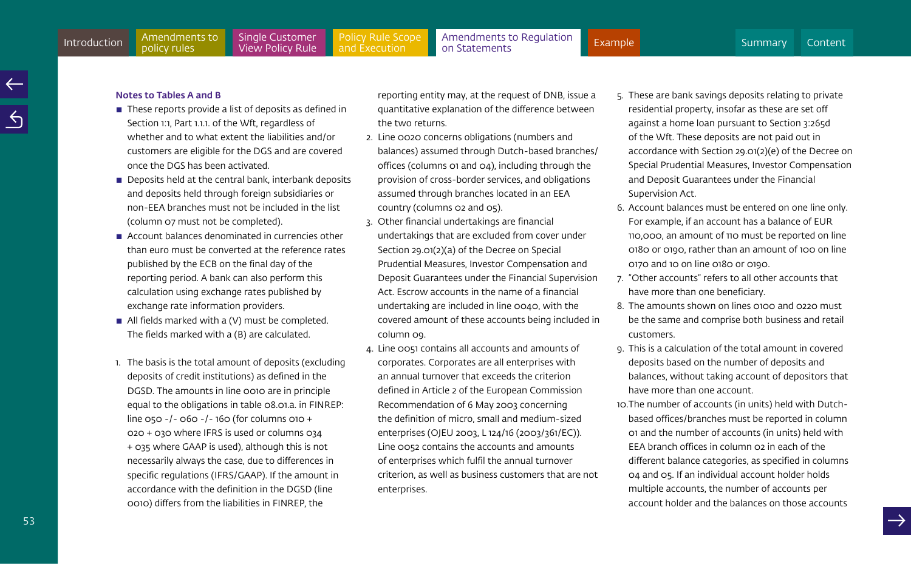#### Notes to Tables A and B

- $\blacksquare$  These reports provide a list of deposits as defined in Section 1:1, Part 1.1.1. of the Wft, regardless of whether and to what extent the liabilities and/or customers are eligible for the DGS and are covered once the DGS has been activated.
- $\blacksquare$  Deposits held at the central bank, interbank deposits and deposits held through foreign subsidiaries or non-EEA branches must not be included in the list (column 07 must not be completed).
- $\blacksquare$  Account balances denominated in currencies other than euro must be converted at the reference rates published by the ECB on the final day of the reporting period. A bank can also perform this calculation using exchange rates published by exchange rate information providers.
- $\blacksquare$  All fields marked with a (V) must be completed. The fields marked with a (B) are calculated.
- 1. The basis is the total amount of deposits (excluding deposits of credit institutions) as defined in the DGSD. The amounts in line 0010 are in principle equal to the obligations in table 08.01.a. in FINREP: line 050 -/- 060 -/- 160 (for columns 010 + 020 + 030 where IFRS is used or columns 034 + 035 where GAAP is used), although this is not necessarily always the case, due to differences in specific regulations (IFRS/GAAP). If the amount in accordance with the definition in the DGSD (line 0010) differs from the liabilities in FINREP, the

reporting entity may, at the request of DNB, issue a quantitative explanation of the difference between the two returns.

- 2. Line 0020 concerns obligations (numbers and balances) assumed through Dutch-based branches/ offices (columns 01 and 04), including through the provision of cross-border services, and obligations assumed through branches located in an EEA country (columns 02 and 05).
- 3. Other financial undertakings are financial undertakings that are excluded from cover under Section 29.01(2)(a) of the Decree on Special Prudential Measures, Investor Compensation and Deposit Guarantees under the Financial Supervision Act. Escrow accounts in the name of a financial undertaking are included in line 0040, with the covered amount of these accounts being included in column 09.
- 4. Line 0051 contains all accounts and amounts of corporates. Corporates are all enterprises with an annual turnover that exceeds the criterion defined in Article 2 of the European Commission Recommendation of 6 May 2003 concerning the definition of micro, small and medium-sized enterprises (OJEU 2003, L 124/16 (2003/361/EC)). Line 0052 contains the accounts and amounts of enterprises which fulfil the annual turnover criterion, as well as business customers that are not enterprises.
- 5. These are bank savings deposits relating to private residential property, insofar as these are set off against a home loan pursuant to Section 3:265d of the Wft. These deposits are not paid out in accordance with Section 29.01(2)(e) of the Decree on Special Prudential Measures, Investor Compensation and Deposit Guarantees under the Financial Supervision Act.
- 6. Account balances must be entered on one line only. For example, if an account has a balance of EUR 110,000, an amount of 110 must be reported on line 0180 or 0190, rather than an amount of 100 on line 0170 and 10 on line 0180 or 0190.
- 7. "Other accounts" refers to all other accounts that have more than one beneficiary.
- 8. The amounts shown on lines 0100 and 0220 must be the same and comprise both business and retail customers.
- 9. This is a calculation of the total amount in covered deposits based on the number of deposits and balances, without taking account of depositors that have more than one account.
- 10.The number of accounts (in units) held with Dutchbased offices/branches must be reported in column 01 and the number of accounts (in units) held with EEA branch offices in column 02 in each of the different balance categories, as specified in columns 04 and 05. If an individual account holder holds multiple accounts, the number of accounts per account holder and the balances on those accounts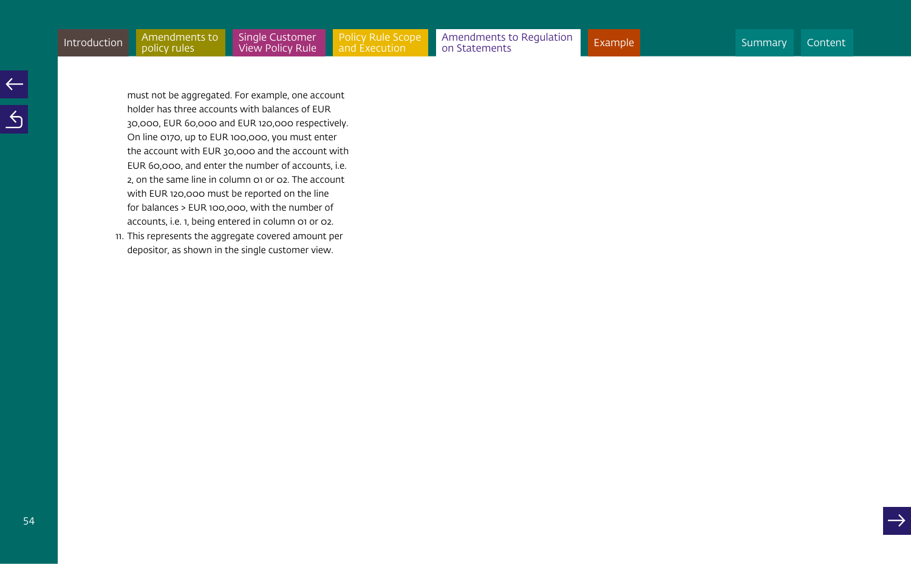must not be aggregated. For example, one account holder has three accounts with balances of EUR 30,000, EUR 60,000 and EUR 120,000 respectively. On line 0170, up to EUR 100,000, you must enter the account with EUR 30,000 and the account with EUR 60,000, and enter the number of accounts, i.e. 2, on the same line in column 01 or 02. The account with EUR 120,000 must be reported on the line for balances > EUR 100,000, with the number of accounts, i.e. 1, being entered in column 01 or 02.

11. This represents the aggregate covered amount per depositor, as shown in the single customer view.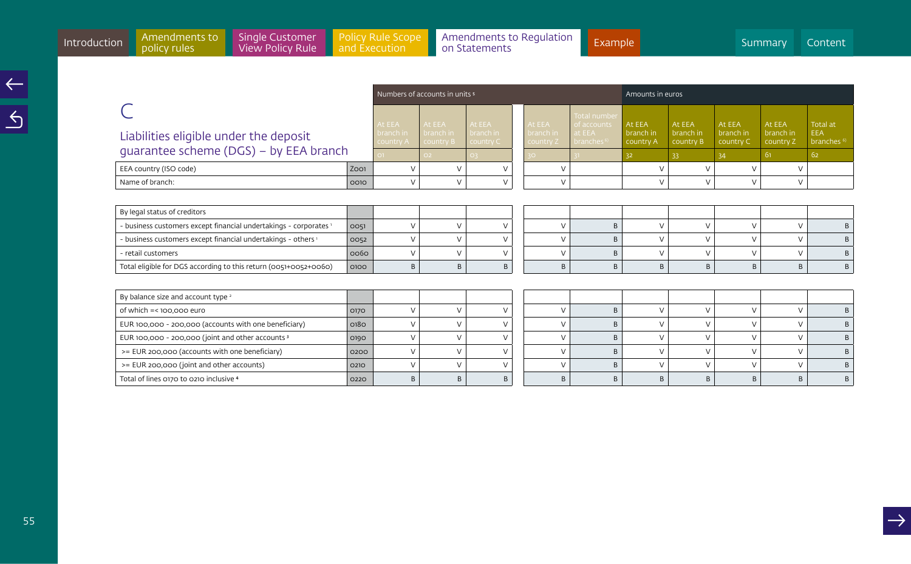|                                        |      |                        | Numbers of accounts in units 5       |           |                        | Amounts in euros                    |                                       |                        |                        |                        |                              |
|----------------------------------------|------|------------------------|--------------------------------------|-----------|------------------------|-------------------------------------|---------------------------------------|------------------------|------------------------|------------------------|------------------------------|
|                                        |      | At EEA                 | At EEA                               | At EEA    | At EEA                 | Total number<br>of accounts         | At EEA                                | At EEA                 | At EEA                 | At EEA                 | Total at                     |
| Liabilities eligible under the deposit |      | branch in<br>country A | branch in<br>  country B   country C | branch in | branch in<br>country Z | at EEA<br>$\parallel$ branches $^6$ | $\blacksquare$ branch in<br>country A | branch in<br>country B | branch in<br>country C | branch in<br>country Z | EEA<br>branches <sup>6</sup> |
| quarantee scheme (DGS) – by EEA branch |      |                        | റാ                                   |           |                        |                                     |                                       |                        |                        | -61                    | -62                          |
| EEA country (ISO code)                 | ZOO1 |                        |                                      |           |                        |                                     |                                       |                        |                        |                        |                              |
| Name of branch:                        | 0010 |                        |                                      |           |                        |                                     |                                       |                        |                        |                        |                              |

| By legal status of creditors                                      |      |   |  |  |  |  |  |
|-------------------------------------------------------------------|------|---|--|--|--|--|--|
| - business customers except financial undertakings - corporates 1 | 0051 |   |  |  |  |  |  |
| - business customers except financial undertakings - others 1     | 0052 |   |  |  |  |  |  |
| - retail customers                                                | 0060 |   |  |  |  |  |  |
| Total eligible for DGS according to this return (0051+0052+0060)  | 0100 | B |  |  |  |  |  |

| By balance size and account type <sup>2</sup>         |      |  |   |  |  |  |  |
|-------------------------------------------------------|------|--|---|--|--|--|--|
| of which =< 100,000 euro (                            | 0170 |  |   |  |  |  |  |
| EUR 100,000 - 200,000 (accounts with one beneficiary) | 0180 |  |   |  |  |  |  |
| EUR 100,000 - 200,000 (joint and other accounts 3     | 0190 |  |   |  |  |  |  |
| >= EUR 200,000 (accounts with one beneficiary)        | 0200 |  |   |  |  |  |  |
| >= EUR 200,000 (joint and other accounts)             | 0210 |  |   |  |  |  |  |
| Total of lines 0170 to 0210 inclusive 4               | 0220 |  | B |  |  |  |  |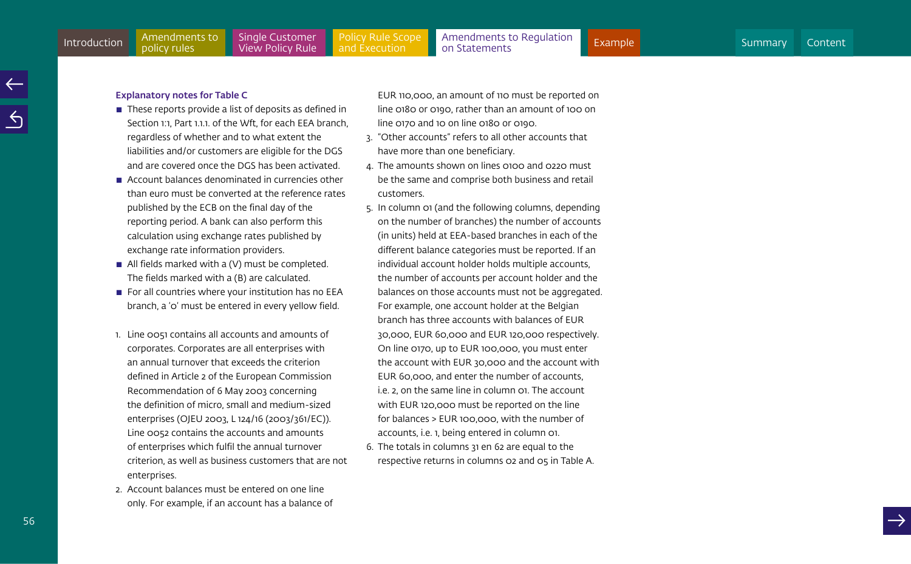#### Explanatory notes for Table C

- $\blacksquare$  These reports provide a list of deposits as defined in Section 1:1, Part 1.1.1, of the Wft, for each EEA branch, regardless of whether and to what extent the liabilities and/or customers are eligible for the DGS and are covered once the DGS has been activated.
- $\blacksquare$  Account balances denominated in currencies other than euro must be converted at the reference rates published by the ECB on the final day of the reporting period. A bank can also perform this calculation using exchange rates published by exchange rate information providers.
- $\blacksquare$  All fields marked with a (V) must be completed. The fields marked with a (B) are calculated.
- $\blacksquare$  For all countries where your institution has no EEA branch, a '0' must be entered in every yellow field.
- 1. Line 0051 contains all accounts and amounts of corporates. Corporates are all enterprises with an annual turnover that exceeds the criterion defined in Article 2 of the European Commission Recommendation of 6 May 2003 concerning the definition of micro, small and medium-sized enterprises (OJEU 2003, L 124/16 (2003/361/EC)). Line 0052 contains the accounts and amounts of enterprises which fulfil the annual turnover criterion, as well as business customers that are not enterprises.
- 2. Account balances must be entered on one line only. For example, if an account has a balance of

EUR 110,000, an amount of 110 must be reported on line 0180 or 0190, rather than an amount of 100 on line 0170 and 10 on line 0180 or 0190.

- 3. "Other accounts" refers to all other accounts that have more than one beneficiary.
- 4. The amounts shown on lines 0100 and 0220 must be the same and comprise both business and retail customers.
- 5. In column 01 (and the following columns, depending on the number of branches) the number of accounts (in units) held at EEA-based branches in each of the different balance categories must be reported. If an individual account holder holds multiple accounts, the number of accounts per account holder and the balances on those accounts must not be aggregated. For example, one account holder at the Belgian branch has three accounts with balances of EUR 30,000, EUR 60,000 and EUR 120,000 respectively. On line 0170, up to EUR 100,000, you must enter the account with EUR 30,000 and the account with EUR 60,000, and enter the number of accounts, i.e. 2, on the same line in column 01. The account with EUR 120,000 must be reported on the line for balances > EUR 100,000, with the number of accounts, i.e. 1, being entered in column 01.
- 6. The totals in columns 31 en 62 are equal to the respective returns in columns 02 and 05 in Table A.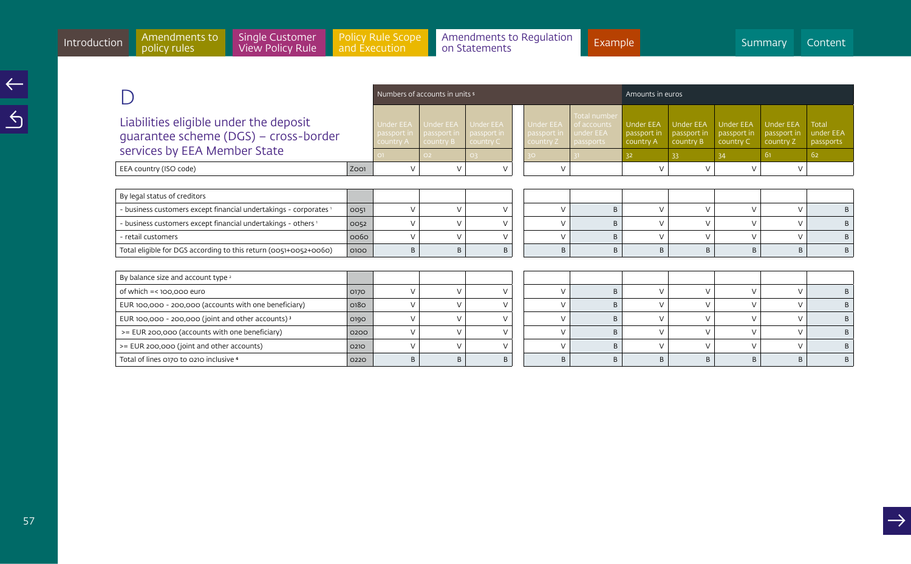|                                                                                                                                                                 |      | Numbers of accounts in units <sup>5</sup> |                                              |                                       | Amounts in euros                             |                                                       |                                              |                                              |                                              |                                              |                                        |
|-----------------------------------------------------------------------------------------------------------------------------------------------------------------|------|-------------------------------------------|----------------------------------------------|---------------------------------------|----------------------------------------------|-------------------------------------------------------|----------------------------------------------|----------------------------------------------|----------------------------------------------|----------------------------------------------|----------------------------------------|
| Liabilities eligible under the deposit<br><b>Under EEA</b><br>quarantee scheme (DGS) - cross-border<br>passport in<br>country A<br>services by EEA Member State |      |                                           | <b>Under EEA</b><br>passport in<br>country B | Under EEA<br>passport in<br>country C | <b>Under EEA</b><br>passport in<br>country Z | Total number<br>of accounts<br>under EEA<br>passports | <b>Under EEA</b><br>passport in<br>country A | <b>Under EEA</b><br>passport in<br>country B | <b>Under EEA</b><br>passport in<br>country C | <b>Under EEA</b><br>passport in<br>country Z | <b>Total</b><br>under EEA<br>passports |
|                                                                                                                                                                 |      | $\vee$                                    | O2                                           | O <sub>3</sub>                        |                                              |                                                       | 32                                           | 33                                           | 34                                           | 61                                           | 62                                     |
| EEA country (ISO code)                                                                                                                                          | ZOO1 |                                           | $\vee$                                       | $\vee$                                | $\vee$                                       |                                                       | $\vee$                                       | $\vee$                                       | $\sqrt{}$                                    | $\vee$                                       |                                        |
|                                                                                                                                                                 |      |                                           |                                              |                                       |                                              |                                                       |                                              |                                              |                                              |                                              |                                        |
| By legal status of creditors                                                                                                                                    |      |                                           |                                              |                                       |                                              |                                                       |                                              |                                              |                                              |                                              |                                        |
| - business customers except financial undertakings - corporates 1                                                                                               | 0051 | $\vee$                                    | $\vee$                                       | $\vee$                                | $\vee$                                       | B                                                     | $\vee$                                       | $\vee$                                       | $\vee$                                       | $\vee$                                       | B                                      |
| - business customers except financial undertakings - others <sup>1</sup>                                                                                        | 0052 | V                                         | $\sqrt{ }$                                   | $\vee$                                | $\vee$                                       | B                                                     | $\sqrt{ }$                                   | $\vee$                                       | $\sqrt{ }$                                   | $\vee$                                       | B                                      |
| - retail customers                                                                                                                                              | 0060 | $\vee$                                    | $\sqrt{ }$                                   | $\vee$                                | V                                            | B                                                     | $\sqrt{}$                                    | $\vee$                                       | $\sqrt{}$                                    | $\vee$                                       | B                                      |
| Total eligible for DGS according to this return (0051+0052+0060)                                                                                                | 0100 |                                           | B                                            | B                                     | B                                            | B                                                     | B                                            | B                                            | B                                            | B                                            | B                                      |
|                                                                                                                                                                 |      |                                           |                                              |                                       |                                              |                                                       |                                              |                                              |                                              |                                              |                                        |
| By balance size and account type <sup>2</sup>                                                                                                                   |      |                                           |                                              |                                       |                                              |                                                       |                                              |                                              |                                              |                                              |                                        |
| of which $=$ <100.000 euro                                                                                                                                      | 0170 | $\vee$                                    | $\vee$                                       | $\vee$                                | $\vee$                                       | B                                                     | $\vee$                                       | $\vee$                                       | $\vee$                                       | $\vee$                                       | B                                      |
| EUR 100,000 - 200,000 (accounts with one beneficiary)                                                                                                           | 0180 | $\vee$                                    | $\vee$                                       | $\vee$                                | $\vee$                                       | B                                                     | $\vee$                                       | $\vee$                                       | $\vee$                                       | $\vee$                                       | B                                      |
| EUR 100,000 - 200,000 (joint and other accounts) <sup>3</sup>                                                                                                   | 0190 | $\vee$                                    | $\vee$                                       | $\vee$                                | $\vee$                                       | B                                                     | $\vee$                                       | $\vee$                                       | $\vee$                                       | $\vee$                                       | B                                      |
| >= EUR 200,000 (accounts with one beneficiary)                                                                                                                  | 0200 | $\vee$                                    | $\vee$                                       | $\vee$                                | V                                            | B                                                     | $\vee$                                       | $\vee$                                       | $\sqrt{}$                                    | $\vee$                                       | B                                      |
| >= EUR 200,000 (joint and other accounts)                                                                                                                       | 0210 | $\vee$                                    | $\mathcal{U}$                                | $\vee$                                | $\vee$                                       | B                                                     | $\sqrt{ }$                                   | $\vee$                                       | $\sqrt{ }$                                   | $\vee$                                       | B                                      |
| Total of lines 0170 to 0210 inclusive 4                                                                                                                         | 0220 | B                                         | B                                            | B                                     | B                                            | B                                                     | B                                            | B                                            | B                                            | B                                            | B                                      |

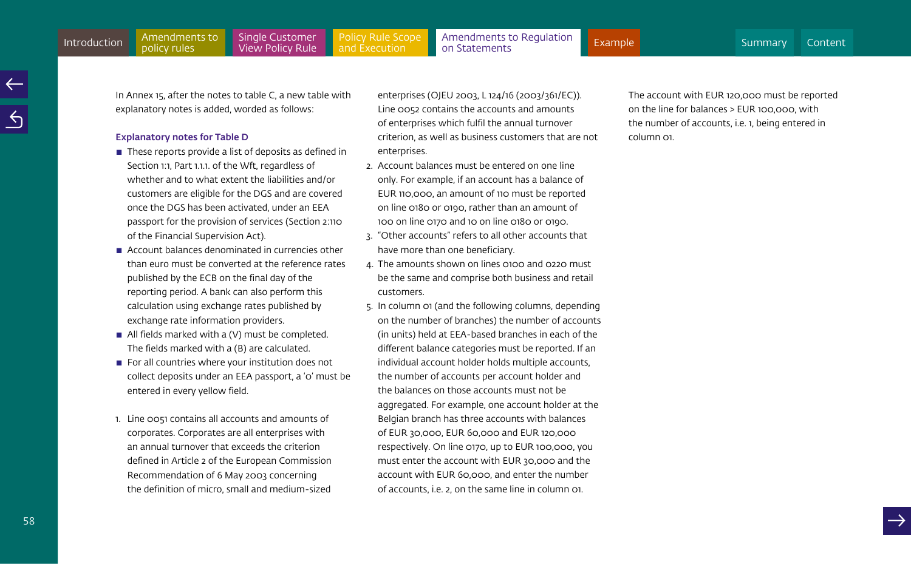58

In Annex 15, after the notes to table C, a new table with explanatory notes is added, worded as follows:

#### Explanatory notes for Table D

- $\blacksquare$  These reports provide a list of deposits as defined in Section 1:1, Part 1.1.1. of the Wft, regardless of whether and to what extent the liabilities and/or customers are eligible for the DGS and are covered once the DGS has been activated, under an EEA passport for the provision of services (Section 2:110 of the Financial Supervision Act).
- $\blacksquare$  Account balances denominated in currencies other than euro must be converted at the reference rates published by the ECB on the final day of the reporting period. A bank can also perform this calculation using exchange rates published by exchange rate information providers.
- $\blacksquare$  All fields marked with a (V) must be completed. The fields marked with a (B) are calculated.
- $\blacksquare$  For all countries where your institution does not collect deposits under an EEA passport, a '0' must be entered in every yellow field.
- 1. Line 0051 contains all accounts and amounts of corporates. Corporates are all enterprises with an annual turnover that exceeds the criterion defined in Article 2 of the European Commission Recommendation of 6 May 2003 concerning the definition of micro, small and medium-sized

enterprises (OJEU 2003, L 124/16 (2003/361/EC)). Line 0052 contains the accounts and amounts of enterprises which fulfil the annual turnover criterion, as well as business customers that are not enterprises.

- 2. Account balances must be entered on one line only. For example, if an account has a balance of EUR 110,000, an amount of 110 must be reported on line 0180 or 0190, rather than an amount of 100 on line 0170 and 10 on line 0180 or 0190.
- 3. "Other accounts" refers to all other accounts that have more than one beneficiary.
- 4. The amounts shown on lines 0100 and 0220 must be the same and comprise both business and retail customers.
- 5. In column 01 (and the following columns, depending on the number of branches) the number of accounts (in units) held at EEA-based branches in each of the different balance categories must be reported. If an individual account holder holds multiple accounts, the number of accounts per account holder and the balances on those accounts must not be aggregated. For example, one account holder at the Belgian branch has three accounts with balances of EUR 30,000, EUR 60,000 and EUR 120,000 respectively. On line 0170, up to EUR 100,000, you must enter the account with EUR 30,000 and the account with EUR 60,000, and enter the number of accounts, i.e. 2, on the same line in column 01.

The account with EUR 120,000 must be reported on the line for balances > EUR 100,000, with the number of accounts, i.e. 1, being entered in column 01.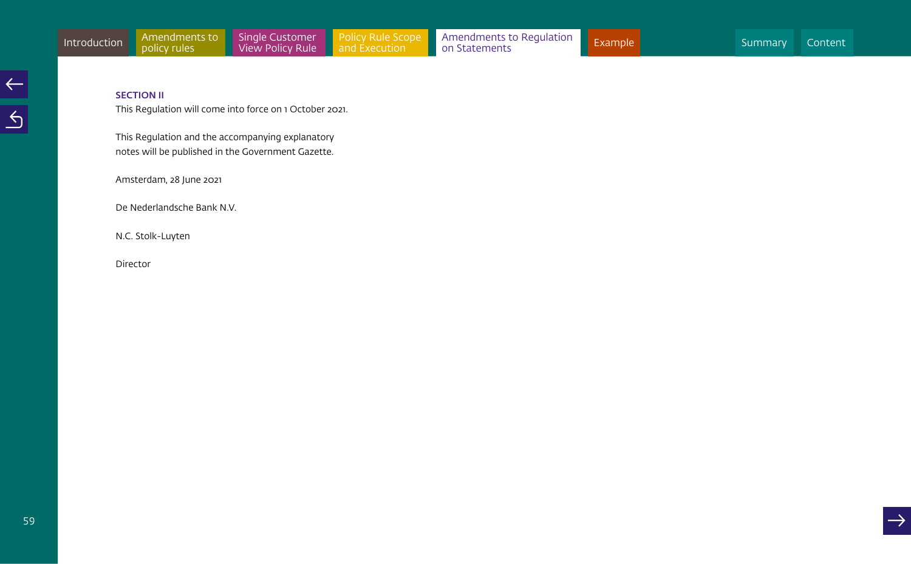# SECTION II

This Regulation will come into force on 1 October 2021.

This Regulation and the accompanying explanatory notes will be published in the Government Gazette.

Amsterdam, 28 June 2021

De Nederlandsche Bank N.V.

N.C. Stolk-Luyten

Director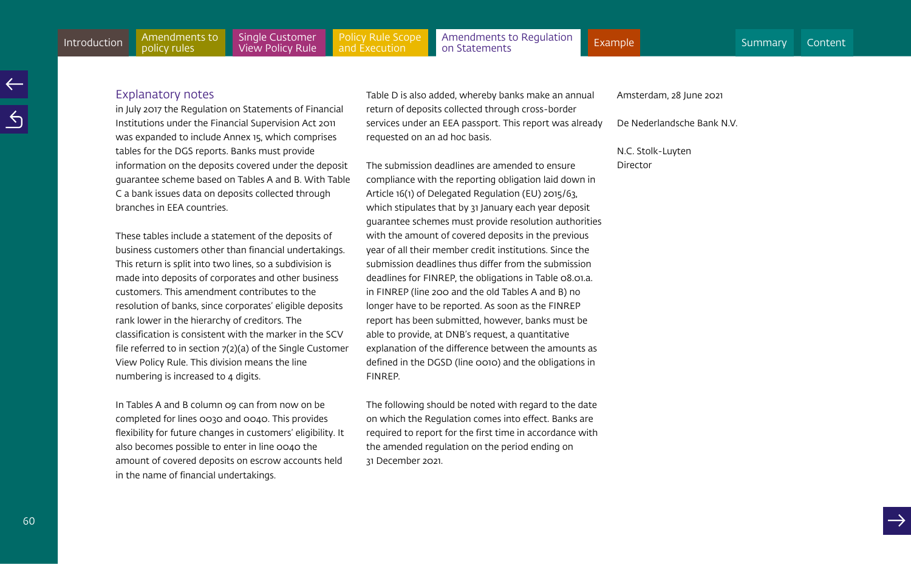#### Explanatory notes

in July 2017 the Regulation on Statements of Financial Institutions under the Financial Supervision Act 2011 was expanded to include Annex 15, which comprises tables for the DGS reports. Banks must provide information on the deposits covered under the deposit guarantee scheme based on Tables A and B. With Table C a bank issues data on deposits collected through branches in EEA countries.

These tables include a statement of the deposits of business customers other than financial undertakings. This return is split into two lines, so a subdivision is made into deposits of corporates and other business customers. This amendment contributes to the resolution of banks, since corporates' eligible deposits rank lower in the hierarchy of creditors. The classification is consistent with the marker in the SCV file referred to in section 7(2)(a) of the Single Customer View Policy Rule. This division means the line numbering is increased to 4 digits.

In Tables A and B column 09 can from now on be completed for lines 0030 and 0040. This provides flexibility for future changes in customers' eligibility. It also becomes possible to enter in line 0040 the amount of covered deposits on escrow accounts held in the name of financial undertakings.

Table D is also added, whereby banks make an annual return of deposits collected through cross-border services under an EEA passport. This report was already requested on an ad hoc basis.

The submission deadlines are amended to ensure compliance with the reporting obligation laid down in Article 16(1) of Delegated Regulation (EU) 2015/63, which stipulates that by 31 January each year deposit guarantee schemes must provide resolution authorities with the amount of covered deposits in the previous year of all their member credit institutions. Since the submission deadlines thus differ from the submission deadlines for FINREP, the obligations in Table 08.01.a. in FINREP (line 200 and the old Tables A and B) no longer have to be reported. As soon as the FINREP report has been submitted, however, banks must be able to provide, at DNB's request, a quantitative explanation of the difference between the amounts as defined in the DGSD (line 0010) and the obligations in FINREP.

The following should be noted with regard to the date on which the Regulation comes into effect. Banks are required to report for the first time in accordance with the amended regulation on the period ending on 31 December 2021.

Amsterdam, 28 June 2021

De Nederlandsche Bank N.V.

N.C. Stolk-Luyten Director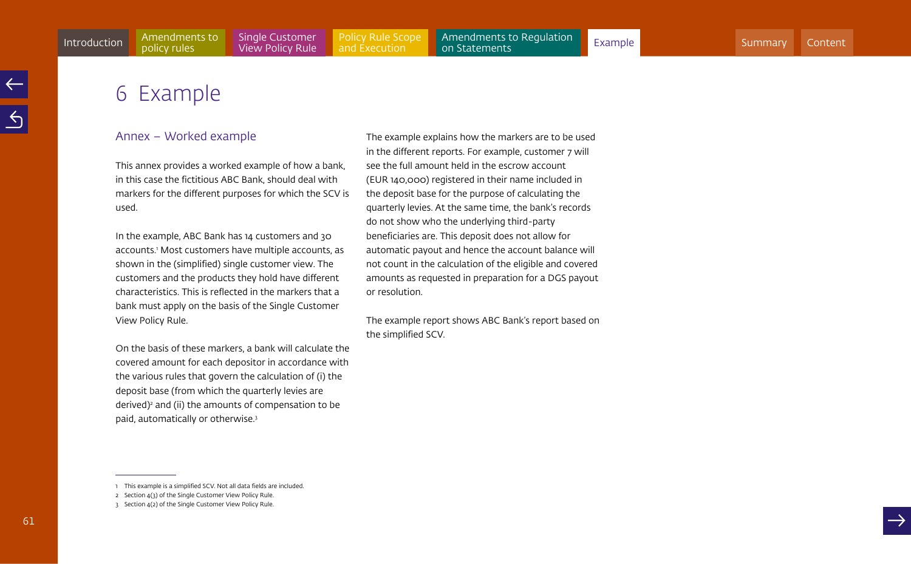# <span id="page-60-1"></span><span id="page-60-0"></span>6 Example

# Annex – Worked example

This annex provides a worked example of how a bank, in this case the fictitious ABC Bank, should deal with markers for the different purposes for which the SCV is used.

In the example, ABC Bank has 14 customers and 30 accounts.1 Most customers have multiple accounts, as shown in the (simplified) single customer view. The customers and the products they hold have different characteristics. This is reflected in the markers that a bank must apply on the basis of the Single Customer View Policy Rule.

On the basis of these markers, a bank will calculate the covered amount for each depositor in accordance with the various rules that govern the calculation of (i) the deposit base (from which the quarterly levies are derived)2 and (ii) the amounts of compensation to be paid, automatically or otherwise.3

The example explains how the markers are to be used in the different reports. For example, customer 7 will see the full amount held in the escrow account (EUR 140,000) registered in their name included in the deposit base for the purpose of calculating the quarterly levies. At the same time, the bank's records do not show who the underlying third-party beneficiaries are. This deposit does not allow for automatic payout and hence the account balance will not count in the calculation of the eligible and covered amounts as requested in preparation for a DGS payout or resolution.

The example report shows ABC Bank's report based on the simplified SCV.

<sup>1</sup> This example is a simplified SCV. Not all data fields are included.

<sup>2</sup> Section 4(3) of the Single Customer View Policy Rule.

<sup>3</sup> Section 4(2) of the Single Customer View Policy Rule.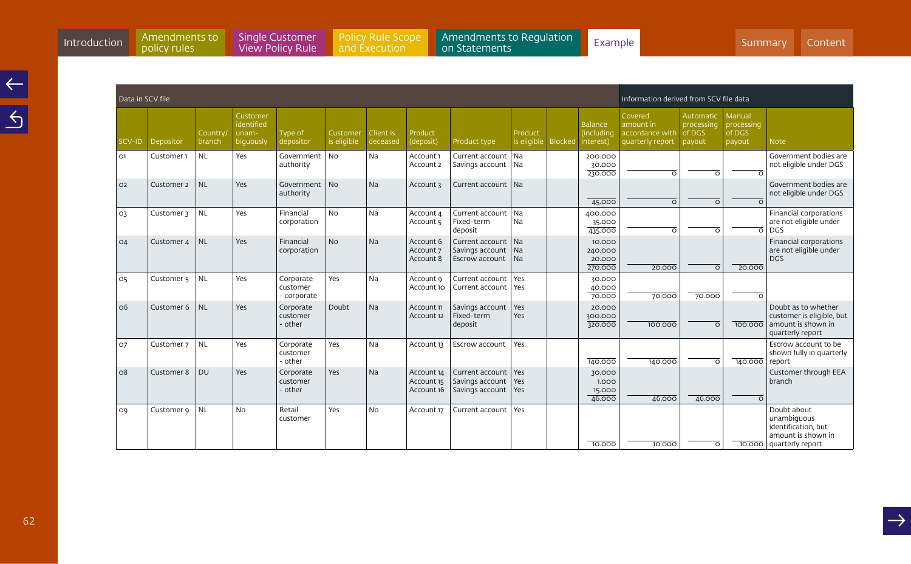[Policy Rule Scope](#page-35-0)  and Execution

Introduction Amendments to Single Customer Policy Rule Scope [Amendments to Regulation](#page-49-0) Example Summary Content A<br>[Introduction](#page-3-0) policy rules View Policy Rule and Execution on Statements [Summary](#page-2-0) Summary [Content](#page-1-0) &

| Data in SCV file<br>Information derived from SCV file data |                       |                          |                                                     |                                      |                         |                       |                                        |                                                       |                        |                |                                           |                                                             |                                             |                                          |                                                                                               |
|------------------------------------------------------------|-----------------------|--------------------------|-----------------------------------------------------|--------------------------------------|-------------------------|-----------------------|----------------------------------------|-------------------------------------------------------|------------------------|----------------|-------------------------------------------|-------------------------------------------------------------|---------------------------------------------|------------------------------------------|-----------------------------------------------------------------------------------------------|
| SCV-ID                                                     | Depositor             | <b>Country</b><br>branch | Customer<br>identified<br>unam-<br><b>biguously</b> | Type of<br>depositor                 | Customer<br>is eligible | Client is<br>deceased | Product<br>(deposit)                   | Product type                                          | Product<br>is eligible | <b>Blocked</b> | <b>Balance</b><br>(including<br>interest) | Covered<br>amount in<br>accordance with<br>quarterly report | Automatic<br>processing<br>of DGS<br>payout | Manual<br>processing<br>of DGS<br>payout | <b>Note</b>                                                                                   |
| O1                                                         | Customer 1            | <b>NL</b>                | Yes                                                 | Government   No<br>authority         |                         | Na                    | Account 1<br>Account 2                 | Current account<br>Savings account                    | Na<br>Na               |                | 200.000<br>30.000<br>230.000              | ᅙ                                                           | <u>ក</u>                                    |                                          | Government bodies are<br>not eligible under DGS                                               |
| O <sub>2</sub>                                             | Customer 2            | NL                       | Yes                                                 | Government   No<br>authority         |                         | Na                    | Account 3                              | Current account                                       | l Na                   |                | 45.000                                    | $\overline{\circ}$                                          | <u>ਨ</u>                                    |                                          | Government bodies are<br>not eligible under DGS                                               |
| O <sub>3</sub>                                             | Customer 3            | <b>NL</b>                | Yes                                                 | Financial<br>corporation             | <b>No</b>               | Na                    | Account 4<br>Account 5                 | Current account<br>Fixed-term<br>deposit              | Na<br>Na               |                | 400.000<br>35.000<br>435.000              | ᅙ                                                           | ᅙ                                           | $\overline{\circ}$                       | Financial corporations<br>are not eligible under<br><b>DGS</b>                                |
| O <sub>4</sub>                                             | Customer 4            | NL                       | Yes                                                 | Financial<br>corporation             | No                      | Na                    | Account 6<br>Account 7<br>Account 8    | Current account<br>Savings account<br>Escrow account  | Na<br>Na<br>Na         |                | 10.000<br>240.000<br>20.000<br>270.000    | 20.000                                                      | ᅙ                                           | 20.000                                   | Financial corporations<br>are not eligible under<br><b>DGS</b>                                |
| 05                                                         | Customer <sub>5</sub> | NL                       | Yes                                                 | Corporate<br>customer<br>- corporate | Yes                     | Na                    | Account 9<br>Account 10                | Current account<br>Current account                    | Yes<br>Yes             |                | 30.000<br>40.000<br>70.000                | 70.000                                                      | 70.000                                      | $\circ$                                  |                                                                                               |
| O <sub>6</sub>                                             | Customer 6            | NL                       | Yes                                                 | Corporate<br>customer<br>- other     | Doubt                   | Na                    | Account 11<br>Account 12               | Savings account<br>Fixed-term<br>deposit              | Yes<br>Yes             |                | 20.000<br>300.000<br>320.000              | 100.000                                                     | ᅙ                                           | 100.000                                  | Doubt as to whether<br>customer is eligible, but<br>amount is shown in<br>quarterly report    |
| 07                                                         | Customer 7            | <b>NL</b>                | Yes                                                 | Corporate<br>customer<br>- other     | Yes                     | Na                    | Account 13                             | Escrow account                                        | Yes                    |                | 140.000                                   | 140.000                                                     | ᅙ                                           | 140.000                                  | Escrow account to be<br>shown fully in quarterly<br>report                                    |
| O8                                                         | Customer 8            | <b>DU</b>                | Yes                                                 | Corporate<br>customer<br>- other     | Yes                     | Na                    | Account 14<br>Account 15<br>Account 16 | Current account<br>Savings account<br>Savings account | Yes<br>Yes<br>Yes      |                | 30.000<br>1.000<br>15.000<br>46.000       | 46.000                                                      | 46.000                                      | $\overline{O}$                           | Customer through EEA<br>branch                                                                |
| O9                                                         | Customer 9            | NL                       | <b>No</b>                                           | Retail<br>customer                   | Yes                     | <b>No</b>             | Account 17                             | Current account                                       | Yes                    |                | 10,000                                    | 10,000                                                      | ०                                           | 10.000                                   | Doubt about<br>unambiguous<br>identification, but<br>amount is shown in<br>  quarterly report |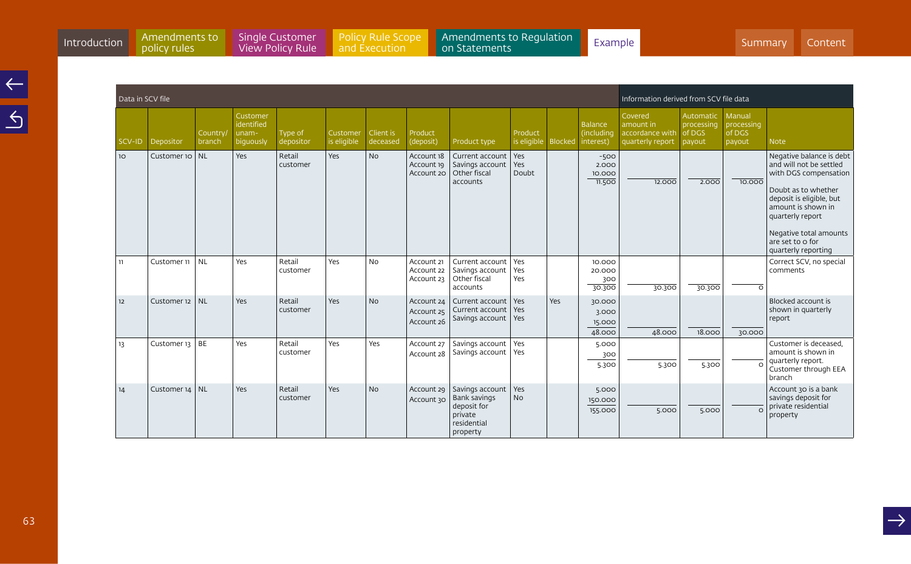[Policy Rule Scope](#page-35-0)  and Execution

Introduction Amendments to Single Customer Policy Rule Scope [Amendments to Regulation](#page-49-0) Example Summary Content A<br>[Introduction](#page-3-0) policy rules View Policy Rule and Execution on Statements [Summary](#page-2-0) Summary [Content](#page-1-0) &

|                 | Data in SCV file |                    |                                              |                      |                         |                       |                                        |                                                                                             |                        |                |                                           | Information derived from SCV file data                      |                                             |                                          |                                                                                                                                                                                                                                                |  |
|-----------------|------------------|--------------------|----------------------------------------------|----------------------|-------------------------|-----------------------|----------------------------------------|---------------------------------------------------------------------------------------------|------------------------|----------------|-------------------------------------------|-------------------------------------------------------------|---------------------------------------------|------------------------------------------|------------------------------------------------------------------------------------------------------------------------------------------------------------------------------------------------------------------------------------------------|--|
| SCV-ID          | Depositor        | Country,<br>branch | Customer<br>identified<br>unam-<br>biquously | Type of<br>depositor | Customer<br>is eligible | Client is<br>deceased | Product<br>(deposit)                   | Product type                                                                                | Product<br>is eligible | <b>Blocked</b> | <b>Balance</b><br>(including<br>interest) | Covered<br>amount in<br>accordance with<br>quarterly report | Automatic<br>processing<br>of DGS<br>payout | Manual<br>processing<br>of DGS<br>payout | <b>Note</b>                                                                                                                                                                                                                                    |  |
| 10 <sup>°</sup> | Customer 10   NL |                    | Yes                                          | Retail<br>customer   | Yes                     | <b>No</b>             | Account 18<br>Account 19<br>Account 20 | Current account<br>Savings account<br>Other fiscal<br>accounts                              | Yes<br>Yes<br>Doubt    |                | $-500$<br>2.000<br>10.000<br>11.500       | 12.000                                                      | 2.000                                       | 10,000                                   | Negative balance is debt<br>and will not be settled<br>with DGS compensation<br>Doubt as to whether<br>deposit is eligible, but<br>amount is shown in<br>quarterly report<br>Negative total amounts<br>are set to o for<br>quarterly reporting |  |
| 11              | Customer 11      | <b>NL</b>          | Yes                                          | Retail<br>customer   | Yes                     | <b>No</b>             | Account 21<br>Account 22<br>Account 23 | Current account<br>Savings account<br>Other fiscal<br>accounts                              | Yes<br>Yes<br>Yes      |                | 10.000<br>20,000<br>300<br>30.300         | 30.300                                                      | 30.300                                      | $\circ$                                  | Correct SCV, no special<br>comments                                                                                                                                                                                                            |  |
| 12              | Customer 12   NL |                    | Yes                                          | Retail<br>customer   | Yes                     | <b>No</b>             | Account 24<br>Account 25<br>Account 26 | Current account<br>Current account<br>Savings account                                       | Yes<br>Yes<br>Yes      | Yes            | 30.000<br>3.000<br>15.000<br>48.000       | 48.000                                                      | 18.000                                      | 30.000                                   | Blocked account is<br>shown in quarterly<br>report                                                                                                                                                                                             |  |
| 13              | Customer $13$ BE |                    | Yes                                          | Retail<br>customer   | Yes                     | Yes                   | Account 27<br>Account 28               | Savings account<br>Savings account                                                          | Yes<br><b>Yes</b>      |                | 5.000<br>300<br>5.300                     | 5.300                                                       | 5.300                                       | $\epsilon$                               | Customer is deceased.<br>amount is shown in<br>quarterly report.<br>Customer through EEA<br>branch                                                                                                                                             |  |
| 14              | Customer $14$ NL |                    | Yes                                          | Retail<br>customer   | Yes                     | <b>No</b>             | Account 29<br>Account 30               | Savings account<br><b>Bank savings</b><br>deposit for<br>private<br>residential<br>property | Yes<br><b>No</b>       |                | 5.000<br>150.000<br>155.000               | 5.000                                                       | 5.000                                       | $\Omega$                                 | Account 30 is a bank<br>savings deposit for<br>private residential<br>property                                                                                                                                                                 |  |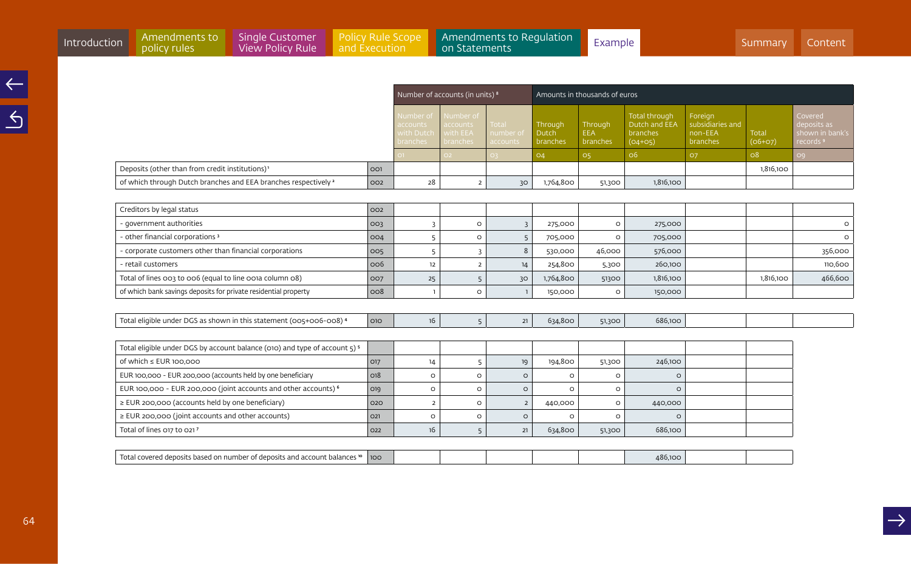|                                                                                           |     |                                                 |                                               |                                       | Amounts in thousands of euros |                                   |                                                                       |                                                    |                           |                                                                   |  |  |  |
|-------------------------------------------------------------------------------------------|-----|-------------------------------------------------|-----------------------------------------------|---------------------------------------|-------------------------------|-----------------------------------|-----------------------------------------------------------------------|----------------------------------------------------|---------------------------|-------------------------------------------------------------------|--|--|--|
|                                                                                           |     |                                                 | Number of accounts (in units) <sup>8</sup>    |                                       |                               |                                   |                                                                       |                                                    |                           |                                                                   |  |  |  |
|                                                                                           |     | Number of<br>accounts<br>with Dutch<br>branches | Number of<br>accounts<br>with EEA<br>branches | <b>Total</b><br>number of<br>accounts | Through<br>Dutch<br>branches  | Through<br><b>EEA</b><br>branches | <b>Total through</b><br>Dutch and EEA<br><b>branches</b><br>$(04+05)$ | Foreign<br>subsidiaries and<br>non-EEA<br>branches | <b>Total</b><br>$(06+07)$ | Covered<br>deposits as<br>shown in bank's<br>records <sup>9</sup> |  |  |  |
|                                                                                           |     | O1                                              | O <sub>2</sub>                                |                                       | O <sub>4</sub>                | 05                                | O6                                                                    | 07                                                 | O8                        | O9                                                                |  |  |  |
| Deposits (other than from credit institutions) <sup>1</sup>                               | 001 |                                                 |                                               |                                       |                               |                                   |                                                                       |                                                    | 1,816,100                 |                                                                   |  |  |  |
| of which through Dutch branches and EEA branches respectively <sup>2</sup>                | 002 | 28                                              | $\overline{2}$                                | 30                                    | 1,764,800                     | 51,300                            | 1,816,100                                                             |                                                    |                           |                                                                   |  |  |  |
|                                                                                           |     |                                                 |                                               |                                       |                               |                                   |                                                                       |                                                    |                           |                                                                   |  |  |  |
| Creditors by legal status                                                                 | 002 |                                                 |                                               |                                       |                               |                                   |                                                                       |                                                    |                           |                                                                   |  |  |  |
| - government authorities                                                                  | 003 | $\overline{3}$                                  | $\circ$                                       | $\overline{3}$                        | 275,000                       | $\circ$                           | 275,000                                                               |                                                    |                           | $\circ$                                                           |  |  |  |
| - other financial corporations 3                                                          | 004 | 5                                               | $\circ$                                       | 5                                     | 705,000                       | $\circ$                           | 705,000                                                               |                                                    |                           | $\circ$                                                           |  |  |  |
| - corporate customers other than financial corporations                                   | 005 | 5                                               | $\overline{3}$                                | $\,8\,$                               | 530,000                       | 46,000                            | 576,000                                                               |                                                    |                           | 356,000                                                           |  |  |  |
| - retail customers                                                                        | 006 | 12                                              | $\overline{2}$                                | 14                                    | 254,800                       | 5,300                             | 260,100                                                               |                                                    |                           | 110,600                                                           |  |  |  |
| Total of lines 003 to 006 (equal to line 001a column 08)                                  | 007 | 25                                              | 5                                             | 30                                    | 1,764,800                     | 51300                             | 1,816,100                                                             |                                                    | 1,816,100                 | 466,600                                                           |  |  |  |
| of which bank savings deposits for private residential property                           | 008 |                                                 | $\circ$                                       | $\overline{1}$                        | 150,000                       | $\circ$                           | 150,000                                                               |                                                    |                           |                                                                   |  |  |  |
|                                                                                           |     |                                                 |                                               |                                       |                               |                                   |                                                                       |                                                    |                           |                                                                   |  |  |  |
| Total eligible under DGS as shown in this statement (005+006-008) <sup>4</sup>            | 010 | 16                                              | 5                                             | 21                                    | 634,800                       | 51,300                            | 686,100                                                               |                                                    |                           |                                                                   |  |  |  |
|                                                                                           |     |                                                 |                                               |                                       |                               |                                   |                                                                       |                                                    |                           |                                                                   |  |  |  |
| Total eligible under DGS by account balance (010) and type of account 5) 5                |     |                                                 |                                               |                                       |                               |                                   |                                                                       |                                                    |                           |                                                                   |  |  |  |
| of which $\leq$ EUR 100.000                                                               | 017 | 14                                              | 5                                             | 19                                    | 194,800                       | 51,300                            | 246,100                                                               |                                                    |                           |                                                                   |  |  |  |
| EUR 100,000 - EUR 200,000 (accounts held by one beneficiary                               | 018 | $\circ$                                         | $\circ$                                       | $\circ$                               | $\circ$                       | $\circ$                           | $\circ$                                                               |                                                    |                           |                                                                   |  |  |  |
| EUR 100,000 - EUR 200,000 (joint accounts and other accounts) <sup>6</sup>                | 019 | $\circ$                                         | $\circ$                                       | $\circ$                               | $\circ$                       | $\circ$                           | $\circ$                                                               |                                                    |                           |                                                                   |  |  |  |
| $\ge$ EUR 200,000 (accounts held by one beneficiary)                                      | 020 | $\overline{2}$                                  | $\circ$                                       | $\overline{2}$                        | 440,000                       | $\circ$                           | 440,000                                                               |                                                    |                           |                                                                   |  |  |  |
| ≥ EUR 200,000 (joint accounts and other accounts)                                         | O21 | $\circ$                                         | $\circ$                                       | $\circ$                               | $\circ$                       | $\circ$                           | $\circ$                                                               |                                                    |                           |                                                                   |  |  |  |
| Total of lines 017 to 0217                                                                | O22 | 16                                              | 5                                             | 21                                    | 634,800                       | 51,300                            | 686,100                                                               |                                                    |                           |                                                                   |  |  |  |
|                                                                                           |     |                                                 |                                               |                                       |                               |                                   |                                                                       |                                                    |                           |                                                                   |  |  |  |
| Total covered deposits based on number of deposits and account balances <sup>10</sup> 100 |     |                                                 |                                               |                                       |                               |                                   | 486,100                                                               |                                                    |                           |                                                                   |  |  |  |
|                                                                                           |     |                                                 |                                               |                                       |                               |                                   |                                                                       |                                                    |                           |                                                                   |  |  |  |

Introduction Amendments to Single Customer Policy Rule Scope [Amendments to Regulation](#page-49-0) Example Summary Content A<br>[Introduction](#page-3-0) policy rules View Policy Rule and Execution on Statements [Summary](#page-2-0) Summary [Content](#page-1-0) &

[Single Customer](#page-11-0)  View Policy Rule

Amendments to<br>policy rules

[Policy Rule Scope](#page-35-0)  and Execution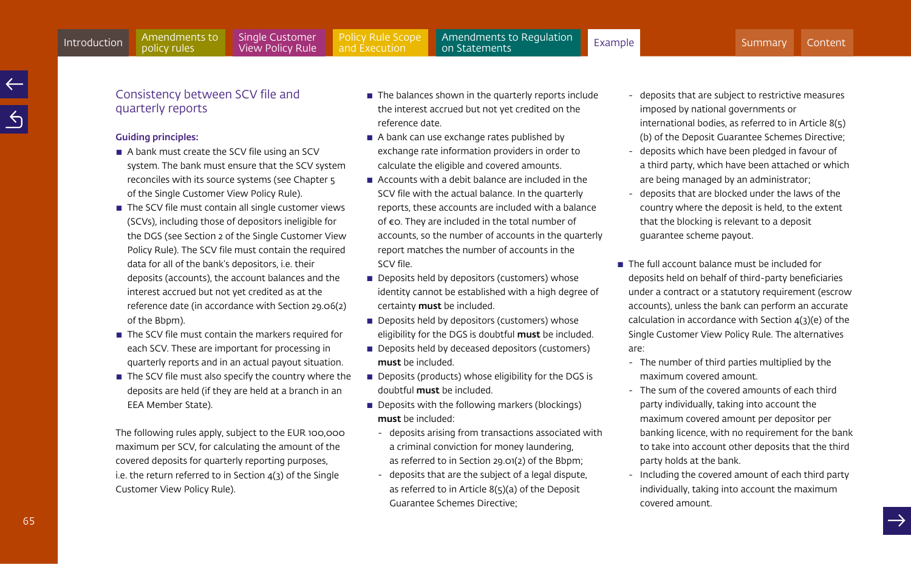# Consistency between SCV file and quarterly reports

### Guiding principles:

- $\blacksquare$  A bank must create the SCV file using an SCV system. The bank must ensure that the SCV system reconciles with its source systems (see Chapter 5 of the Single Customer View Policy Rule).
- $\blacksquare$  The SCV file must contain all single customer views (SCVs), including those of depositors ineligible for the DGS (see Section 2 of the Single Customer View Policy Rule). The SCV file must contain the required data for all of the bank's depositors, i.e. their deposits (accounts), the account balances and the interest accrued but not yet credited as at the reference date (in accordance with Section 29.06(2) of the Bbpm).
- $\blacksquare$  The SCV file must contain the markers required for each SCV. These are important for processing in quarterly reports and in an actual payout situation.
- $\blacksquare$  The SCV file must also specify the country where the deposits are held (if they are held at a branch in an EEA Member State).

The following rules apply, subject to the EUR 100,000 maximum per SCV, for calculating the amount of the covered deposits for quarterly reporting purposes, i.e. the return referred to in Section  $4(3)$  of the Single Customer View Policy Rule).

- $\blacksquare$  The balances shown in the quarterly reports include the interest accrued but not yet credited on the reference date.
- $\blacksquare$  A bank can use exchange rates published by exchange rate information providers in order to calculate the eligible and covered amounts.
- $\blacksquare$  Accounts with a debit balance are included in the SCV file with the actual balance. In the quarterly reports, these accounts are included with a balance of €0. They are included in the total number of accounts, so the number of accounts in the quarterly report matches the number of accounts in the SCV file.
- $\blacksquare$  Deposits held by depositors (customers) whose identity cannot be established with a high degree of certainty must be included.
- $\blacksquare$  Deposits held by depositors (customers) whose eligibility for the DGS is doubtful must be included.
- $\blacksquare$  Deposits held by deceased depositors (customers) must be included.
- Deposits (products) whose eligibility for the DGS is doubtful must be included.
- $\blacksquare$  Deposits with the following markers (blockings) must be included:
	- deposits arising from transactions associated with a criminal conviction for money laundering, as referred to in Section 29.01(2) of the Bbpm;
	- deposits that are the subject of a legal dispute, as referred to in Article 8(5)(a) of the Deposit Guarantee Schemes Directive;
- deposits that are subject to restrictive measures imposed by national governments or international bodies, as referred to in Article 8(5) (b) of the Deposit Guarantee Schemes Directive;
- deposits which have been pledged in favour of a third party, which have been attached or which are being managed by an administrator;
- deposits that are blocked under the laws of the country where the deposit is held, to the extent that the blocking is relevant to a deposit guarantee scheme payout.
- $\blacksquare$  The full account balance must be included for deposits held on behalf of third-party beneficiaries under a contract or a statutory requirement (escrow accounts), unless the bank can perform an accurate calculation in accordance with Section 4(3)(e) of the Single Customer View Policy Rule. The alternatives are:
	- The number of third parties multiplied by the maximum covered amount.
	- The sum of the covered amounts of each third party individually, taking into account the maximum covered amount per depositor per banking licence, with no requirement for the bank to take into account other deposits that the third party holds at the bank.
	- Including the covered amount of each third party individually, taking into account the maximum covered amount.